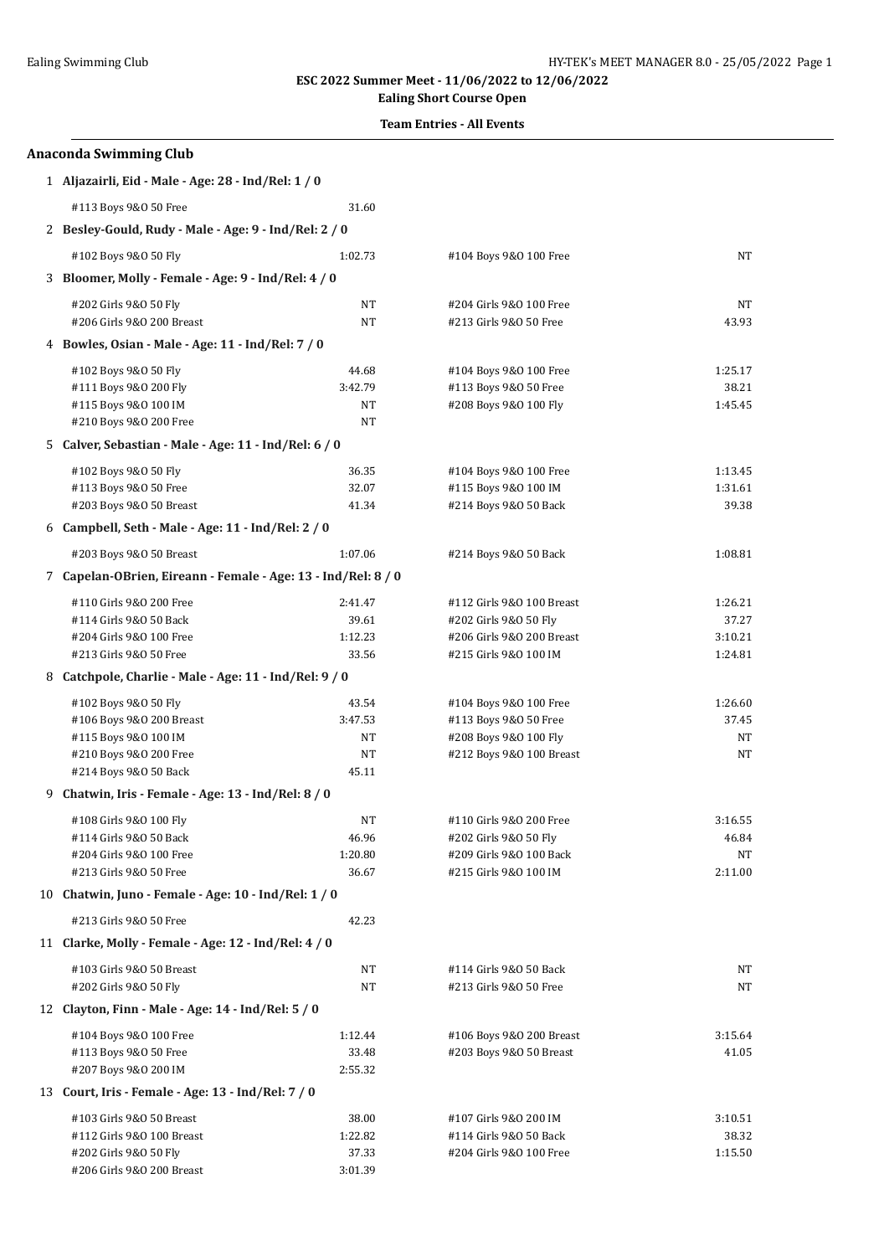## **Ealing Short Course Open**

### **Team Entries - All Events**

|   | <b>Anaconda Swimming Club</b>                                 |                  |                                                  |             |  |  |
|---|---------------------------------------------------------------|------------------|--------------------------------------------------|-------------|--|--|
|   | 1 Aljazairli, Eid - Male - Age: 28 - Ind/Rel: 1 / 0           |                  |                                                  |             |  |  |
|   | #113 Boys 9&0 50 Free                                         | 31.60            |                                                  |             |  |  |
|   | 2 Besley-Gould, Rudy - Male - Age: 9 - Ind/Rel: 2 / 0         |                  |                                                  |             |  |  |
|   | #102 Boys 9&0 50 Fly                                          | 1:02.73          | #104 Boys 9&0 100 Free                           | NT          |  |  |
|   | Bloomer, Molly - Female - Age: 9 - Ind/Rel: 4 / 0             |                  |                                                  |             |  |  |
|   | #202 Girls 9&0 50 Fly                                         | NT               | #204 Girls 9&0 100 Free                          | NT          |  |  |
|   | #206 Girls 9&0 200 Breast                                     | NT               | #213 Girls 9&0 50 Free                           | 43.93       |  |  |
|   | 4 Bowles, Osian - Male - Age: 11 - Ind/Rel: 7 / 0             |                  |                                                  |             |  |  |
|   | #102 Boys 9&0 50 Fly                                          | 44.68            | #104 Boys 9&0 100 Free                           | 1:25.17     |  |  |
|   | #111 Boys 9&0 200 Fly                                         | 3:42.79          | #113 Boys 9&0 50 Free                            | 38.21       |  |  |
|   | #115 Boys 9&0 100 IM                                          | NT               | #208 Boys 9&0 100 Fly                            | 1:45.45     |  |  |
|   | #210 Boys 9&0 200 Free                                        | NT               |                                                  |             |  |  |
|   | 5 Calver, Sebastian - Male - Age: 11 - Ind/Rel: 6 / 0         |                  |                                                  |             |  |  |
|   | #102 Boys 9&0 50 Fly                                          | 36.35            | #104 Boys 9&0 100 Free                           | 1:13.45     |  |  |
|   | #113 Boys 9&0 50 Free                                         | 32.07            | #115 Boys 9&0 100 IM                             | 1:31.61     |  |  |
|   | #203 Boys 9&0 50 Breast                                       | 41.34            | #214 Boys 9&0 50 Back                            | 39.38       |  |  |
|   | 6 Campbell, Seth - Male - Age: 11 - Ind/Rel: 2 / 0            |                  |                                                  |             |  |  |
|   | #203 Boys 9&0 50 Breast                                       | 1:07.06          | #214 Boys 9&0 50 Back                            | 1:08.81     |  |  |
|   | 7 Capelan-OBrien, Eireann - Female - Age: 13 - Ind/Rel: 8 / 0 |                  |                                                  |             |  |  |
|   | #110 Girls 9&0 200 Free                                       | 2:41.47          | #112 Girls 9&0 100 Breast                        | 1:26.21     |  |  |
|   | #114 Girls 9&0 50 Back                                        | 39.61            | #202 Girls 9&0 50 Fly                            | 37.27       |  |  |
|   | #204 Girls 9&0 100 Free                                       | 1:12.23          | #206 Girls 9&0 200 Breast                        | 3:10.21     |  |  |
|   | #213 Girls 9&0 50 Free                                        | 33.56            | #215 Girls 9&0 100 IM                            | 1:24.81     |  |  |
| 8 | Catchpole, Charlie - Male - Age: 11 - Ind/Rel: 9 / 0          |                  |                                                  |             |  |  |
|   | #102 Boys 9&0 50 Fly                                          | 43.54            | #104 Boys 9&0 100 Free                           | 1:26.60     |  |  |
|   | #106 Boys 9&0 200 Breast                                      | 3:47.53          | #113 Boys 9&0 50 Free                            | 37.45       |  |  |
|   | #115 Boys 9&0 100 IM                                          | NT               | #208 Boys 9&0 100 Fly                            | ΝT          |  |  |
|   | #210 Boys 9&0 200 Free                                        | NT               | #212 Boys 9&0 100 Breast                         | <b>NT</b>   |  |  |
|   | #214 Boys 9&0 50 Back<br>45.11                                |                  |                                                  |             |  |  |
|   | 9 Chatwin, Iris - Female - Age: 13 - Ind/Rel: 8 / 0           |                  |                                                  |             |  |  |
|   | #108 Girls 9&0 100 Fly                                        | NΤ               | #110 Girls 9&0 200 Free                          | 3:16.55     |  |  |
|   | #114 Girls 9&0 50 Back<br>#204 Girls 9&0 100 Free             | 46.96<br>1:20.80 | #202 Girls 9&0 50 Fly<br>#209 Girls 9&0 100 Back | 46.84<br>NT |  |  |
|   | #213 Girls 9&0 50 Free                                        | 36.67            | #215 Girls 9&0 100 IM                            | 2:11.00     |  |  |
|   | 10 Chatwin, Juno - Female - Age: 10 - Ind/Rel: 1 / 0          |                  |                                                  |             |  |  |
|   | #213 Girls 9&0 50 Free                                        | 42.23            |                                                  |             |  |  |
|   | 11 Clarke, Molly - Female - Age: 12 - Ind/Rel: 4 / 0          |                  |                                                  |             |  |  |
|   | #103 Girls 9&0 50 Breast                                      | NT               | #114 Girls 9&0 50 Back                           | ΝT          |  |  |
|   | #202 Girls 9&0 50 Fly                                         | NT               | #213 Girls 9&0 50 Free                           | NT          |  |  |
|   | 12 Clayton, Finn - Male - Age: 14 - Ind/Rel: 5 / 0            |                  |                                                  |             |  |  |
|   | #104 Boys 9&0 100 Free                                        | 1:12.44          | #106 Boys 9&0 200 Breast                         | 3:15.64     |  |  |
|   | #113 Boys 9&0 50 Free                                         | 33.48            | #203 Boys 9&0 50 Breast                          | 41.05       |  |  |
|   | #207 Boys 9&0 200 IM                                          | 2:55.32          |                                                  |             |  |  |
|   | 13 Court, Iris - Female - Age: 13 - Ind/Rel: 7 / 0            |                  |                                                  |             |  |  |
|   | #103 Girls 9&0 50 Breast                                      | 38.00            | #107 Girls 9&0 200 IM                            | 3:10.51     |  |  |
|   | #112 Girls 9&0 100 Breast                                     | 1:22.82          | #114 Girls 9&0 50 Back                           | 38.32       |  |  |
|   | #202 Girls 9&0 50 Fly                                         | 37.33            | #204 Girls 9&0 100 Free                          | 1:15.50     |  |  |
|   | #206 Girls 9&0 200 Breast                                     | 3:01.39          |                                                  |             |  |  |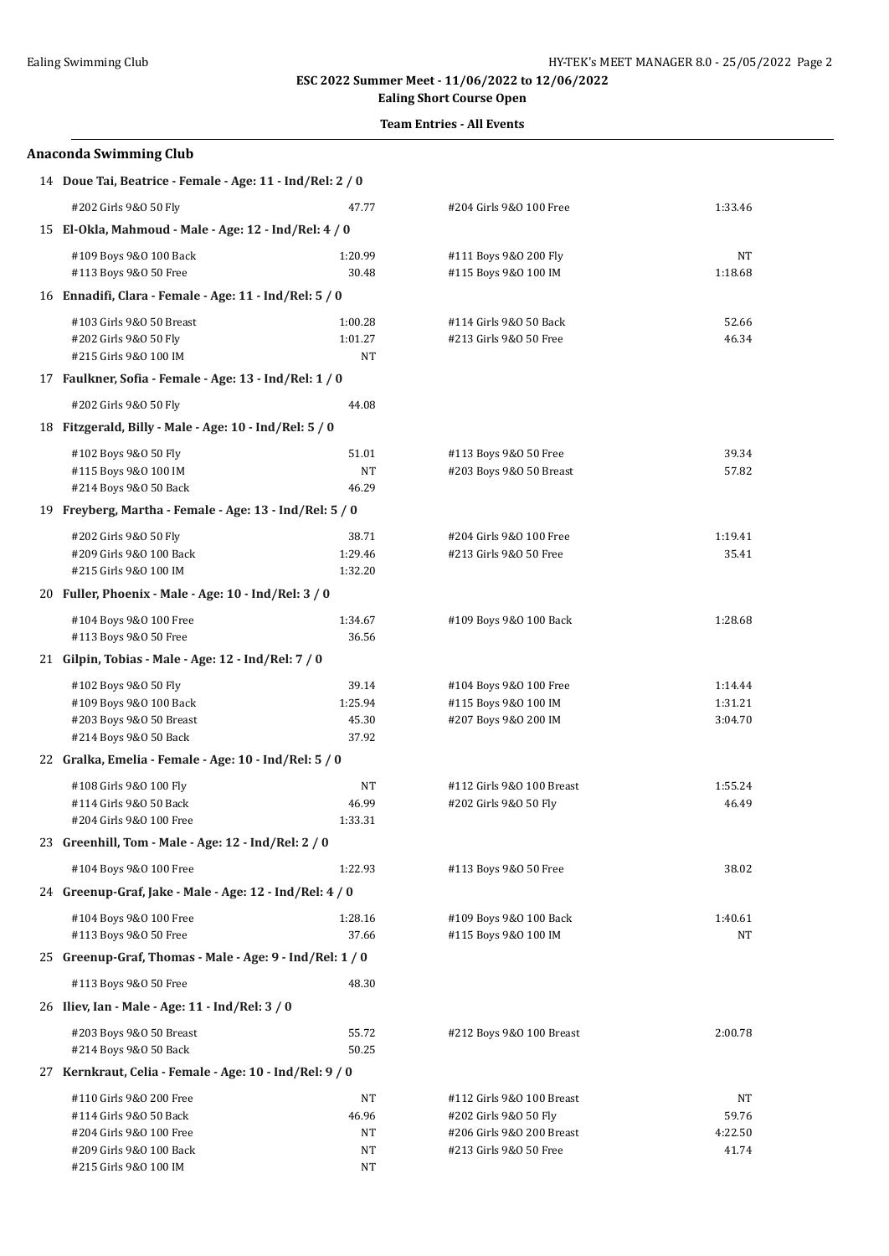## **Ealing Short Course Open**

### **Team Entries - All Events**

| <b>Anaconda Swimming Club</b>                             |         |                           |         |  |  |
|-----------------------------------------------------------|---------|---------------------------|---------|--|--|
| 14 Doue Tai, Beatrice - Female - Age: 11 - Ind/Rel: 2 / 0 |         |                           |         |  |  |
| #202 Girls 9&0 50 Fly                                     | 47.77   | #204 Girls 9&0 100 Free   | 1:33.46 |  |  |
| 15 El-Okla, Mahmoud - Male - Age: 12 - Ind/Rel: 4 / 0     |         |                           |         |  |  |
| #109 Boys 9&0 100 Back                                    | 1:20.99 | #111 Boys 9&0 200 Fly     | NT      |  |  |
| #113 Boys 9&0 50 Free                                     | 30.48   | #115 Boys 9&0 100 IM      | 1:18.68 |  |  |
| 16 Ennadifi, Clara - Female - Age: 11 - Ind/Rel: 5 / 0    |         |                           |         |  |  |
| #103 Girls 9&0 50 Breast                                  | 1:00.28 | #114 Girls 9&0 50 Back    | 52.66   |  |  |
| #202 Girls 9&0 50 Fly                                     | 1:01.27 | #213 Girls 9&0 50 Free    | 46.34   |  |  |
| #215 Girls 9&0 100 IM                                     | NT      |                           |         |  |  |
| 17 Faulkner, Sofia - Female - Age: 13 - Ind/Rel: 1 / 0    |         |                           |         |  |  |
| #202 Girls 9&0 50 Fly                                     | 44.08   |                           |         |  |  |
| 18 Fitzgerald, Billy - Male - Age: 10 - Ind/Rel: 5 / 0    |         |                           |         |  |  |
| #102 Boys 9&0 50 Fly                                      | 51.01   | #113 Boys 9&0 50 Free     | 39.34   |  |  |
| #115 Boys 9&0 100 IM                                      | NT      | #203 Boys 9&0 50 Breast   | 57.82   |  |  |
| #214 Boys 9&0 50 Back                                     | 46.29   |                           |         |  |  |
| 19 Freyberg, Martha - Female - Age: 13 - Ind/Rel: 5 / 0   |         |                           |         |  |  |
| #202 Girls 9&0 50 Fly                                     | 38.71   | #204 Girls 9&0 100 Free   | 1:19.41 |  |  |
| #209 Girls 9&0 100 Back                                   | 1:29.46 | #213 Girls 9&0 50 Free    | 35.41   |  |  |
| #215 Girls 9&0 100 IM                                     | 1:32.20 |                           |         |  |  |
| 20 Fuller, Phoenix - Male - Age: 10 - Ind/Rel: 3 / 0      |         |                           |         |  |  |
| #104 Boys 9&0 100 Free                                    | 1:34.67 | #109 Boys 9&0 100 Back    | 1:28.68 |  |  |
| #113 Boys 9&0 50 Free                                     | 36.56   |                           |         |  |  |
| 21 Gilpin, Tobias - Male - Age: 12 - Ind/Rel: 7 / 0       |         |                           |         |  |  |
| #102 Boys 9&0 50 Fly                                      | 39.14   | #104 Boys 9&0 100 Free    | 1:14.44 |  |  |
| #109 Boys 9&0 100 Back                                    | 1:25.94 | #115 Boys 9&0 100 IM      | 1:31.21 |  |  |
| #203 Boys 9&0 50 Breast                                   | 45.30   | #207 Boys 9&0 200 IM      | 3:04.70 |  |  |
| #214 Boys 9&0 50 Back                                     | 37.92   |                           |         |  |  |
| 22 Gralka, Emelia - Female - Age: 10 - Ind/Rel: 5 / 0     |         |                           |         |  |  |
| #108 Girls 9&0 100 Fly                                    | NT      | #112 Girls 9&0 100 Breast | 1:55.24 |  |  |
| #114 Girls 9&0 50 Back                                    | 46.99   | #202 Girls 9&0 50 Fly     | 46.49   |  |  |
| #204 Girls 9&0 100 Free                                   | 1:33.31 |                           |         |  |  |
| 23 Greenhill, Tom - Male - Age: 12 - Ind/Rel: 2 / 0       |         |                           |         |  |  |
| #104 Boys 9&0 100 Free                                    | 1:22.93 | #113 Boys 9&0 50 Free     | 38.02   |  |  |
| 24 Greenup-Graf, Jake - Male - Age: 12 - Ind/Rel: 4 / 0   |         |                           |         |  |  |
| #104 Boys 9&0 100 Free                                    | 1:28.16 | #109 Boys 9&0 100 Back    | 1:40.61 |  |  |
| #113 Boys 9&0 50 Free                                     | 37.66   | #115 Boys 9&0 100 IM      | ΝT      |  |  |
| 25 Greenup-Graf, Thomas - Male - Age: 9 - Ind/Rel: 1 / 0  |         |                           |         |  |  |
| #113 Boys 9&0 50 Free                                     | 48.30   |                           |         |  |  |
| 26 Iliev, Ian - Male - Age: 11 - Ind/Rel: 3 / 0           |         |                           |         |  |  |
| #203 Boys 9&0 50 Breast                                   | 55.72   | #212 Boys 9&0 100 Breast  | 2:00.78 |  |  |
| #214 Boys 9&0 50 Back                                     | 50.25   |                           |         |  |  |
| 27 Kernkraut, Celia - Female - Age: 10 - Ind/Rel: 9 / 0   |         |                           |         |  |  |
| #110 Girls 9&O 200 Free                                   | NT      | #112 Girls 9&0 100 Breast | NT      |  |  |
| #114 Girls 9&0 50 Back                                    | 46.96   | #202 Girls 9&0 50 Fly     | 59.76   |  |  |
| #204 Girls 9&0 100 Free                                   | NT      | #206 Girls 9&0 200 Breast | 4:22.50 |  |  |
| #209 Girls 9&0 100 Back                                   | NT      | #213 Girls 9&0 50 Free    | 41.74   |  |  |
| #215 Girls 9&0 100 IM                                     | NT      |                           |         |  |  |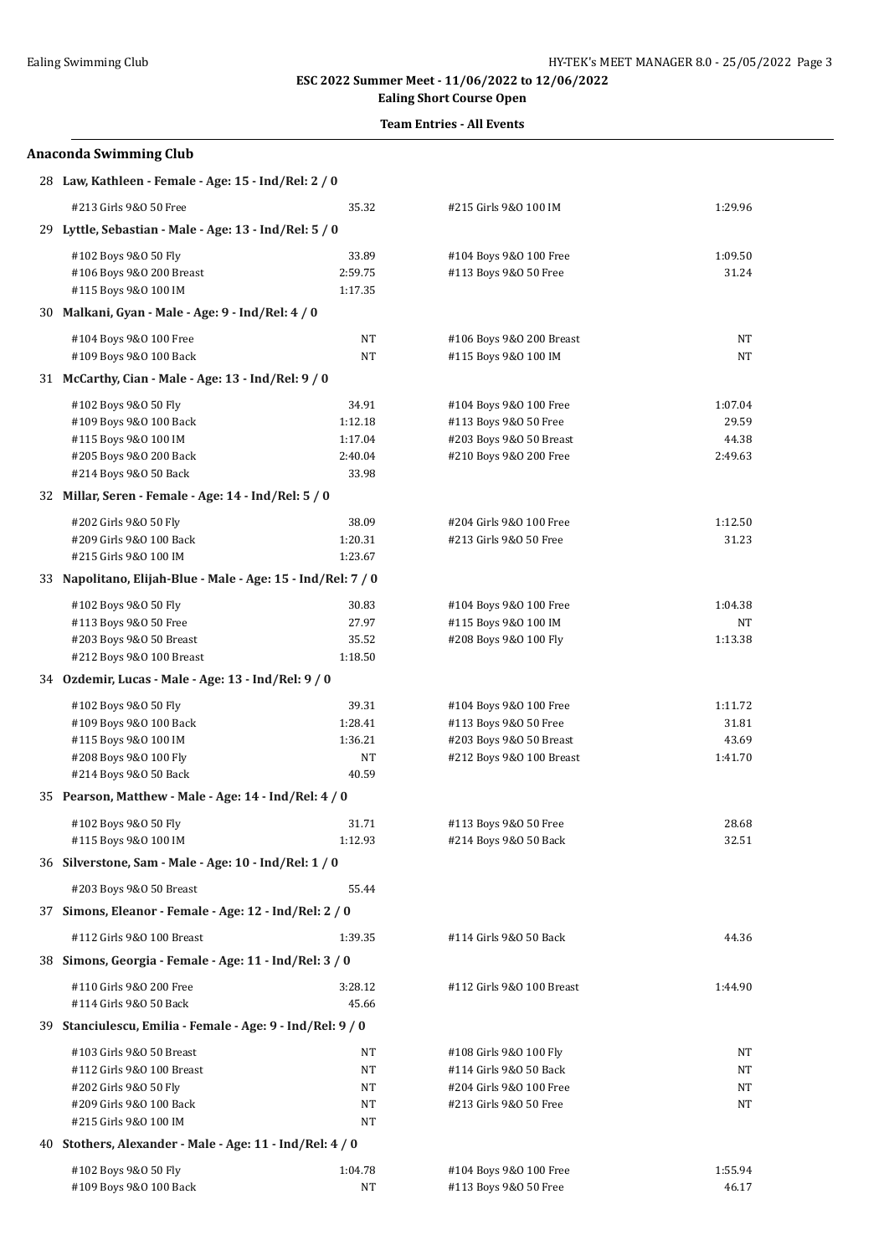# **Ealing Short Course Open**

## **Team Entries - All Events**

#### **Anaconda Swimming Club**

| 28 Law, Kathleen - Female - Age: 15 - Ind/Rel: 2 / 0         |                  |                                                 |                  |
|--------------------------------------------------------------|------------------|-------------------------------------------------|------------------|
| #213 Girls 9&0 50 Free                                       | 35.32            | #215 Girls 9&0 100 IM                           | 1:29.96          |
| 29 Lyttle, Sebastian - Male - Age: 13 - Ind/Rel: 5 / 0       |                  |                                                 |                  |
| #102 Boys 9&0 50 Fly                                         | 33.89            | #104 Boys 9&0 100 Free                          | 1:09.50          |
| #106 Boys 9&0 200 Breast                                     | 2:59.75          | #113 Boys 9&0 50 Free                           | 31.24            |
| #115 Boys 9&0 100 IM                                         | 1:17.35          |                                                 |                  |
| 30 Malkani, Gyan - Male - Age: 9 - Ind/Rel: 4 / 0            |                  |                                                 |                  |
| #104 Boys 9&0 100 Free                                       | NT               | #106 Boys 9&0 200 Breast                        | NT               |
| #109 Boys 9&0 100 Back                                       | NT               | #115 Boys 9&0 100 IM                            | NT               |
| 31 McCarthy, Cian - Male - Age: 13 - Ind/Rel: 9 / 0          |                  |                                                 |                  |
| #102 Boys 9&0 50 Fly                                         | 34.91            | #104 Boys 9&0 100 Free                          | 1:07.04          |
| #109 Boys 9&0 100 Back                                       | 1:12.18          | #113 Boys 9&0 50 Free                           | 29.59            |
| #115 Boys 9&0 100 IM                                         | 1:17.04          | #203 Boys 9&0 50 Breast                         | 44.38            |
| #205 Boys 9&0 200 Back                                       | 2:40.04          | #210 Boys 9&0 200 Free                          | 2:49.63          |
| #214 Boys 9&0 50 Back                                        | 33.98            |                                                 |                  |
| 32 Millar, Seren - Female - Age: 14 - Ind/Rel: 5 / 0         |                  |                                                 |                  |
| #202 Girls 9&0 50 Fly                                        | 38.09            | #204 Girls 9&0 100 Free                         | 1:12.50          |
| #209 Girls 9&0 100 Back                                      | 1:20.31          | #213 Girls 9&0 50 Free                          | 31.23            |
| #215 Girls 9&0 100 IM                                        | 1:23.67          |                                                 |                  |
| 33 Napolitano, Elijah-Blue - Male - Age: 15 - Ind/Rel: 7 / 0 |                  |                                                 |                  |
| #102 Boys 9&0 50 Fly                                         | 30.83            | #104 Boys 9&0 100 Free                          | 1:04.38          |
| #113 Boys 9&0 50 Free                                        | 27.97            | #115 Boys 9&0 100 IM                            | NT               |
| #203 Boys 9&0 50 Breast<br>#212 Boys 9&0 100 Breast          | 35.52<br>1:18.50 | #208 Boys 9&0 100 Fly                           | 1:13.38          |
| 34 Ozdemir, Lucas - Male - Age: 13 - Ind/Rel: 9 / 0          |                  |                                                 |                  |
|                                                              |                  |                                                 |                  |
| #102 Boys 9&0 50 Fly<br>#109 Boys 9&0 100 Back               | 39.31<br>1:28.41 | #104 Boys 9&0 100 Free<br>#113 Boys 9&0 50 Free | 1:11.72<br>31.81 |
| #115 Boys 9&0 100 IM                                         | 1:36.21          | #203 Boys 9&0 50 Breast                         | 43.69            |
| #208 Boys 9&0 100 Fly                                        | NT               | #212 Boys 9&0 100 Breast                        | 1:41.70          |
| #214 Boys 9&0 50 Back                                        | 40.59            |                                                 |                  |
| 35 Pearson, Matthew - Male - Age: 14 - Ind/Rel: 4 / 0        |                  |                                                 |                  |
| #102 Boys 9&0 50 Fly                                         | 31.71            | #113 Boys 9&0 50 Free                           | 28.68            |
| #115 Boys 9&0 100 IM                                         | 1:12.93          | #214 Boys 9&0 50 Back                           | 32.51            |
| 36 Silverstone, Sam - Male - Age: 10 - Ind/Rel: 1 / 0        |                  |                                                 |                  |
| #203 Boys 9&0 50 Breast                                      | 55.44            |                                                 |                  |
| 37 Simons, Eleanor - Female - Age: 12 - Ind/Rel: 2 / 0       |                  |                                                 |                  |
| #112 Girls 9&0 100 Breast                                    | 1:39.35          | #114 Girls 9&0 50 Back                          | 44.36            |
| 38 Simons, Georgia - Female - Age: 11 - Ind/Rel: 3 / 0       |                  |                                                 |                  |
| #110 Girls 9&0 200 Free                                      | 3:28.12          | #112 Girls 9&0 100 Breast                       | 1:44.90          |
| #114 Girls 9&0 50 Back                                       | 45.66            |                                                 |                  |
| 39 Stanciulescu, Emilia - Female - Age: 9 - Ind/Rel: 9 / 0   |                  |                                                 |                  |
| #103 Girls 9&0 50 Breast                                     | NT               | #108 Girls 9&0 100 Fly                          | NT               |
| #112 Girls 9&0 100 Breast                                    | NT               | #114 Girls 9&0 50 Back                          | NT               |
| #202 Girls 9&0 50 Fly                                        | NT               | #204 Girls 9&0 100 Free                         | NT               |
| #209 Girls 9&0 100 Back                                      | NT               | #213 Girls 9&0 50 Free                          | NT               |
| #215 Girls 9&0 100 IM                                        | NT               |                                                 |                  |
| 40 Stothers, Alexander - Male - Age: 11 - Ind/Rel: 4 / 0     |                  |                                                 |                  |
| #102 Boys 9&0 50 Fly                                         | 1:04.78          | #104 Boys 9&0 100 Free                          | 1:55.94          |
| #109 Boys 9&0 100 Back                                       | NT               | #113 Boys 9&0 50 Free                           | 46.17            |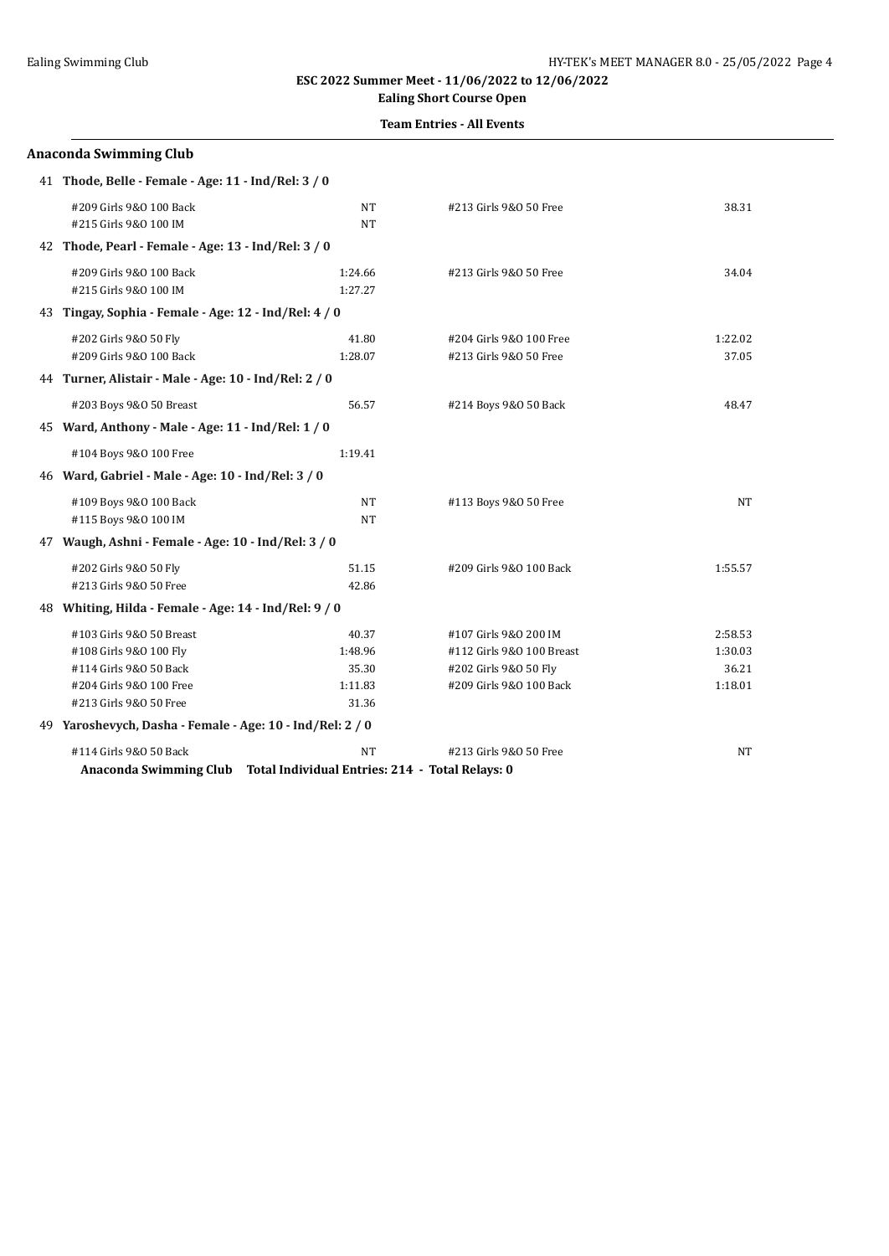## **Ealing Short Course Open**

### **Team Entries - All Events**

| <b>Anaconda Swimming Club</b>                                                                                                     |                                                       |                                                                                                        |                                        |
|-----------------------------------------------------------------------------------------------------------------------------------|-------------------------------------------------------|--------------------------------------------------------------------------------------------------------|----------------------------------------|
| 41 Thode, Belle - Female - Age: 11 - Ind/Rel: 3 / 0                                                                               |                                                       |                                                                                                        |                                        |
| #209 Girls 9&0 100 Back<br>#215 Girls 9&0 100 IM                                                                                  | NT<br><b>NT</b>                                       | #213 Girls 9&0 50 Free                                                                                 | 38.31                                  |
| 42 Thode, Pearl - Female - Age: 13 - Ind/Rel: 3 / 0                                                                               |                                                       |                                                                                                        |                                        |
| #209 Girls 9&0 100 Back<br>#215 Girls 9&0 100 IM                                                                                  | 1:24.66<br>1:27.27                                    | #213 Girls 9&0 50 Free                                                                                 | 34.04                                  |
| 43 Tingay, Sophia - Female - Age: 12 - Ind/Rel: 4 / 0                                                                             |                                                       |                                                                                                        |                                        |
| #202 Girls 9&0 50 Fly<br>#209 Girls 9&0 100 Back                                                                                  | 41.80<br>1:28.07                                      | #204 Girls 9&0 100 Free<br>#213 Girls 9&0 50 Free                                                      | 1:22.02<br>37.05                       |
| 44 Turner, Alistair - Male - Age: 10 - Ind/Rel: 2 / 0                                                                             |                                                       |                                                                                                        |                                        |
| #203 Boys 9&0 50 Breast                                                                                                           | 56.57                                                 | #214 Boys 9&0 50 Back                                                                                  | 48.47                                  |
| 45 Ward, Anthony - Male - Age: 11 - Ind/Rel: 1 / 0                                                                                |                                                       |                                                                                                        |                                        |
| #104 Boys 9&0 100 Free                                                                                                            | 1:19.41                                               |                                                                                                        |                                        |
| 46 Ward, Gabriel - Male - Age: 10 - Ind/Rel: 3 / 0                                                                                |                                                       |                                                                                                        |                                        |
| #109 Boys 9&0 100 Back<br>#115 Boys 9&0 100 IM                                                                                    | NT<br>NT                                              | #113 Boys 9&0 50 Free                                                                                  | NT                                     |
| 47 Waugh, Ashni - Female - Age: 10 - Ind/Rel: 3 / 0                                                                               |                                                       |                                                                                                        |                                        |
| #202 Girls 9&0 50 Fly<br>#213 Girls 9&0 50 Free                                                                                   | 51.15<br>42.86                                        | #209 Girls 9&0 100 Back                                                                                | 1:55.57                                |
| 48 Whiting, Hilda - Female - Age: 14 - Ind/Rel: 9 / 0                                                                             |                                                       |                                                                                                        |                                        |
| #103 Girls 9&0 50 Breast<br>#108 Girls 9&0 100 Fly<br>#114 Girls 9&0 50 Back<br>#204 Girls 9&0 100 Free<br>#213 Girls 9&0 50 Free | 40.37<br>1:48.96<br>35.30<br>1:11.83<br>31.36         | #107 Girls 9&0 200 IM<br>#112 Girls 9&0 100 Breast<br>#202 Girls 9&0 50 Fly<br>#209 Girls 9&0 100 Back | 2:58.53<br>1:30.03<br>36.21<br>1:18.01 |
| 49 Yaroshevych, Dasha - Female - Age: 10 - Ind/Rel: 2 / 0                                                                         |                                                       |                                                                                                        |                                        |
| #114 Girls 9&0 50 Back<br>Anaconda Swimming Club                                                                                  | NT<br>Total Individual Entries: 214 - Total Relays: 0 | #213 Girls 9&0 50 Free                                                                                 | NT                                     |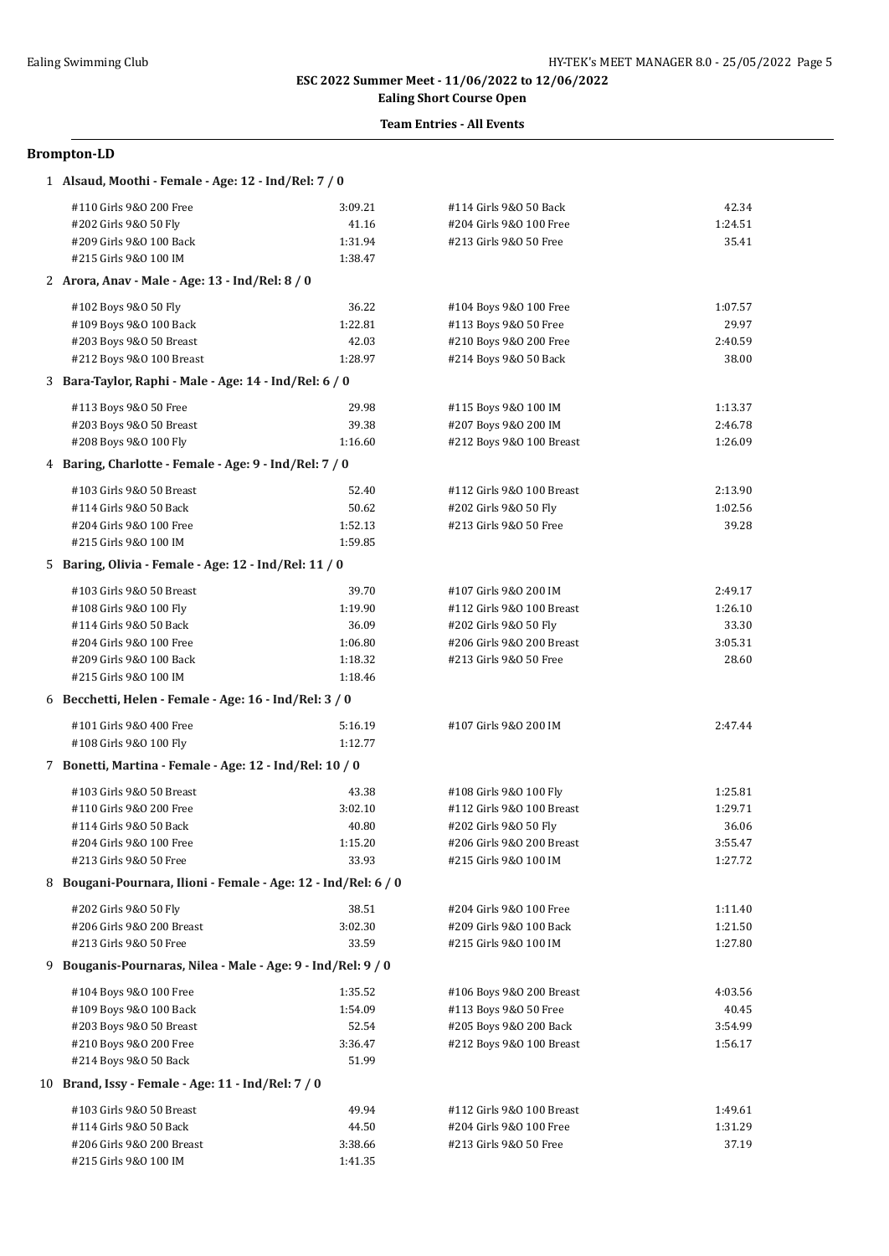## **Ealing Short Course Open**

## **Team Entries - All Events**

| 1 Alsaud, Moothi - Female - Age: 12 - Ind/Rel: 7 / 0           |         |                           |         |
|----------------------------------------------------------------|---------|---------------------------|---------|
| #110 Girls 9&0 200 Free                                        | 3:09.21 | #114 Girls 9&0 50 Back    | 42.34   |
| #202 Girls 9&0 50 Fly                                          | 41.16   | #204 Girls 9&0 100 Free   | 1:24.51 |
| #209 Girls 9&0 100 Back                                        | 1:31.94 | #213 Girls 9&0 50 Free    | 35.41   |
| #215 Girls 9&0 100 IM                                          | 1:38.47 |                           |         |
| 2 Arora, Anav - Male - Age: 13 - Ind/Rel: 8 / 0                |         |                           |         |
| #102 Boys 9&0 50 Fly                                           | 36.22   | #104 Boys 9&0 100 Free    | 1:07.57 |
| #109 Boys 9&0 100 Back                                         | 1:22.81 | #113 Boys 9&0 50 Free     | 29.97   |
| #203 Boys 9&0 50 Breast                                        | 42.03   | #210 Boys 9&0 200 Free    | 2:40.59 |
| #212 Boys 9&0 100 Breast                                       | 1:28.97 | #214 Boys 9&0 50 Back     | 38.00   |
| 3 Bara-Taylor, Raphi - Male - Age: 14 - Ind/Rel: 6 / 0         |         |                           |         |
| #113 Boys 9&0 50 Free                                          | 29.98   | #115 Boys 9&0 100 IM      | 1:13.37 |
| #203 Boys 9&0 50 Breast                                        | 39.38   | #207 Boys 9&0 200 IM      | 2:46.78 |
| #208 Boys 9&0 100 Fly                                          | 1:16.60 | #212 Boys 9&0 100 Breast  | 1:26.09 |
| 4 Baring, Charlotte - Female - Age: 9 - Ind/Rel: 7 / 0         |         |                           |         |
| #103 Girls 9&0 50 Breast                                       | 52.40   | #112 Girls 9&0 100 Breast | 2:13.90 |
| #114 Girls 9&0 50 Back                                         | 50.62   | #202 Girls 9&0 50 Fly     | 1:02.56 |
| #204 Girls 9&0 100 Free                                        | 1:52.13 | #213 Girls 9&0 50 Free    | 39.28   |
| #215 Girls 9&0 100 IM                                          | 1:59.85 |                           |         |
| 5 Baring, Olivia - Female - Age: 12 - Ind/Rel: 11 / 0          |         |                           |         |
| #103 Girls 9&0 50 Breast                                       | 39.70   | #107 Girls 9&0 200 IM     | 2:49.17 |
| #108 Girls 9&0 100 Fly                                         | 1:19.90 | #112 Girls 9&0 100 Breast | 1:26.10 |
| #114 Girls 9&0 50 Back                                         | 36.09   | #202 Girls 9&0 50 Fly     | 33.30   |
| #204 Girls 9&0 100 Free                                        | 1:06.80 | #206 Girls 9&0 200 Breast | 3:05.31 |
| #209 Girls 9&0 100 Back                                        | 1:18.32 | #213 Girls 9&0 50 Free    | 28.60   |
| #215 Girls 9&0 100 IM                                          | 1:18.46 |                           |         |
| 6 Becchetti, Helen - Female - Age: 16 - Ind/Rel: 3 / 0         |         |                           |         |
| #101 Girls 9&0 400 Free                                        | 5:16.19 | #107 Girls 9&0 200 IM     | 2:47.44 |
| #108 Girls 9&0 100 Fly                                         | 1:12.77 |                           |         |
| 7 Bonetti, Martina - Female - Age: 12 - Ind/Rel: 10 / 0        |         |                           |         |
| #103 Girls 9&0 50 Breast                                       | 43.38   | #108 Girls 9&0 100 Fly    | 1:25.81 |
| #110 Girls 9&0 200 Free                                        | 3:02.10 | #112 Girls 9&0 100 Breast | 1:29.71 |
| #114 Girls 9&0 50 Back                                         | 40.80   | #202 Girls 9&0 50 Fly     | 36.06   |
| #204 Girls 9&0 100 Free                                        | 1:15.20 | #206 Girls 9&0 200 Breast | 3:55.47 |
| #213 Girls 9&0 50 Free                                         | 33.93   | #215 Girls 9&0 100 IM     | 1:27.72 |
| 8 Bougani-Pournara, Ilioni - Female - Age: 12 - Ind/Rel: 6 / 0 |         |                           |         |
| #202 Girls 9&0 50 Fly                                          | 38.51   | #204 Girls 9&0 100 Free   | 1:11.40 |
| #206 Girls 9&0 200 Breast                                      | 3:02.30 | #209 Girls 9&0 100 Back   | 1:21.50 |
| #213 Girls 9&0 50 Free                                         | 33.59   | #215 Girls 9&0 100 IM     | 1:27.80 |
| 9 Bouganis-Pournaras, Nilea - Male - Age: 9 - Ind/Rel: 9 / 0   |         |                           |         |
| #104 Boys 9&0 100 Free                                         | 1:35.52 | #106 Boys 9&0 200 Breast  | 4:03.56 |
| #109 Boys 9&0 100 Back                                         | 1:54.09 | #113 Boys 9&0 50 Free     | 40.45   |
| #203 Boys 9&0 50 Breast                                        | 52.54   | #205 Boys 9&0 200 Back    | 3:54.99 |
| #210 Boys 9&0 200 Free                                         | 3:36.47 | #212 Boys 9&0 100 Breast  | 1:56.17 |
| #214 Boys 9&0 50 Back                                          | 51.99   |                           |         |
| 10 Brand, Issy - Female - Age: 11 - Ind/Rel: 7 / 0             |         |                           |         |
| #103 Girls 9&0 50 Breast                                       | 49.94   | #112 Girls 9&0 100 Breast | 1:49.61 |
| #114 Girls 9&0 50 Back                                         | 44.50   | #204 Girls 9&0 100 Free   | 1:31.29 |
| #206 Girls 9&0 200 Breast                                      | 3:38.66 | #213 Girls 9&0 50 Free    | 37.19   |
| #215 Girls 9&0 100 IM                                          | 1:41.35 |                           |         |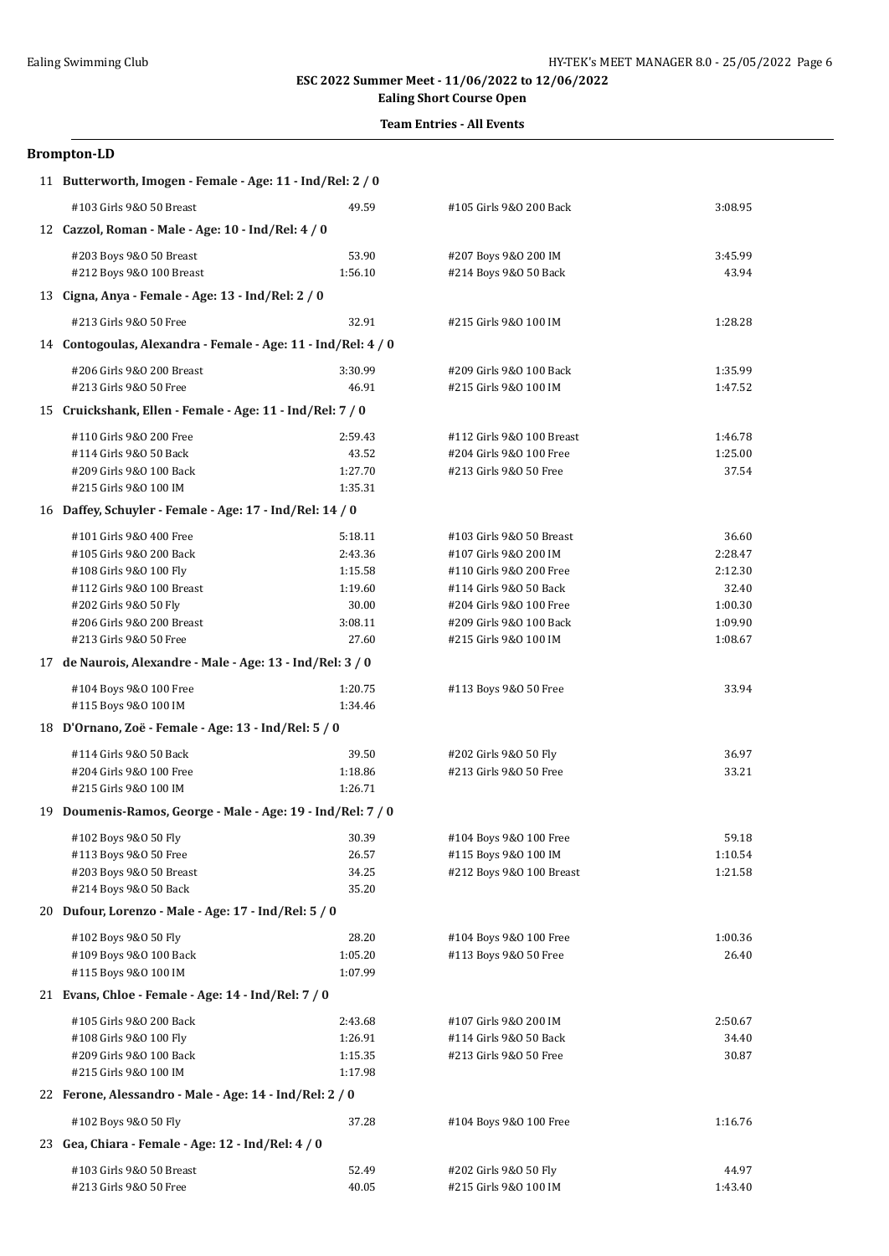## **Ealing Short Course Open**

### **Team Entries - All Events**

| 11 Butterworth, Imogen - Female - Age: 11 - Ind/Rel: 2 / 0    |         |                           |         |
|---------------------------------------------------------------|---------|---------------------------|---------|
| #103 Girls 9&0 50 Breast                                      | 49.59   | #105 Girls 9&0 200 Back   | 3:08.95 |
| 12 Cazzol, Roman - Male - Age: 10 - Ind/Rel: 4 / 0            |         |                           |         |
| #203 Boys 9&0 50 Breast                                       | 53.90   | #207 Boys 9&0 200 IM      | 3:45.99 |
| #212 Boys 9&0 100 Breast                                      | 1:56.10 | #214 Boys 9&0 50 Back     | 43.94   |
| 13 Cigna, Anya - Female - Age: 13 - Ind/Rel: 2 / 0            |         |                           |         |
| #213 Girls 9&0 50 Free                                        | 32.91   | #215 Girls 9&0 100 IM     | 1:28.28 |
| 14 Contogoulas, Alexandra - Female - Age: 11 - Ind/Rel: 4 / 0 |         |                           |         |
| #206 Girls 9&0 200 Breast                                     | 3:30.99 | #209 Girls 9&0 100 Back   | 1:35.99 |
| #213 Girls 9&0 50 Free                                        | 46.91   | #215 Girls 9&0 100 IM     | 1:47.52 |
| 15 Cruickshank, Ellen - Female - Age: 11 - Ind/Rel: 7 / 0     |         |                           |         |
| #110 Girls 9&0 200 Free                                       | 2:59.43 | #112 Girls 9&0 100 Breast | 1:46.78 |
| #114 Girls 9&0 50 Back                                        | 43.52   | #204 Girls 9&0 100 Free   | 1:25.00 |
| #209 Girls 9&0 100 Back                                       | 1:27.70 | #213 Girls 9&0 50 Free    | 37.54   |
| #215 Girls 9&0 100 IM                                         | 1:35.31 |                           |         |
| 16 Daffey, Schuyler - Female - Age: 17 - Ind/Rel: 14 / 0      |         |                           |         |
| #101 Girls 9&0 400 Free                                       | 5:18.11 | #103 Girls 9&0 50 Breast  | 36.60   |
| #105 Girls 9&0 200 Back                                       | 2:43.36 | #107 Girls 9&0 200 IM     | 2:28.47 |
| #108 Girls 9&0 100 Fly                                        | 1:15.58 | #110 Girls 9&0 200 Free   | 2:12.30 |
| #112 Girls 9&0 100 Breast                                     | 1:19.60 | #114 Girls 9&0 50 Back    | 32.40   |
| #202 Girls 9&0 50 Fly                                         | 30.00   | #204 Girls 9&0 100 Free   | 1:00.30 |
| #206 Girls 9&0 200 Breast                                     | 3:08.11 | #209 Girls 9&0 100 Back   | 1:09.90 |
| #213 Girls 9&0 50 Free                                        | 27.60   | #215 Girls 9&0 100 IM     | 1:08.67 |
| 17 de Naurois, Alexandre - Male - Age: 13 - Ind/Rel: 3 / 0    |         |                           |         |
| #104 Boys 9&0 100 Free                                        | 1:20.75 | #113 Boys 9&0 50 Free     | 33.94   |
| #115 Boys 9&0 100 IM                                          | 1:34.46 |                           |         |
| 18 D'Ornano, Zoë - Female - Age: 13 - Ind/Rel: 5 / 0          |         |                           |         |
| #114 Girls 9&0 50 Back                                        | 39.50   | #202 Girls 9&0 50 Fly     | 36.97   |
| #204 Girls 9&0 100 Free                                       | 1:18.86 | #213 Girls 9&0 50 Free    | 33.21   |
| #215 Girls 9&0 100 IM                                         | 1:26.71 |                           |         |
| 19 Doumenis-Ramos, George - Male - Age: 19 - Ind/Rel: 7 / 0   |         |                           |         |
| #102 Boys 9&0 50 Fly                                          | 30.39   | #104 Boys 9&0 100 Free    | 59.18   |
| #113 Boys 9&0 50 Free                                         | 26.57   | #115 Boys 9&0 100 IM      | 1:10.54 |
| #203 Boys 9&0 50 Breast                                       | 34.25   | #212 Boys 9&0 100 Breast  | 1:21.58 |
| #214 Boys 9&0 50 Back                                         | 35.20   |                           |         |
| 20 Dufour, Lorenzo - Male - Age: 17 - Ind/Rel: 5 / 0          |         |                           |         |
| #102 Boys 9&0 50 Fly                                          | 28.20   | #104 Boys 9&0 100 Free    | 1:00.36 |
| #109 Boys 9&0 100 Back                                        | 1:05.20 | #113 Boys 9&0 50 Free     | 26.40   |
| #115 Boys 9&0 100 IM                                          | 1:07.99 |                           |         |
| 21 Evans, Chloe - Female - Age: 14 - Ind/Rel: 7 / 0           |         |                           |         |
| #105 Girls 9&0 200 Back                                       | 2:43.68 | #107 Girls 9&0 200 IM     | 2:50.67 |
| #108 Girls 9&0 100 Fly                                        | 1:26.91 | #114 Girls 9&0 50 Back    | 34.40   |
| #209 Girls 9&0 100 Back                                       | 1:15.35 | #213 Girls 9&0 50 Free    | 30.87   |
| #215 Girls 9&0 100 IM                                         | 1:17.98 |                           |         |
| 22 Ferone, Alessandro - Male - Age: 14 - Ind/Rel: 2 / 0       |         |                           |         |
| #102 Boys 9&0 50 Fly                                          | 37.28   | #104 Boys 9&0 100 Free    | 1:16.76 |
| 23 Gea, Chiara - Female - Age: 12 - Ind/Rel: 4 / 0            |         |                           |         |
| #103 Girls 9&0 50 Breast                                      | 52.49   | #202 Girls 9&0 50 Fly     | 44.97   |
| #213 Girls 9&0 50 Free                                        | 40.05   | #215 Girls 9&0 100 IM     | 1:43.40 |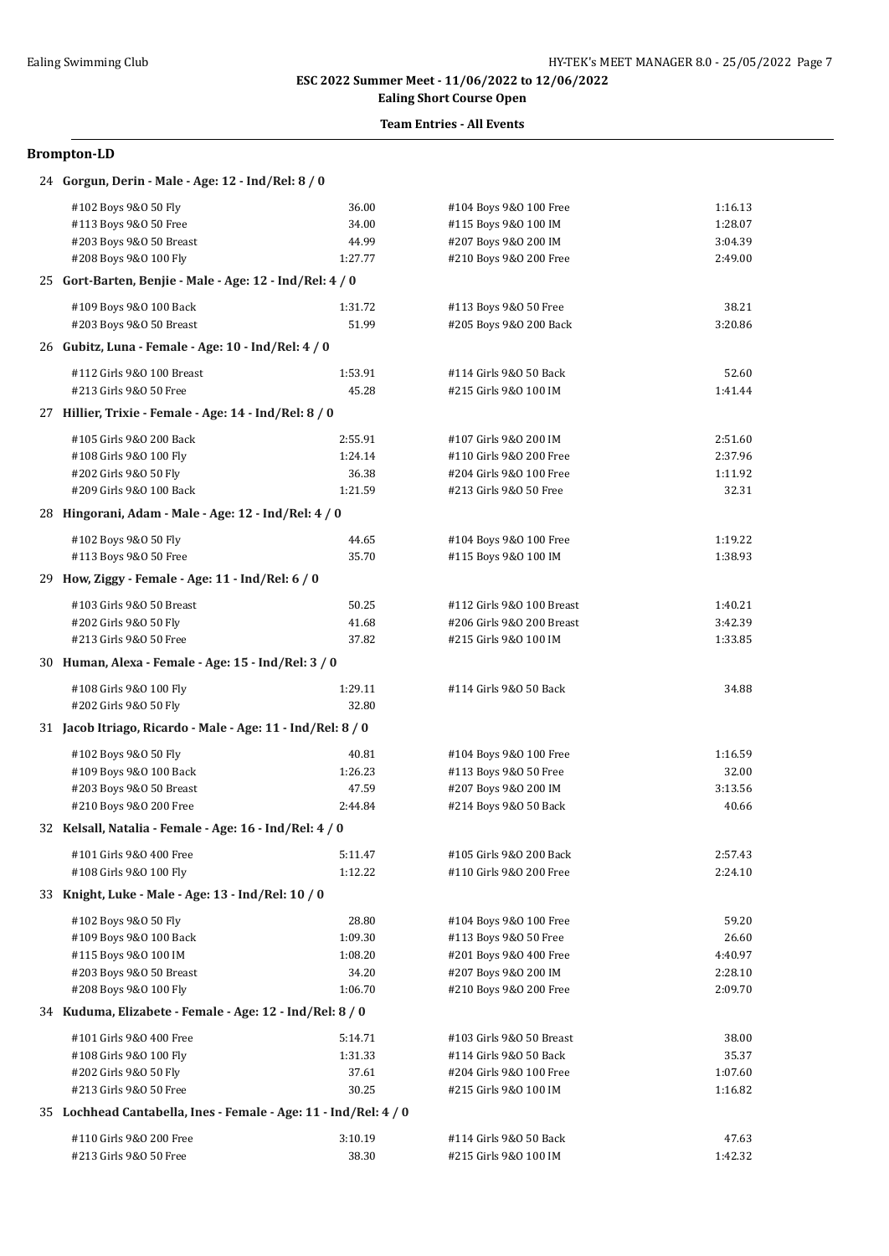## **Ealing Short Course Open**

### **Team Entries - All Events**

| 24 Gorgun, Derin - Male - Age: 12 - Ind/Rel: 8 / 0               |         |                           |         |
|------------------------------------------------------------------|---------|---------------------------|---------|
| #102 Boys 9&0 50 Fly                                             | 36.00   | #104 Boys 9&0 100 Free    | 1:16.13 |
| #113 Boys 9&0 50 Free                                            | 34.00   | #115 Boys 9&0 100 IM      | 1:28.07 |
| #203 Boys 9&0 50 Breast                                          | 44.99   | #207 Boys 9&0 200 IM      | 3:04.39 |
| #208 Boys 9&0 100 Fly                                            | 1:27.77 | #210 Boys 9&0 200 Free    | 2:49.00 |
| 25 Gort-Barten, Benjie - Male - Age: 12 - Ind/Rel: 4 / 0         |         |                           |         |
| #109 Boys 9&0 100 Back                                           | 1:31.72 | #113 Boys 9&0 50 Free     | 38.21   |
| #203 Boys 9&0 50 Breast                                          | 51.99   | #205 Boys 9&0 200 Back    | 3:20.86 |
| 26 Gubitz, Luna - Female - Age: 10 - Ind/Rel: 4 / 0              |         |                           |         |
| #112 Girls 9&0 100 Breast                                        | 1:53.91 | #114 Girls 9&0 50 Back    | 52.60   |
| #213 Girls 9&0 50 Free                                           | 45.28   | #215 Girls 9&0 100 IM     | 1:41.44 |
| 27 Hillier, Trixie - Female - Age: 14 - Ind/Rel: 8 / 0           |         |                           |         |
| #105 Girls 9&0 200 Back                                          | 2:55.91 | #107 Girls 9&0 200 IM     | 2:51.60 |
| #108 Girls 9&0 100 Fly                                           | 1:24.14 | #110 Girls 9&0 200 Free   | 2:37.96 |
| #202 Girls 9&0 50 Fly                                            | 36.38   | #204 Girls 9&0 100 Free   | 1:11.92 |
| #209 Girls 9&0 100 Back                                          | 1:21.59 | #213 Girls 9&0 50 Free    | 32.31   |
| 28 Hingorani, Adam - Male - Age: 12 - Ind/Rel: 4 / 0             |         |                           |         |
| #102 Boys 9&0 50 Fly                                             | 44.65   | #104 Boys 9&0 100 Free    | 1:19.22 |
| #113 Boys 9&0 50 Free                                            | 35.70   | #115 Boys 9&0 100 IM      | 1:38.93 |
| 29 How, Ziggy - Female - Age: 11 - Ind/Rel: 6 / 0                |         |                           |         |
| #103 Girls 9&0 50 Breast                                         | 50.25   | #112 Girls 9&0 100 Breast | 1:40.21 |
| #202 Girls 9&0 50 Fly                                            | 41.68   | #206 Girls 9&0 200 Breast | 3:42.39 |
| #213 Girls 9&0 50 Free                                           | 37.82   | #215 Girls 9&0 100 IM     | 1:33.85 |
| 30 Human, Alexa - Female - Age: 15 - Ind/Rel: 3 / 0              |         |                           |         |
| #108 Girls 9&0 100 Fly                                           | 1:29.11 | #114 Girls 9&0 50 Back    | 34.88   |
| #202 Girls 9&0 50 Fly                                            | 32.80   |                           |         |
| 31 Jacob Itriago, Ricardo - Male - Age: 11 - Ind/Rel: 8 / 0      |         |                           |         |
| #102 Boys 9&0 50 Fly                                             | 40.81   | #104 Boys 9&0 100 Free    | 1:16.59 |
| #109 Boys 9&0 100 Back                                           | 1:26.23 | #113 Boys 9&0 50 Free     | 32.00   |
| #203 Boys 9&0 50 Breast                                          | 47.59   | #207 Boys 9&0 200 IM      | 3:13.56 |
| #210 Boys 9&0 200 Free                                           | 2:44.84 | #214 Boys 9&0 50 Back     | 40.66   |
| 32 Kelsall, Natalia - Female - Age: 16 - Ind/Rel: 4 / 0          |         |                           |         |
| #101 Girls 9&0 400 Free                                          | 5:11.47 | #105 Girls 9&0 200 Back   | 2:57.43 |
| #108 Girls 9&0 100 Fly                                           | 1:12.22 | #110 Girls 9&0 200 Free   | 2:24.10 |
| 33 Knight, Luke - Male - Age: 13 - Ind/Rel: 10 / 0               |         |                           |         |
| #102 Boys 9&0 50 Fly                                             | 28.80   | #104 Boys 9&0 100 Free    | 59.20   |
| #109 Boys 9&0 100 Back                                           | 1:09.30 | #113 Boys 9&0 50 Free     | 26.60   |
| #115 Boys 9&0 100 IM                                             | 1:08.20 | #201 Boys 9&0 400 Free    | 4:40.97 |
| #203 Boys 9&0 50 Breast                                          | 34.20   | #207 Boys 9&0 200 IM      | 2:28.10 |
| #208 Boys 9&0 100 Fly                                            | 1:06.70 | #210 Boys 9&0 200 Free    | 2:09.70 |
| 34 Kuduma, Elizabete - Female - Age: 12 - Ind/Rel: 8 / 0         |         |                           |         |
| #101 Girls 9&0 400 Free                                          | 5:14.71 | #103 Girls 9&0 50 Breast  | 38.00   |
| #108 Girls 9&0 100 Fly                                           | 1:31.33 | #114 Girls 9&0 50 Back    | 35.37   |
| #202 Girls 9&0 50 Fly                                            | 37.61   | #204 Girls 9&0 100 Free   | 1:07.60 |
| #213 Girls 9&0 50 Free                                           | 30.25   | #215 Girls 9&0 100 IM     | 1:16.82 |
| 35 Lochhead Cantabella, Ines - Female - Age: 11 - Ind/Rel: 4 / 0 |         |                           |         |
| #110 Girls 9&0 200 Free                                          | 3:10.19 | #114 Girls 9&0 50 Back    | 47.63   |
| #213 Girls 9&0 50 Free                                           | 38.30   | #215 Girls 9&0 100 IM     | 1:42.32 |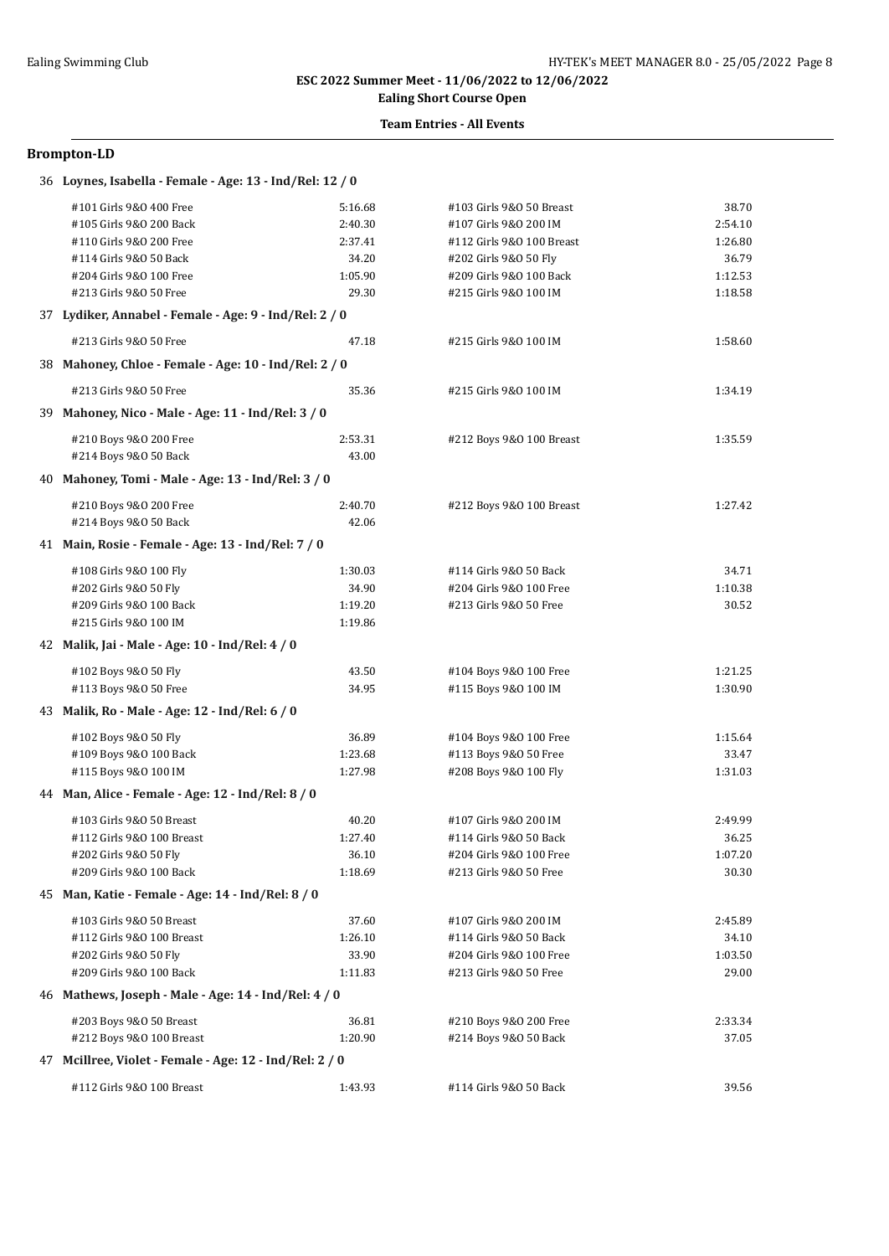# **Ealing Short Course Open**

### **Team Entries - All Events**

#### **Brompton-LD**

#### 36 **Loynes, Isabella - Female - Age: 13 - Ind/Rel: 12 / 0**

| #101 Girls 9&0 400 Free                                 | 5:16.68 | #103 Girls 9&0 50 Breast  | 38.70   |  |  |
|---------------------------------------------------------|---------|---------------------------|---------|--|--|
| #105 Girls 9&0 200 Back                                 | 2:40.30 | #107 Girls 9&0 200 IM     | 2:54.10 |  |  |
| #110 Girls 9&0 200 Free                                 | 2:37.41 | #112 Girls 9&0 100 Breast | 1:26.80 |  |  |
| #114 Girls 9&0 50 Back                                  | 34.20   | #202 Girls 9&0 50 Fly     | 36.79   |  |  |
| #204 Girls 9&0 100 Free                                 | 1:05.90 | #209 Girls 9&0 100 Back   | 1:12.53 |  |  |
| #213 Girls 9&0 50 Free                                  | 29.30   | #215 Girls 9&0 100 IM     | 1:18.58 |  |  |
| 37 Lydiker, Annabel - Female - Age: 9 - Ind/Rel: 2 / 0  |         |                           |         |  |  |
| #213 Girls 9&0 50 Free                                  | 47.18   | #215 Girls 9&0 100 IM     | 1:58.60 |  |  |
| 38 Mahoney, Chloe - Female - Age: 10 - Ind/Rel: 2 / 0   |         |                           |         |  |  |
| #213 Girls 9&0 50 Free                                  | 35.36   | #215 Girls 9&0 100 IM     | 1:34.19 |  |  |
| 39 Mahoney, Nico - Male - Age: 11 - Ind/Rel: 3 / 0      |         |                           |         |  |  |
| #210 Boys 9&0 200 Free                                  | 2:53.31 | #212 Boys 9&0 100 Breast  | 1:35.59 |  |  |
| #214 Boys 9&0 50 Back                                   | 43.00   |                           |         |  |  |
| 40 Mahoney, Tomi - Male - Age: 13 - Ind/Rel: 3 / 0      |         |                           |         |  |  |
| #210 Boys 9&0 200 Free                                  | 2:40.70 | #212 Boys 9&0 100 Breast  | 1:27.42 |  |  |
| #214 Boys 9&0 50 Back                                   | 42.06   |                           |         |  |  |
| 41 Main, Rosie - Female - Age: 13 - Ind/Rel: 7 / 0      |         |                           |         |  |  |
| #108 Girls 9&0 100 Fly                                  | 1:30.03 | #114 Girls 9&0 50 Back    | 34.71   |  |  |
| #202 Girls 9&0 50 Fly                                   | 34.90   | #204 Girls 9&0 100 Free   | 1:10.38 |  |  |
| #209 Girls 9&0 100 Back                                 | 1:19.20 | #213 Girls 9&0 50 Free    | 30.52   |  |  |
| #215 Girls 9&0 100 IM                                   | 1:19.86 |                           |         |  |  |
| 42 Malik, Jai - Male - Age: 10 - Ind/Rel: 4 / 0         |         |                           |         |  |  |
| #102 Boys 9&0 50 Fly                                    | 43.50   | #104 Boys 9&0 100 Free    | 1:21.25 |  |  |
| #113 Boys 9&0 50 Free                                   | 34.95   | #115 Boys 9&0 100 IM      | 1:30.90 |  |  |
| 43 Malik, Ro - Male - Age: 12 - Ind/Rel: 6 / 0          |         |                           |         |  |  |
| #102 Boys 9&0 50 Fly                                    | 36.89   | #104 Boys 9&0 100 Free    | 1:15.64 |  |  |
| #109 Boys 9&0 100 Back                                  | 1:23.68 | #113 Boys 9&0 50 Free     | 33.47   |  |  |
| #115 Boys 9&0 100 IM                                    | 1:27.98 | #208 Boys 9&0 100 Fly     | 1:31.03 |  |  |
| 44 Man, Alice - Female - Age: 12 - Ind/Rel: 8 / 0       |         |                           |         |  |  |
| #103 Girls 9&0 50 Breast                                | 40.20   | #107 Girls 9&0 200 IM     | 2:49.99 |  |  |
| #112 Girls 9&0 100 Breast                               | 1:27.40 | #114 Girls 9&0 50 Back    | 36.25   |  |  |
| #202 Girls 9&0 50 Fly                                   | 36.10   | #204 Girls 9&0 100 Free   | 1:07.20 |  |  |
| #209 Girls 9&0 100 Back                                 | 1:18.69 | #213 Girls 9&0 50 Free    | 30.30   |  |  |
| 45 Man, Katie - Female - Age: 14 - Ind/Rel: 8 / 0       |         |                           |         |  |  |
| #103 Girls 9&0 50 Breast                                | 37.60   | #107 Girls 9&0 200 IM     | 2:45.89 |  |  |
| #112 Girls 9&0 100 Breast                               | 1:26.10 | #114 Girls 9&0 50 Back    | 34.10   |  |  |
| #202 Girls 9&0 50 Fly                                   | 33.90   | #204 Girls 9&0 100 Free   | 1:03.50 |  |  |
| #209 Girls 9&0 100 Back                                 | 1:11.83 | #213 Girls 9&0 50 Free    | 29.00   |  |  |
| 46 Mathews, Joseph - Male - Age: 14 - Ind/Rel: 4 / 0    |         |                           |         |  |  |
| #203 Boys 9&0 50 Breast                                 | 36.81   | #210 Boys 9&0 200 Free    | 2:33.34 |  |  |
| #212 Boys 9&0 100 Breast                                | 1:20.90 | #214 Boys 9&0 50 Back     | 37.05   |  |  |
| 47 Mcillree, Violet - Female - Age: 12 - Ind/Rel: 2 / 0 |         |                           |         |  |  |
| #112 Girls 9&0 100 Breast                               | 1:43.93 | #114 Girls 9&0 50 Back    | 39.56   |  |  |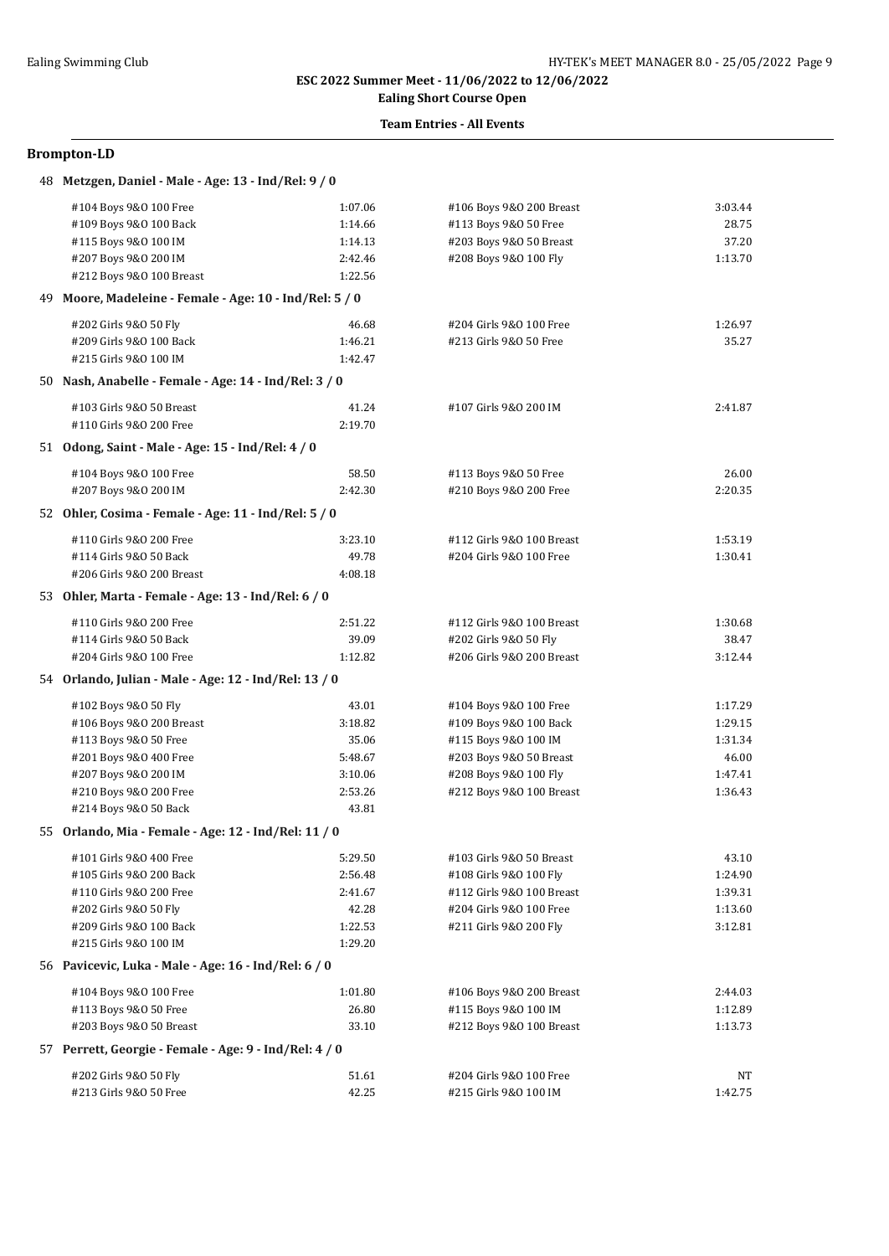## **Ealing Short Course Open**

### **Team Entries - All Events**

|     | 48 Metzgen, Daniel - Male - Age: 13 - Ind/Rel: 9 / 0                          |         |                           |         |
|-----|-------------------------------------------------------------------------------|---------|---------------------------|---------|
|     | #104 Boys 9&0 100 Free                                                        | 1:07.06 | #106 Boys 9&0 200 Breast  | 3:03.44 |
|     | #109 Boys 9&0 100 Back                                                        | 1:14.66 | #113 Boys 9&0 50 Free     | 28.75   |
|     | #115 Boys 9&0 100 IM                                                          | 1:14.13 | #203 Boys 9&0 50 Breast   | 37.20   |
|     | #207 Boys 9&0 200 IM                                                          | 2:42.46 | #208 Boys 9&0 100 Fly     | 1:13.70 |
|     | #212 Boys 9&0 100 Breast                                                      | 1:22.56 |                           |         |
| 49. | Moore, Madeleine - Female - Age: 10 - Ind/Rel: 5 / 0                          |         |                           |         |
|     | #202 Girls 9&0 50 Fly                                                         | 46.68   | #204 Girls 9&0 100 Free   | 1:26.97 |
|     | #209 Girls 9&0 100 Back                                                       | 1:46.21 | #213 Girls 9&0 50 Free    | 35.27   |
|     | #215 Girls 9&0 100 IM                                                         | 1:42.47 |                           |         |
|     | 50 Nash, Anabelle - Female - Age: 14 - Ind/Rel: 3 / 0                         |         |                           |         |
|     | #103 Girls 9&0 50 Breast                                                      | 41.24   | #107 Girls 9&0 200 IM     | 2:41.87 |
|     | #110 Girls 9&0 200 Free                                                       | 2:19.70 |                           |         |
|     | 51 Odong, Saint - Male - Age: 15 - Ind/Rel: 4 / 0                             |         |                           |         |
|     | #104 Boys 9&0 100 Free                                                        | 58.50   | #113 Boys 9&0 50 Free     | 26.00   |
|     | #207 Boys 9&0 200 IM                                                          | 2:42.30 | #210 Boys 9&0 200 Free    | 2:20.35 |
|     | 52 Ohler, Cosima - Female - Age: 11 - Ind/Rel: 5 / 0                          |         |                           |         |
|     | #110 Girls 9&0 200 Free                                                       | 3:23.10 | #112 Girls 9&0 100 Breast | 1:53.19 |
|     | #114 Girls 9&0 50 Back                                                        | 49.78   | #204 Girls 9&0 100 Free   | 1:30.41 |
|     | #206 Girls 9&0 200 Breast                                                     | 4:08.18 |                           |         |
|     | 53 Ohler, Marta - Female - Age: 13 - Ind/Rel: 6 / 0                           |         |                           |         |
|     |                                                                               |         |                           |         |
|     | #110 Girls 9&0 200 Free                                                       | 2:51.22 | #112 Girls 9&0 100 Breast | 1:30.68 |
|     | #114 Girls 9&0 50 Back                                                        | 39.09   | #202 Girls 9&0 50 Fly     | 38.47   |
|     | #204 Girls 9&0 100 Free                                                       | 1:12.82 | #206 Girls 9&0 200 Breast | 3:12.44 |
|     | 54 Orlando, Julian - Male - Age: 12 - Ind/Rel: 13 / 0                         |         |                           |         |
|     | #102 Boys 9&0 50 Fly                                                          | 43.01   | #104 Boys 9&0 100 Free    | 1:17.29 |
|     | #106 Boys 9&0 200 Breast                                                      | 3:18.82 | #109 Boys 9&0 100 Back    | 1:29.15 |
|     | #113 Boys 9&0 50 Free                                                         | 35.06   | #115 Boys 9&0 100 IM      | 1:31.34 |
|     | #201 Boys 9&0 400 Free                                                        | 5:48.67 | #203 Boys 9&0 50 Breast   | 46.00   |
|     | #207 Boys 9&0 200 IM                                                          | 3:10.06 | #208 Boys 9&0 100 Fly     | 1:47.41 |
|     | #210 Boys 9&0 200 Free                                                        | 2:53.26 | #212 Boys 9&0 100 Breast  | 1:36.43 |
|     | #214 Boys 9&0 50 Back<br>55 Orlando, Mia - Female - Age: 12 - Ind/Rel: 11 / 0 | 43.81   |                           |         |
|     |                                                                               |         |                           |         |
|     | #101 Girls 9&0 400 Free                                                       | 5:29.50 | #103 Girls 9&0 50 Breast  | 43.10   |
|     | #105 Girls 9&0 200 Back                                                       | 2:56.48 | #108 Girls 9&0 100 Fly    | 1:24.90 |
|     | #110 Girls 9&0 200 Free                                                       | 2:41.67 | #112 Girls 9&0 100 Breast | 1:39.31 |
|     | #202 Girls 9&0 50 Fly                                                         | 42.28   | #204 Girls 9&0 100 Free   | 1:13.60 |
|     | #209 Girls 9&0 100 Back                                                       | 1:22.53 | #211 Girls 9&0 200 Fly    | 3:12.81 |
|     | #215 Girls 9&0 100 IM                                                         | 1:29.20 |                           |         |
|     | 56 Pavicevic, Luka - Male - Age: 16 - Ind/Rel: 6 / 0                          |         |                           |         |
|     | #104 Boys 9&0 100 Free                                                        | 1:01.80 | #106 Boys 9&0 200 Breast  | 2:44.03 |
|     | #113 Boys 9&0 50 Free                                                         | 26.80   | #115 Boys 9&0 100 IM      | 1:12.89 |
|     | #203 Boys 9&0 50 Breast                                                       | 33.10   | #212 Boys 9&0 100 Breast  | 1:13.73 |
|     | 57 Perrett, Georgie - Female - Age: 9 - Ind/Rel: 4 / 0                        |         |                           |         |
|     | #202 Girls 9&0 50 Fly                                                         | 51.61   | #204 Girls 9&0 100 Free   | NΤ      |
|     | #213 Girls 9&0 50 Free                                                        | 42.25   | #215 Girls 9&0 100 IM     | 1:42.75 |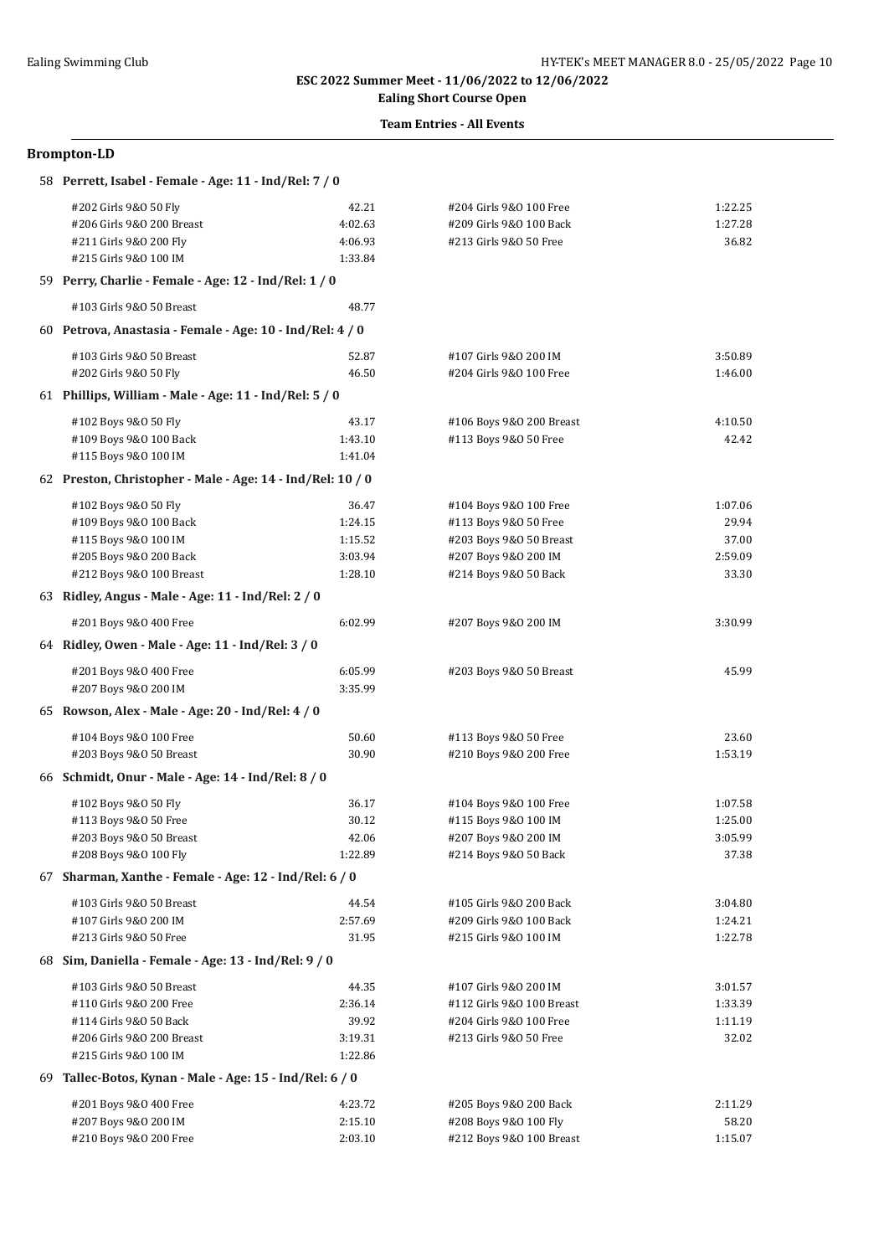## **Ealing Short Course Open**

### **Team Entries - All Events**

| 58 Perrett, Isabel - Female - Age: 11 - Ind/Rel: 7 / 0     |                    |                                                    |                    |
|------------------------------------------------------------|--------------------|----------------------------------------------------|--------------------|
| #202 Girls 9&0 50 Fly<br>#206 Girls 9&0 200 Breast         | 42.21<br>4:02.63   | #204 Girls 9&0 100 Free<br>#209 Girls 9&0 100 Back | 1:22.25<br>1:27.28 |
| #211 Girls 9&0 200 Fly<br>#215 Girls 9&0 100 IM            | 4:06.93<br>1:33.84 | #213 Girls 9&0 50 Free                             | 36.82              |
| 59 Perry, Charlie - Female - Age: 12 - Ind/Rel: 1 / 0      |                    |                                                    |                    |
| #103 Girls 9&0 50 Breast                                   | 48.77              |                                                    |                    |
| 60 Petrova, Anastasia - Female - Age: 10 - Ind/Rel: 4 / 0  |                    |                                                    |                    |
| #103 Girls 9&0 50 Breast                                   | 52.87              | #107 Girls 9&0 200 IM                              | 3:50.89            |
| #202 Girls 9&0 50 Fly                                      | 46.50              | #204 Girls 9&0 100 Free                            | 1:46.00            |
| 61 Phillips, William - Male - Age: $11$ - Ind/Rel: $5/0$   |                    |                                                    |                    |
| #102 Boys 9&0 50 Fly                                       | 43.17              | #106 Boys 9&0 200 Breast                           | 4:10.50            |
| #109 Boys 9&0 100 Back                                     | 1:43.10            | #113 Boys 9&0 50 Free                              | 42.42              |
| #115 Boys 9&0 100 IM                                       | 1:41.04            |                                                    |                    |
| 62 Preston, Christopher - Male - Age: 14 - Ind/Rel: 10 / 0 |                    |                                                    |                    |
| #102 Boys 9&0 50 Fly                                       | 36.47              | #104 Boys 9&0 100 Free                             | 1:07.06            |
| #109 Boys 9&0 100 Back                                     | 1:24.15            | #113 Boys 9&0 50 Free                              | 29.94              |
| #115 Boys 9&0 100 IM                                       | 1:15.52            | #203 Boys 9&0 50 Breast                            | 37.00              |
| #205 Boys 9&0 200 Back                                     | 3:03.94            | #207 Boys 9&0 200 IM                               | 2:59.09            |
| #212 Boys 9&0 100 Breast                                   | 1:28.10            | #214 Boys 9&0 50 Back                              | 33.30              |
| 63 Ridley, Angus - Male - Age: 11 - Ind/Rel: 2 / 0         |                    |                                                    |                    |
| #201 Boys 9&0 400 Free                                     | 6:02.99            | #207 Boys 9&0 200 IM                               | 3:30.99            |
| 64 Ridley, Owen - Male - Age: 11 - Ind/Rel: 3 / 0          |                    |                                                    |                    |
| #201 Boys 9&0 400 Free                                     | 6:05.99            | #203 Boys 9&0 50 Breast                            | 45.99              |
| #207 Boys 9&0 200 IM                                       | 3:35.99            |                                                    |                    |
| 65 Rowson, Alex - Male - Age: 20 - Ind/Rel: 4 / 0          |                    |                                                    |                    |
| #104 Boys 9&0 100 Free                                     | 50.60              | #113 Boys 9&0 50 Free                              | 23.60              |
| #203 Boys 9&0 50 Breast                                    | 30.90              | #210 Boys 9&0 200 Free                             | 1:53.19            |
| 66 Schmidt, Onur - Male - Age: 14 - Ind/Rel: 8 / 0         |                    |                                                    |                    |
| #102 Boys 9&0 50 Fly                                       | 36.17              | #104 Boys 9&0 100 Free                             | 1:07.58            |
| #113 Boys 9&0 50 Free                                      | 30.12              | #115 Boys 9&0 100 IM                               | 1:25.00            |
| #203 Boys 9&0 50 Breast                                    | 42.06              | #207 Boys 9&0 200 IM                               | 3:05.99            |
| #208 Boys 9&0 100 Fly                                      | 1:22.89            | #214 Boys 9&0 50 Back                              | 37.38              |
| 67 Sharman, Xanthe - Female - Age: 12 - Ind/Rel: 6 / 0     |                    |                                                    |                    |
| #103 Girls 9&0 50 Breast                                   | 44.54              | #105 Girls 9&0 200 Back                            | 3:04.80            |
| #107 Girls 9&0 200 IM                                      | 2:57.69            | #209 Girls 9&0 100 Back                            | 1:24.21            |
| #213 Girls 9&0 50 Free                                     | 31.95              | #215 Girls 9&0 100 IM                              | 1:22.78            |
| 68 Sim, Daniella - Female - Age: 13 - Ind/Rel: 9 / 0       |                    |                                                    |                    |
| #103 Girls 9&0 50 Breast                                   | 44.35              | #107 Girls 9&0 200 IM                              | 3:01.57            |
| #110 Girls 9&0 200 Free                                    | 2:36.14            | #112 Girls 9&0 100 Breast                          | 1:33.39            |
| #114 Girls 9&0 50 Back                                     | 39.92              | #204 Girls 9&0 100 Free                            | 1:11.19            |
| #206 Girls 9&0 200 Breast                                  | 3:19.31            | #213 Girls 9&0 50 Free                             | 32.02              |
| #215 Girls 9&0 100 IM                                      | 1:22.86            |                                                    |                    |
| 69 Tallec-Botos, Kynan - Male - Age: 15 - Ind/Rel: 6 / 0   |                    |                                                    |                    |
| #201 Boys 9&0 400 Free                                     | 4:23.72            | #205 Boys 9&0 200 Back                             | 2:11.29            |
| #207 Boys 9&0 200 IM                                       | 2:15.10            | #208 Boys 9&0 100 Fly                              | 58.20              |
| #210 Boys 9&0 200 Free                                     | 2:03.10            | #212 Boys 9&0 100 Breast                           | 1:15.07            |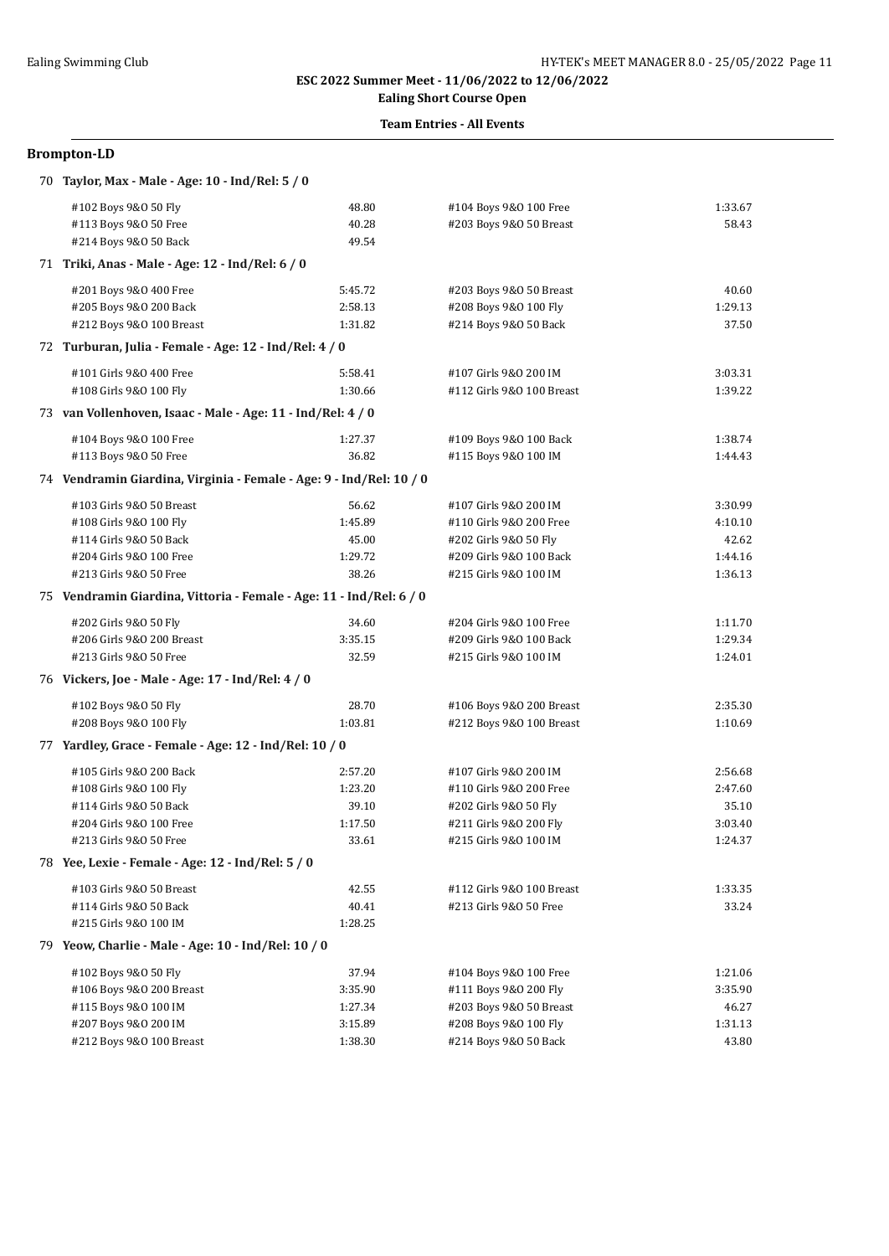# **Ealing Short Course Open**

### **Team Entries - All Events**

| 70 Taylor, Max - Male - Age: 10 - Ind/Rel: 5 / 0                    |         |                           |         |  |  |
|---------------------------------------------------------------------|---------|---------------------------|---------|--|--|
| #102 Boys 9&0 50 Fly                                                | 48.80   | #104 Boys 9&0 100 Free    | 1:33.67 |  |  |
| #113 Boys 9&0 50 Free                                               | 40.28   | #203 Boys 9&0 50 Breast   | 58.43   |  |  |
| #214 Boys 9&0 50 Back                                               | 49.54   |                           |         |  |  |
| 71 Triki, Anas - Male - Age: 12 - Ind/Rel: 6 / 0                    |         |                           |         |  |  |
| #201 Boys 9&0 400 Free                                              | 5:45.72 | #203 Boys 9&0 50 Breast   | 40.60   |  |  |
| #205 Boys 9&0 200 Back                                              | 2:58.13 | #208 Boys 9&0 100 Fly     | 1:29.13 |  |  |
| #212 Boys 9&0 100 Breast                                            | 1:31.82 | #214 Boys 9&0 50 Back     | 37.50   |  |  |
| 72 Turburan, Julia - Female - Age: 12 - Ind/Rel: 4 / 0              |         |                           |         |  |  |
| #101 Girls 9&0 400 Free                                             | 5:58.41 | #107 Girls 9&0 200 IM     | 3:03.31 |  |  |
| #108 Girls 9&0 100 Fly                                              | 1:30.66 | #112 Girls 9&0 100 Breast | 1:39.22 |  |  |
| 73 van Vollenhoven, Isaac - Male - Age: 11 - Ind/Rel: 4 / 0         |         |                           |         |  |  |
| #104 Boys 9&0 100 Free                                              | 1:27.37 | #109 Boys 9&0 100 Back    | 1:38.74 |  |  |
| #113 Boys 9&0 50 Free                                               | 36.82   | #115 Boys 9&0 100 IM      | 1:44.43 |  |  |
| 74 Vendramin Giardina, Virginia - Female - Age: 9 - Ind/Rel: 10 / 0 |         |                           |         |  |  |
| #103 Girls 9&0 50 Breast                                            | 56.62   | #107 Girls 9&0 200 IM     | 3:30.99 |  |  |
| #108 Girls 9&0 100 Fly                                              | 1:45.89 | #110 Girls 9&0 200 Free   | 4:10.10 |  |  |
| #114 Girls 9&0 50 Back                                              | 45.00   | #202 Girls 9&0 50 Fly     | 42.62   |  |  |
| #204 Girls 9&0 100 Free                                             | 1:29.72 | #209 Girls 9&0 100 Back   | 1:44.16 |  |  |
| #213 Girls 9&0 50 Free                                              | 38.26   | #215 Girls 9&0 100 IM     | 1:36.13 |  |  |
| 75 Vendramin Giardina, Vittoria - Female - Age: 11 - Ind/Rel: 6 / 0 |         |                           |         |  |  |
| #202 Girls 9&0 50 Fly                                               | 34.60   | #204 Girls 9&0 100 Free   | 1:11.70 |  |  |
| #206 Girls 9&0 200 Breast                                           | 3:35.15 | #209 Girls 9&0 100 Back   | 1:29.34 |  |  |
| #213 Girls 9&0 50 Free                                              | 32.59   | #215 Girls 9&0 100 IM     | 1:24.01 |  |  |
| 76 Vickers, Joe - Male - Age: 17 - Ind/Rel: 4 / 0                   |         |                           |         |  |  |
| #102 Boys 9&0 50 Fly                                                | 28.70   | #106 Boys 9&0 200 Breast  | 2:35.30 |  |  |
| #208 Boys 9&0 100 Fly                                               | 1:03.81 | #212 Boys 9&0 100 Breast  | 1:10.69 |  |  |
| 77 Yardley, Grace - Female - Age: 12 - Ind/Rel: 10 / 0              |         |                           |         |  |  |
| #105 Girls 9&0 200 Back                                             | 2:57.20 | #107 Girls 9&0 200 IM     | 2:56.68 |  |  |
| #108 Girls 9&0 100 Fly                                              | 1:23.20 | #110 Girls 9&0 200 Free   | 2:47.60 |  |  |
| #114 Girls 9&0 50 Back                                              | 39.10   | #202 Girls 9&0 50 Fly     | 35.10   |  |  |
| #204 Girls 9&0 100 Free                                             | 1:17.50 | #211 Girls 9&0 200 Fly    | 3:03.40 |  |  |
| #213 Girls 9&0 50 Free                                              | 33.61   | #215 Girls 9&0 100 IM     | 1:24.37 |  |  |
| 78 Yee, Lexie - Female - Age: 12 - Ind/Rel: 5 / 0                   |         |                           |         |  |  |
| #103 Girls 9&0 50 Breast                                            | 42.55   | #112 Girls 9&0 100 Breast | 1:33.35 |  |  |
| #114 Girls 9&0 50 Back                                              | 40.41   | #213 Girls 9&0 50 Free    | 33.24   |  |  |
| #215 Girls 9&0 100 IM                                               | 1:28.25 |                           |         |  |  |
| 79 Yeow, Charlie - Male - Age: 10 - Ind/Rel: 10 / 0                 |         |                           |         |  |  |
| #102 Boys 9&0 50 Fly                                                | 37.94   | #104 Boys 9&0 100 Free    | 1:21.06 |  |  |
| #106 Boys 9&0 200 Breast                                            | 3:35.90 | #111 Boys 9&0 200 Fly     | 3:35.90 |  |  |
| #115 Boys 9&0 100 IM                                                | 1:27.34 | #203 Boys 9&0 50 Breast   | 46.27   |  |  |
| #207 Boys 9&0 200 IM                                                | 3:15.89 | #208 Boys 9&0 100 Fly     | 1:31.13 |  |  |
| #212 Boys 9&0 100 Breast                                            | 1:38.30 | #214 Boys 9&0 50 Back     | 43.80   |  |  |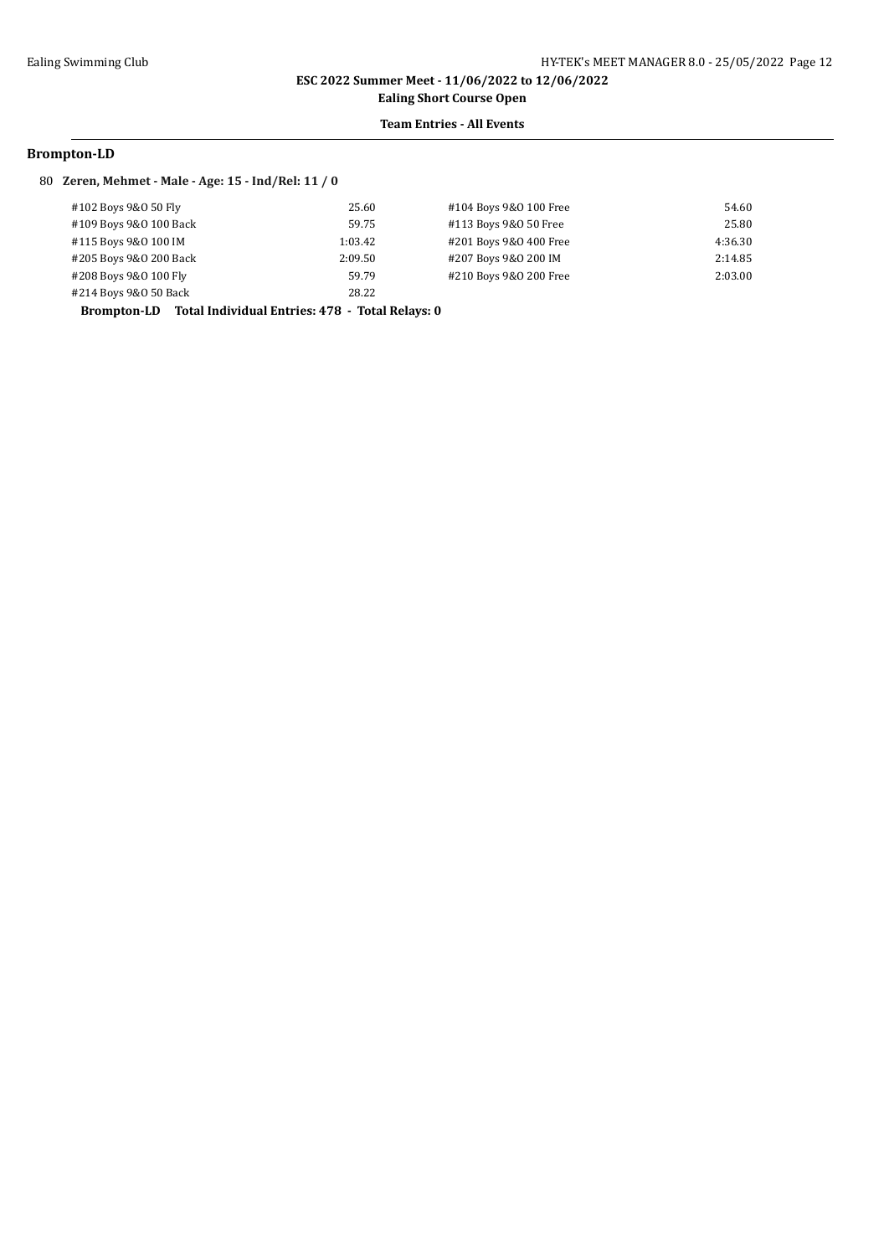**Ealing Short Course Open**

### **Team Entries - All Events**

#### **Brompton-LD**

#### 80 **Zeren, Mehmet - Male - Age: 15 - Ind/Rel: 11 / 0**

| #102 Boys 9&0 50 Fly   | 25.60   | #104 Boys 9&0 100 Free | 54.60   |
|------------------------|---------|------------------------|---------|
| #109 Boys 9&0 100 Back | 59.75   | #113 Boys 9&0 50 Free  | 25.80   |
| #115 Boys 9&0 100 IM   | 1:03.42 | #201 Boys 9&0 400 Free | 4:36.30 |
| #205 Boys 9&0 200 Back | 2:09.50 | #207 Boys 9&0 200 IM   | 2:14.85 |
| #208 Boys 9&0 100 Fly  | 59.79   | #210 Boys 9&0 200 Free | 2:03.00 |
| #214 Boys 9&0 50 Back  | 28.22   |                        |         |

**Brompton-LD Total Individual Entries: 478 - Total Relays: 0**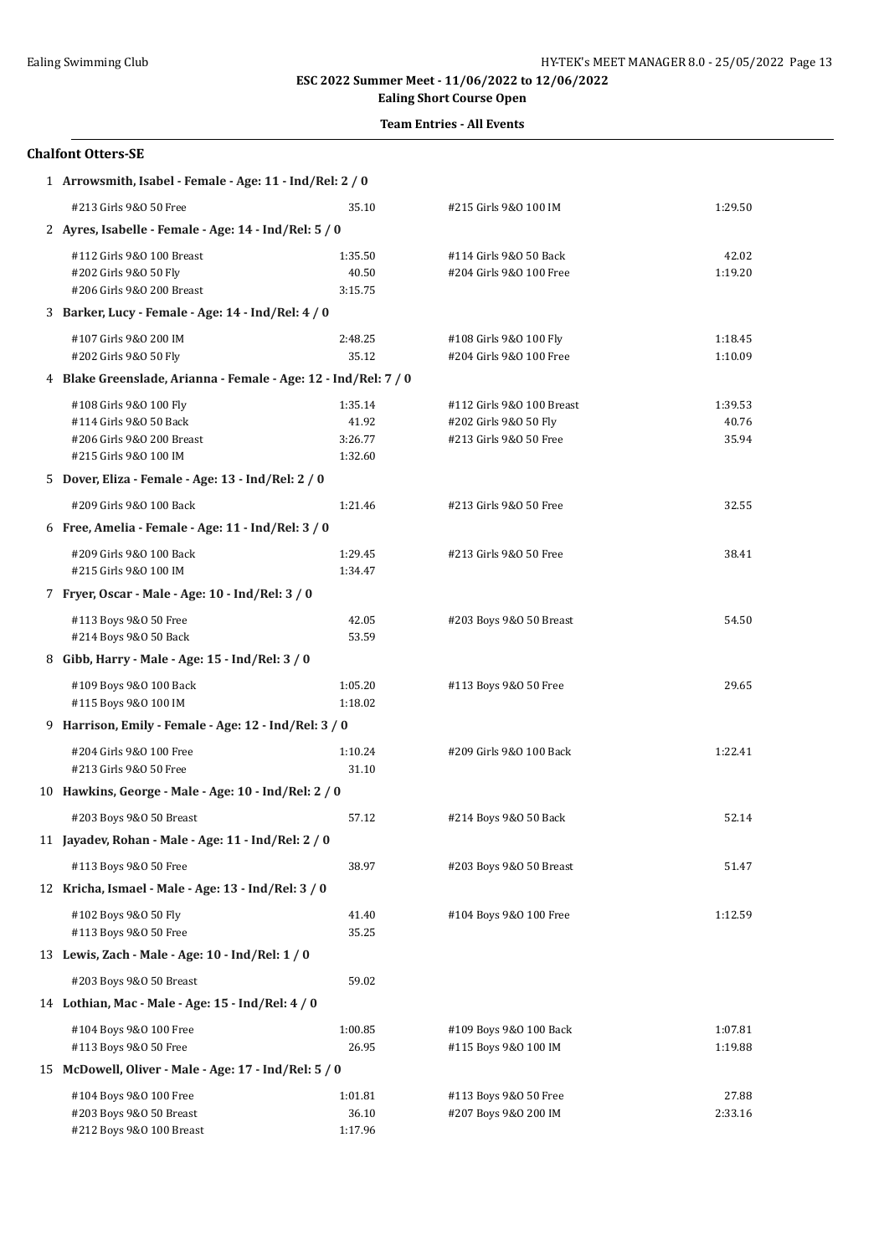# **Ealing Short Course Open**

## **Team Entries - All Events**

### **Chalfont Otters-SE**

| 1 Arrowsmith, Isabel - Female - Age: 11 - Ind/Rel: 2 / 0                                               |                                        |                                                                              |                           |  |  |
|--------------------------------------------------------------------------------------------------------|----------------------------------------|------------------------------------------------------------------------------|---------------------------|--|--|
| #213 Girls 9&0 50 Free                                                                                 | 35.10                                  | #215 Girls 9&0 100 IM                                                        | 1:29.50                   |  |  |
| 2 Ayres, Isabelle - Female - Age: 14 - Ind/Rel: 5 / 0                                                  |                                        |                                                                              |                           |  |  |
| #112 Girls 9&0 100 Breast<br>#202 Girls 9&0 50 Fly<br>#206 Girls 9&0 200 Breast                        | 1:35.50<br>40.50<br>3:15.75            | #114 Girls 9&0 50 Back<br>#204 Girls 9&0 100 Free                            | 42.02<br>1:19.20          |  |  |
| 3 Barker, Lucy - Female - Age: 14 - Ind/Rel: 4 / 0                                                     |                                        |                                                                              |                           |  |  |
| #107 Girls 9&0 200 IM<br>#202 Girls 9&0 50 Fly                                                         | 2:48.25<br>35.12                       | #108 Girls 9&0 100 Fly<br>#204 Girls 9&0 100 Free                            | 1:18.45<br>1:10.09        |  |  |
| 4 Blake Greenslade, Arianna - Female - Age: 12 - Ind/Rel: 7 / 0                                        |                                        |                                                                              |                           |  |  |
| #108 Girls 9&0 100 Fly<br>#114 Girls 9&0 50 Back<br>#206 Girls 9&0 200 Breast<br>#215 Girls 9&0 100 IM | 1:35.14<br>41.92<br>3:26.77<br>1:32.60 | #112 Girls 9&0 100 Breast<br>#202 Girls 9&0 50 Fly<br>#213 Girls 9&0 50 Free | 1:39.53<br>40.76<br>35.94 |  |  |
| 5 Dover, Eliza - Female - Age: 13 - Ind/Rel: 2 / 0                                                     |                                        |                                                                              |                           |  |  |
| #209 Girls 9&0 100 Back                                                                                | 1:21.46                                | #213 Girls 9&0 50 Free                                                       | 32.55                     |  |  |
| 6 Free, Amelia - Female - Age: 11 - Ind/Rel: 3 / 0                                                     |                                        |                                                                              |                           |  |  |
| #209 Girls 9&0 100 Back<br>#215 Girls 9&0 100 IM                                                       | 1:29.45<br>1:34.47                     | #213 Girls 9&0 50 Free                                                       | 38.41                     |  |  |
| 7 Fryer, Oscar - Male - Age: 10 - Ind/Rel: 3 / 0                                                       |                                        |                                                                              |                           |  |  |
| #113 Boys 9&0 50 Free<br>#214 Boys 9&0 50 Back                                                         | 42.05<br>53.59                         | #203 Boys 9&0 50 Breast                                                      | 54.50                     |  |  |
| 8 Gibb, Harry - Male - Age: 15 - Ind/Rel: 3 / 0                                                        |                                        |                                                                              |                           |  |  |
| #109 Boys 9&0 100 Back<br>#115 Boys 9&0 100 IM                                                         | 1:05.20<br>1:18.02                     | #113 Boys 9&0 50 Free                                                        | 29.65                     |  |  |
| 9 Harrison, Emily - Female - Age: 12 - Ind/Rel: 3 / 0                                                  |                                        |                                                                              |                           |  |  |
| #204 Girls 9&0 100 Free<br>#213 Girls 9&0 50 Free                                                      | 1:10.24<br>31.10                       | #209 Girls 9&0 100 Back                                                      | 1:22.41                   |  |  |
| 10 Hawkins, George - Male - Age: 10 - Ind/Rel: 2 / 0                                                   |                                        |                                                                              |                           |  |  |
| #203 Boys 9&0 50 Breast                                                                                | 57.12                                  | #214 Boys 9&0 50 Back                                                        | 52.14                     |  |  |
| 11 Jayadev, Rohan - Male - Age: 11 - Ind/Rel: 2 / 0                                                    |                                        |                                                                              |                           |  |  |
| #113 Boys 9&0 50 Free                                                                                  | 38.97                                  | #203 Boys 9&0 50 Breast                                                      | 51.47                     |  |  |
| 12 Kricha, Ismael - Male - Age: 13 - Ind/Rel: 3 / 0                                                    |                                        |                                                                              |                           |  |  |
| #102 Boys 9&0 50 Fly<br>#113 Boys 9&0 50 Free                                                          | 41.40<br>35.25                         | #104 Boys 9&0 100 Free                                                       | 1:12.59                   |  |  |
| 13 Lewis, Zach - Male - Age: 10 - Ind/Rel: 1 / 0                                                       |                                        |                                                                              |                           |  |  |
| #203 Boys 9&0 50 Breast                                                                                | 59.02                                  |                                                                              |                           |  |  |
| 14 Lothian, Mac - Male - Age: 15 - Ind/Rel: 4 / 0                                                      |                                        |                                                                              |                           |  |  |
| #104 Boys 9&0 100 Free<br>#113 Boys 9&0 50 Free                                                        | 1:00.85<br>26.95                       | #109 Boys 9&0 100 Back<br>#115 Boys 9&0 100 IM                               | 1:07.81<br>1:19.88        |  |  |
| 15 McDowell, Oliver - Male - Age: 17 - Ind/Rel: 5 / 0                                                  |                                        |                                                                              |                           |  |  |
| #104 Boys 9&0 100 Free<br>#203 Boys 9&0 50 Breast<br>#212 Boys 9&0 100 Breast                          | 1:01.81<br>36.10<br>1:17.96            | #113 Boys 9&0 50 Free<br>#207 Boys 9&0 200 IM                                | 27.88<br>2:33.16          |  |  |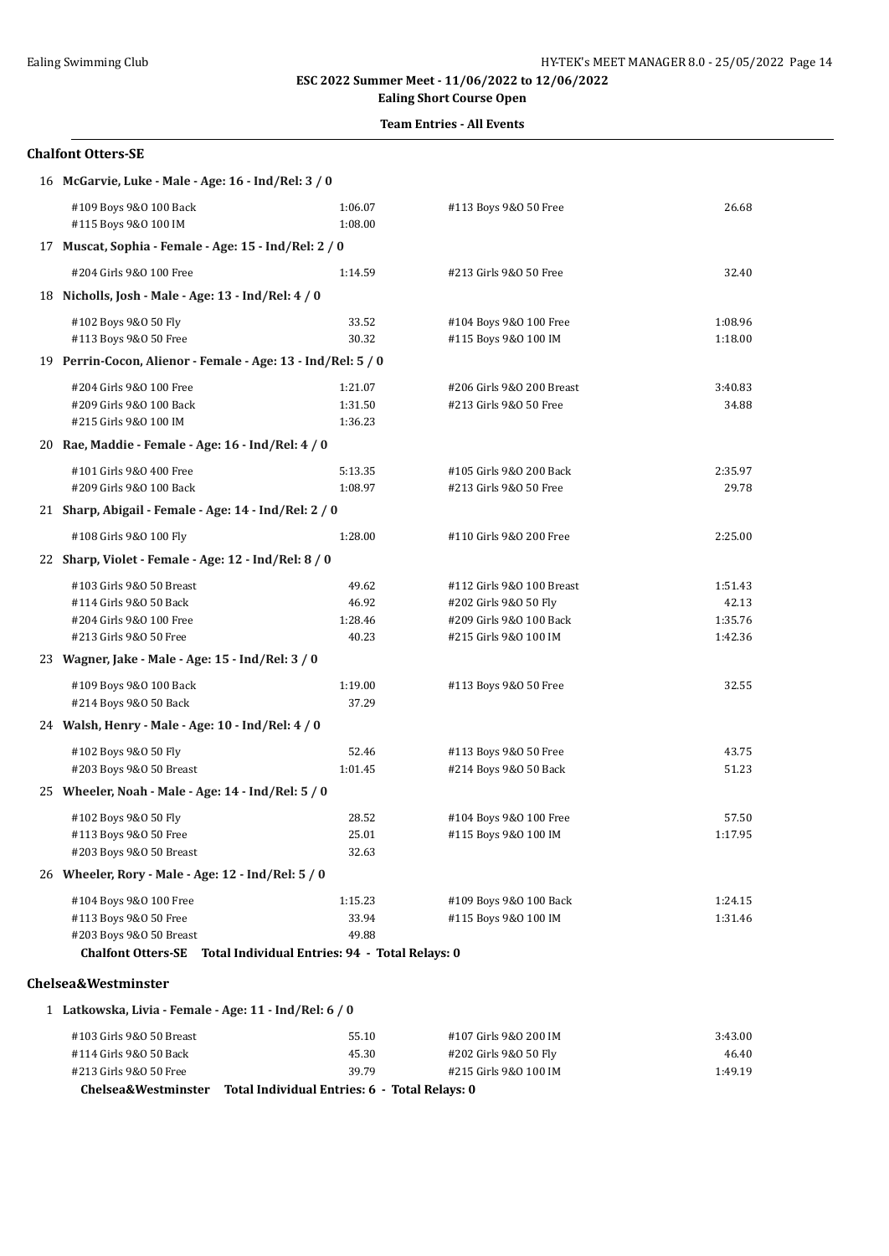# **Ealing Short Course Open**

## **Team Entries - All Events**

#### **Chalfont Otters-SE**

| 16 McGarvie, Luke - Male - Age: 16 - Ind/Rel: 3 / 0                                                                                             |                                    |                                                                                                        |                                        |
|-------------------------------------------------------------------------------------------------------------------------------------------------|------------------------------------|--------------------------------------------------------------------------------------------------------|----------------------------------------|
| #109 Boys 9&0 100 Back<br>#115 Boys 9&0 100 IM                                                                                                  | 1:06.07<br>1:08.00                 | #113 Boys 9&0 50 Free                                                                                  | 26.68                                  |
| 17 Muscat, Sophia - Female - Age: 15 - Ind/Rel: 2 / 0                                                                                           |                                    |                                                                                                        |                                        |
| #204 Girls 9&0 100 Free                                                                                                                         | 1:14.59                            | #213 Girls 9&0 50 Free                                                                                 | 32.40                                  |
| 18 Nicholls, Josh - Male - Age: 13 - Ind/Rel: 4 / 0                                                                                             |                                    |                                                                                                        |                                        |
| #102 Boys 9&0 50 Fly<br>#113 Boys 9&0 50 Free                                                                                                   | 33.52<br>30.32                     | #104 Boys 9&0 100 Free<br>#115 Boys 9&0 100 IM                                                         | 1:08.96<br>1:18.00                     |
| 19 Perrin-Cocon, Alienor - Female - Age: 13 - Ind/Rel: 5 / 0                                                                                    |                                    |                                                                                                        |                                        |
| #204 Girls 9&0 100 Free<br>#209 Girls 9&0 100 Back<br>#215 Girls 9&0 100 IM                                                                     | 1:21.07<br>1:31.50<br>1:36.23      | #206 Girls 9&0 200 Breast<br>#213 Girls 9&0 50 Free                                                    | 3:40.83<br>34.88                       |
| 20 Rae, Maddie - Female - Age: 16 - Ind/Rel: 4 / 0                                                                                              |                                    |                                                                                                        |                                        |
| #101 Girls 9&0 400 Free<br>#209 Girls 9&0 100 Back                                                                                              | 5:13.35<br>1:08.97                 | #105 Girls 9&0 200 Back<br>#213 Girls 9&0 50 Free                                                      | 2:35.97<br>29.78                       |
| 21 Sharp, Abigail - Female - Age: 14 - Ind/Rel: 2 / 0                                                                                           |                                    |                                                                                                        |                                        |
| #108 Girls 9&0 100 Fly                                                                                                                          | 1:28.00                            | #110 Girls 9&0 200 Free                                                                                | 2:25.00                                |
| 22 Sharp, Violet - Female - Age: 12 - Ind/Rel: 8 / 0                                                                                            |                                    |                                                                                                        |                                        |
| #103 Girls 9&0 50 Breast<br>#114 Girls 9&0 50 Back<br>#204 Girls 9&0 100 Free<br>#213 Girls 9&0 50 Free                                         | 49.62<br>46.92<br>1:28.46<br>40.23 | #112 Girls 9&0 100 Breast<br>#202 Girls 9&0 50 Fly<br>#209 Girls 9&0 100 Back<br>#215 Girls 9&0 100 IM | 1:51.43<br>42.13<br>1:35.76<br>1:42.36 |
| 23 Wagner, Jake - Male - Age: 15 - Ind/Rel: 3 / 0                                                                                               |                                    |                                                                                                        |                                        |
| #109 Boys 9&0 100 Back<br>#214 Boys 9&0 50 Back                                                                                                 | 1:19.00<br>37.29                   | #113 Boys 9&0 50 Free                                                                                  | 32.55                                  |
| 24 Walsh, Henry - Male - Age: 10 - Ind/Rel: 4 / 0                                                                                               |                                    |                                                                                                        |                                        |
| #102 Boys 9&0 50 Fly<br>#203 Boys 9&0 50 Breast                                                                                                 | 52.46<br>1:01.45                   | #113 Boys 9&0 50 Free<br>#214 Boys 9&0 50 Back                                                         | 43.75<br>51.23                         |
| 25 Wheeler, Noah - Male - Age: 14 - Ind/Rel: 5 / 0                                                                                              |                                    |                                                                                                        |                                        |
| #102 Boys 9&0 50 Fly<br>#113 Boys 9&0 50 Free<br>#203 Boys 9&0 50 Breast                                                                        | 28.52<br>25.01<br>32.63            | #104 Boys 9&0 100 Free<br>#115 Boys 9&0 100 IM                                                         | 57.50<br>1:17.95                       |
| 26 Wheeler, Rory - Male - Age: 12 - Ind/Rel: 5 / 0                                                                                              |                                    |                                                                                                        |                                        |
| #104 Boys 9&0 100 Free<br>#113 Boys 9&0 50 Free<br>#203 Boys 9&0 50 Breast<br>Chalfont Otters-SE Total Individual Entries: 94 - Total Relays: 0 | 1:15.23<br>33.94<br>49.88          | #109 Boys 9&0 100 Back<br>#115 Boys 9&0 100 IM                                                         | 1:24.15<br>1:31.46                     |
| Chelsea&Westminster                                                                                                                             |                                    |                                                                                                        |                                        |
| 1 Latkowska, Livia - Female - Age: 11 - Ind/Rel: 6 / 0                                                                                          |                                    |                                                                                                        |                                        |

| Chelsea&Westminster      | Total Individual Entries: 6  -  Total Relays: 0 |                       |         |
|--------------------------|-------------------------------------------------|-----------------------|---------|
| #213 Girls 9&0 50 Free   | 39.79                                           | #215 Girls 9&0 100 IM | 1:49.19 |
| #114 Girls 9&0 50 Back   | 45.30                                           | #202 Girls 9&0 50 Fly | 46.40   |
| #103 Girls 9&0 50 Breast | 55.10                                           | #107 Girls 9&0 200 IM | 3:43.00 |
|                          |                                                 |                       |         |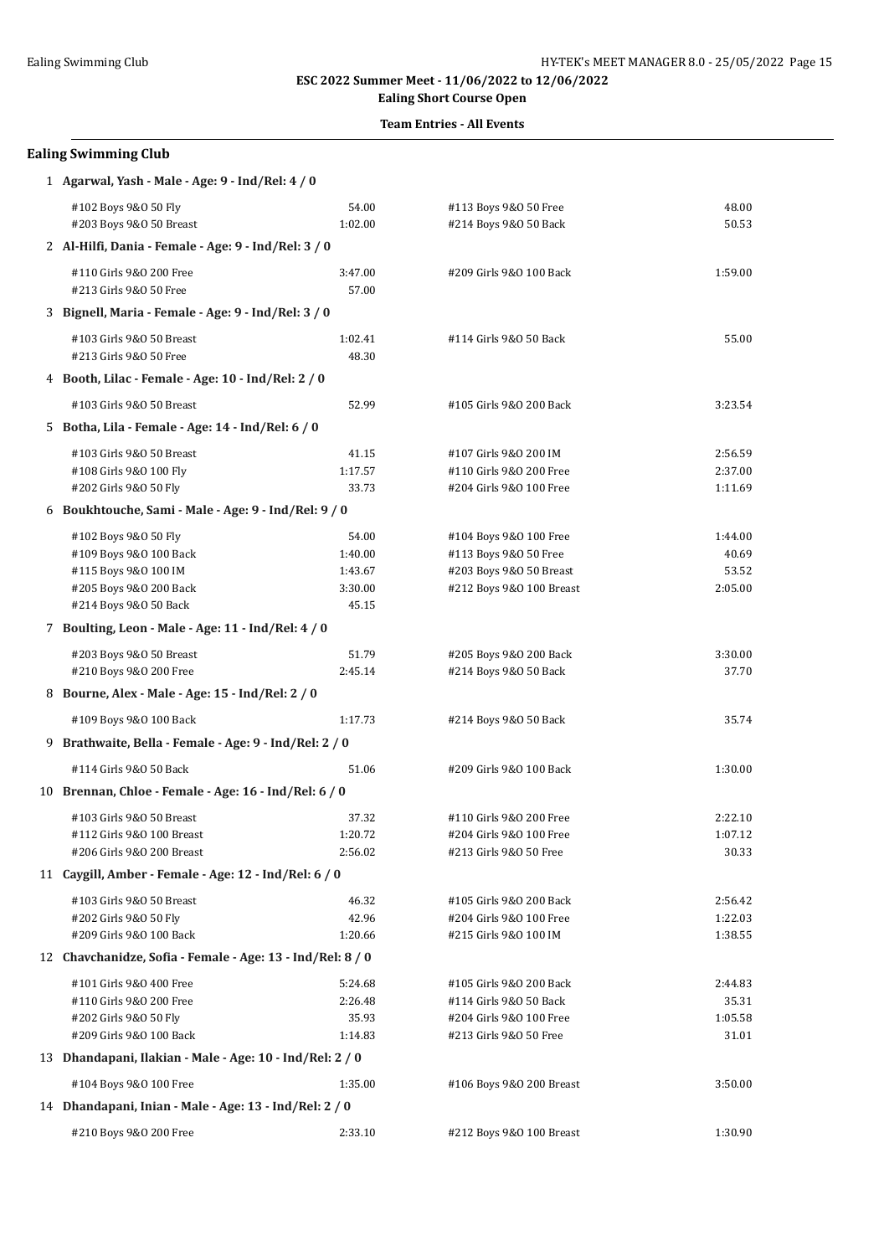## **Ealing Short Course Open**

## **Team Entries - All Events**

| 1 Agarwal, Yash - Male - Age: 9 - Ind/Rel: 4 / 0           |         |                          |         |  |
|------------------------------------------------------------|---------|--------------------------|---------|--|
| #102 Boys 9&0 50 Fly                                       | 54.00   | #113 Boys 9&0 50 Free    | 48.00   |  |
| #203 Boys 9&0 50 Breast                                    | 1:02.00 | #214 Boys 9&0 50 Back    | 50.53   |  |
| 2 Al-Hilfi, Dania - Female - Age: 9 - Ind/Rel: 3 / 0       |         |                          |         |  |
| #110 Girls 9&0 200 Free                                    | 3:47.00 | #209 Girls 9&0 100 Back  | 1:59.00 |  |
| #213 Girls 9&0 50 Free                                     | 57.00   |                          |         |  |
| 3 Bignell, Maria - Female - Age: 9 - Ind/Rel: 3 / 0        |         |                          |         |  |
| #103 Girls 9&0 50 Breast                                   | 1:02.41 | #114 Girls 9&0 50 Back   | 55.00   |  |
| #213 Girls 9&0 50 Free                                     | 48.30   |                          |         |  |
| 4 Booth, Lilac - Female - Age: 10 - Ind/Rel: 2 / 0         |         |                          |         |  |
| #103 Girls 9&0 50 Breast                                   | 52.99   | #105 Girls 9&0 200 Back  | 3:23.54 |  |
| 5 Botha, Lila - Female - Age: 14 - Ind/Rel: 6 / 0          |         |                          |         |  |
| #103 Girls 9&0 50 Breast                                   | 41.15   | #107 Girls 9&0 200 IM    | 2:56.59 |  |
| #108 Girls 9&0 100 Fly                                     | 1:17.57 | #110 Girls 9&0 200 Free  | 2:37.00 |  |
| #202 Girls 9&0 50 Fly                                      | 33.73   | #204 Girls 9&0 100 Free  | 1:11.69 |  |
| 6 Boukhtouche, Sami - Male - Age: 9 - Ind/Rel: 9 / 0       |         |                          |         |  |
| #102 Boys 9&0 50 Fly                                       | 54.00   | #104 Boys 9&0 100 Free   | 1:44.00 |  |
| #109 Boys 9&0 100 Back                                     | 1:40.00 | #113 Boys 9&0 50 Free    | 40.69   |  |
| #115 Boys 9&0 100 IM                                       | 1:43.67 | #203 Boys 9&0 50 Breast  | 53.52   |  |
| #205 Boys 9&0 200 Back                                     | 3:30.00 | #212 Boys 9&0 100 Breast | 2:05.00 |  |
| #214 Boys 9&0 50 Back                                      | 45.15   |                          |         |  |
| 7 Boulting, Leon - Male - Age: 11 - Ind/Rel: 4 / 0         |         |                          |         |  |
| #203 Boys 9&0 50 Breast                                    | 51.79   | #205 Boys 9&0 200 Back   | 3:30.00 |  |
| #210 Boys 9&0 200 Free                                     | 2:45.14 | #214 Boys 9&0 50 Back    | 37.70   |  |
| 8 Bourne, Alex - Male - Age: 15 - Ind/Rel: 2 / 0           |         |                          |         |  |
| #109 Boys 9&0 100 Back                                     | 1:17.73 | #214 Boys 9&0 50 Back    | 35.74   |  |
| 9 Brathwaite, Bella - Female - Age: 9 - Ind/Rel: 2 / 0     |         |                          |         |  |
| #114 Girls 9&0 50 Back                                     | 51.06   | #209 Girls 9&0 100 Back  | 1:30.00 |  |
| 10 Brennan, Chloe - Female - Age: 16 - Ind/Rel: 6 / 0      |         |                          |         |  |
| #103 Girls 9&0 50 Breast                                   | 37.32   | #110 Girls 9&0 200 Free  | 2:22.10 |  |
| #112 Girls 9&0 100 Breast                                  | 1:20.72 | #204 Girls 9&0 100 Free  | 1:07.12 |  |
| #206 Girls 9&0 200 Breast                                  | 2:56.02 | #213 Girls 9&0 50 Free   | 30.33   |  |
| 11 Caygill, Amber - Female - Age: 12 - Ind/Rel: 6 / 0      |         |                          |         |  |
| #103 Girls 9&0 50 Breast                                   | 46.32   | #105 Girls 9&0 200 Back  | 2:56.42 |  |
| #202 Girls 9&0 50 Fly                                      | 42.96   | #204 Girls 9&0 100 Free  | 1:22.03 |  |
| #209 Girls 9&0 100 Back                                    | 1:20.66 | #215 Girls 9&0 100 IM    | 1:38.55 |  |
| 12 Chavchanidze, Sofia - Female - Age: 13 - Ind/Rel: 8 / 0 |         |                          |         |  |
| #101 Girls 9&0 400 Free                                    | 5:24.68 | #105 Girls 9&0 200 Back  | 2:44.83 |  |
| #110 Girls 9&0 200 Free                                    | 2:26.48 | #114 Girls 9&0 50 Back   | 35.31   |  |
| #202 Girls 9&0 50 Fly                                      | 35.93   | #204 Girls 9&0 100 Free  | 1:05.58 |  |
| #209 Girls 9&0 100 Back                                    | 1:14.83 | #213 Girls 9&0 50 Free   | 31.01   |  |
| 13 Dhandapani, Ilakian - Male - Age: 10 - Ind/Rel: 2 / 0   |         |                          |         |  |
| #104 Boys 9&0 100 Free                                     | 1:35.00 | #106 Boys 9&0 200 Breast | 3:50.00 |  |
| 14 Dhandapani, Inian - Male - Age: 13 - Ind/Rel: 2 / 0     |         |                          |         |  |
| #210 Boys 9&0 200 Free                                     | 2:33.10 | #212 Boys 9&0 100 Breast | 1:30.90 |  |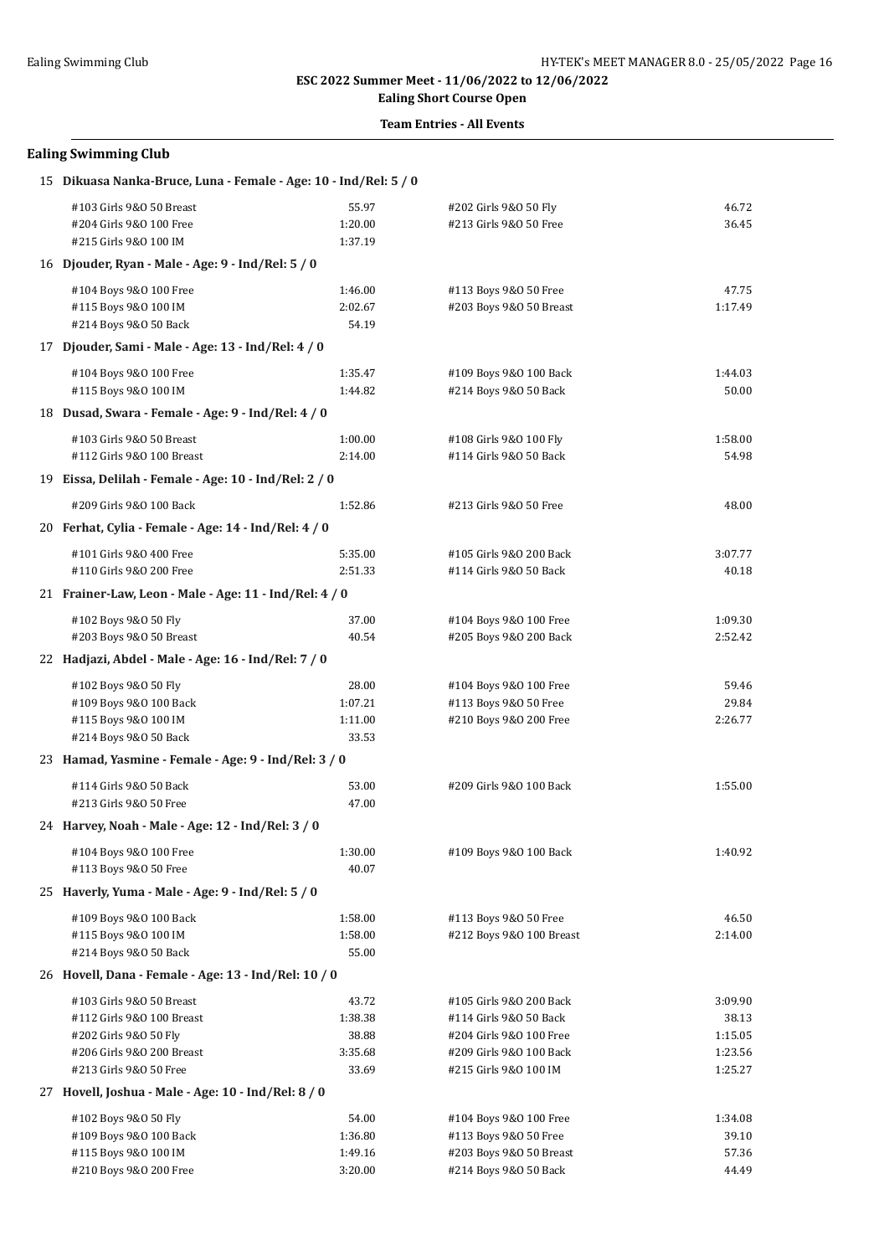**Ealing Short Course Open**

#### **Team Entries - All Events**

| 15 Dikuasa Nanka-Bruce, Luna - Female - Age: 10 - Ind/Rel: 5 / 0 |         |                          |         |  |  |
|------------------------------------------------------------------|---------|--------------------------|---------|--|--|
| #103 Girls 9&0 50 Breast                                         | 55.97   | #202 Girls 9&0 50 Fly    | 46.72   |  |  |
| #204 Girls 9&0 100 Free                                          | 1:20.00 | #213 Girls 9&0 50 Free   | 36.45   |  |  |
| #215 Girls 9&0 100 IM                                            | 1:37.19 |                          |         |  |  |
| 16 Djouder, Ryan - Male - Age: 9 - Ind/Rel: 5 / 0                |         |                          |         |  |  |
| #104 Boys 9&0 100 Free                                           | 1:46.00 | #113 Boys 9&0 50 Free    | 47.75   |  |  |
| #115 Boys 9&0 100 IM                                             | 2:02.67 | #203 Boys 9&0 50 Breast  | 1:17.49 |  |  |
| #214 Boys 9&0 50 Back                                            | 54.19   |                          |         |  |  |
| 17 Djouder, Sami - Male - Age: 13 - Ind/Rel: 4 / 0               |         |                          |         |  |  |
| #104 Boys 9&0 100 Free                                           | 1:35.47 | #109 Boys 9&0 100 Back   | 1:44.03 |  |  |
| #115 Boys 9&0 100 IM                                             | 1:44.82 | #214 Boys 9&0 50 Back    | 50.00   |  |  |
| 18 Dusad, Swara - Female - Age: 9 - Ind/Rel: 4 / 0               |         |                          |         |  |  |
| #103 Girls 9&0 50 Breast                                         | 1:00.00 | #108 Girls 9&0 100 Fly   | 1:58.00 |  |  |
| #112 Girls 9&0 100 Breast                                        | 2:14.00 | #114 Girls 9&0 50 Back   | 54.98   |  |  |
| 19 Eissa, Delilah - Female - Age: 10 - Ind/Rel: 2 / 0            |         |                          |         |  |  |
| #209 Girls 9&0 100 Back                                          | 1:52.86 | #213 Girls 9&0 50 Free   | 48.00   |  |  |
| 20 Ferhat, Cylia - Female - Age: 14 - Ind/Rel: 4 / 0             |         |                          |         |  |  |
| #101 Girls 9&0 400 Free                                          | 5:35.00 | #105 Girls 9&0 200 Back  | 3:07.77 |  |  |
| #110 Girls 9&0 200 Free                                          | 2:51.33 | #114 Girls 9&0 50 Back   | 40.18   |  |  |
| 21 Frainer-Law, Leon - Male - Age: 11 - Ind/Rel: 4 / 0           |         |                          |         |  |  |
| #102 Boys 9&0 50 Fly                                             | 37.00   | #104 Boys 9&0 100 Free   | 1:09.30 |  |  |
| #203 Boys 9&0 50 Breast                                          | 40.54   | #205 Boys 9&0 200 Back   | 2:52.42 |  |  |
|                                                                  |         |                          |         |  |  |
| 22 Hadjazi, Abdel - Male - Age: 16 - Ind/Rel: 7 / 0              |         |                          |         |  |  |
| #102 Boys 9&0 50 Fly                                             | 28.00   | #104 Boys 9&0 100 Free   | 59.46   |  |  |
| #109 Boys 9&0 100 Back                                           | 1:07.21 | #113 Boys 9&0 50 Free    | 29.84   |  |  |
| #115 Boys 9&0 100 IM                                             | 1:11.00 | #210 Boys 9&0 200 Free   | 2:26.77 |  |  |
| #214 Boys 9&0 50 Back                                            | 33.53   |                          |         |  |  |
| 23 Hamad, Yasmine - Female - Age: 9 - Ind/Rel: 3 / 0             |         |                          |         |  |  |
| #114 Girls 9&0 50 Back                                           | 53.00   | #209 Girls 9&0 100 Back  | 1:55.00 |  |  |
| #213 Girls 9&0 50 Free                                           | 47.00   |                          |         |  |  |
| 24 Harvey, Noah - Male - Age: 12 - Ind/Rel: 3 / 0                |         |                          |         |  |  |
| #104 Boys 9&0 100 Free                                           | 1:30.00 | #109 Boys 9&0 100 Back   | 1:40.92 |  |  |
| #113 Boys 9&0 50 Free                                            | 40.07   |                          |         |  |  |
| 25 Haverly, Yuma - Male - Age: 9 - Ind/Rel: 5 / 0                |         |                          |         |  |  |
| #109 Boys 9&0 100 Back                                           | 1:58.00 | #113 Boys 9&0 50 Free    | 46.50   |  |  |
| #115 Boys 9&0 100 IM                                             | 1:58.00 | #212 Boys 9&0 100 Breast | 2:14.00 |  |  |
| #214 Boys 9&0 50 Back                                            | 55.00   |                          |         |  |  |
| 26 Hovell, Dana - Female - Age: 13 - Ind/Rel: 10 / 0             |         |                          |         |  |  |
| #103 Girls 9&0 50 Breast                                         | 43.72   | #105 Girls 9&0 200 Back  | 3:09.90 |  |  |
| #112 Girls 9&0 100 Breast                                        | 1:38.38 | #114 Girls 9&0 50 Back   | 38.13   |  |  |
| #202 Girls 9&0 50 Fly                                            | 38.88   | #204 Girls 9&0 100 Free  | 1:15.05 |  |  |
| #206 Girls 9&0 200 Breast                                        | 3:35.68 | #209 Girls 9&0 100 Back  | 1:23.56 |  |  |
| #213 Girls 9&0 50 Free                                           | 33.69   | #215 Girls 9&0 100 IM    | 1:25.27 |  |  |
| 27 Hovell, Joshua - Male - Age: 10 - Ind/Rel: 8 / 0              |         |                          |         |  |  |
| #102 Boys 9&0 50 Fly                                             | 54.00   | #104 Boys 9&0 100 Free   | 1:34.08 |  |  |
| #109 Boys 9&0 100 Back                                           | 1:36.80 | #113 Boys 9&0 50 Free    | 39.10   |  |  |
| #115 Boys 9&0 100 IM                                             | 1:49.16 | #203 Boys 9&0 50 Breast  | 57.36   |  |  |
| #210 Boys 9&0 200 Free                                           | 3:20.00 | #214 Boys 9&0 50 Back    | 44.49   |  |  |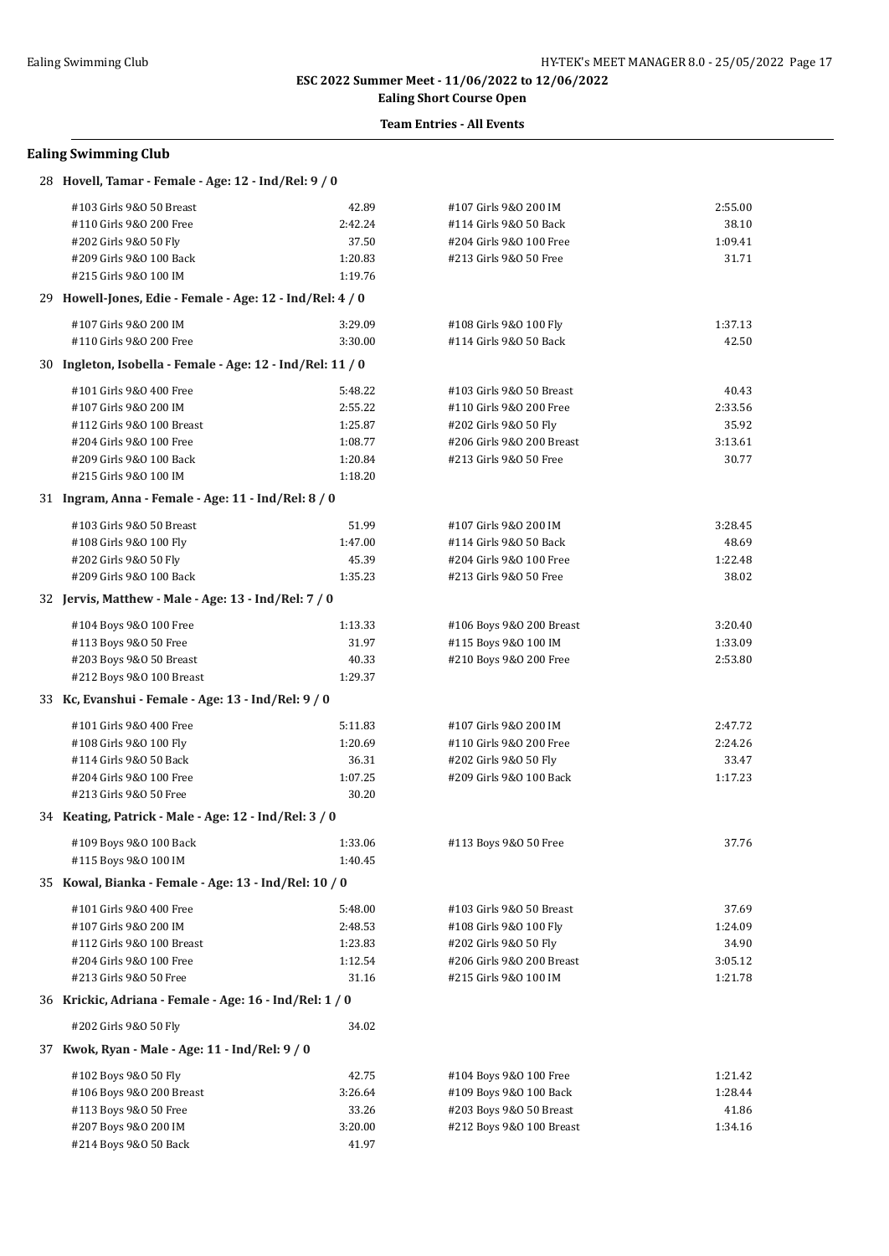# **Ealing Short Course Open**

## **Team Entries - All Events**

| 28 Hovell, Tamar - Female - Age: 12 - Ind/Rel: 9 / 0       |         |                           |         |
|------------------------------------------------------------|---------|---------------------------|---------|
| #103 Girls 9&0 50 Breast                                   | 42.89   | #107 Girls 9&0 200 IM     | 2:55.00 |
| #110 Girls 9&0 200 Free                                    | 2:42.24 | #114 Girls 9&0 50 Back    | 38.10   |
| #202 Girls 9&0 50 Fly                                      | 37.50   | #204 Girls 9&0 100 Free   | 1:09.41 |
| #209 Girls 9&0 100 Back                                    | 1:20.83 | #213 Girls 9&0 50 Free    | 31.71   |
| #215 Girls 9&0 100 IM                                      | 1:19.76 |                           |         |
| 29 Howell-Jones, Edie - Female - Age: 12 - Ind/Rel: 4 / 0  |         |                           |         |
| #107 Girls 9&0 200 IM                                      | 3:29.09 | #108 Girls 9&0 100 Fly    | 1:37.13 |
| #110 Girls 9&0 200 Free                                    | 3:30.00 | #114 Girls 9&0 50 Back    | 42.50   |
| 30 Ingleton, Isobella - Female - Age: 12 - Ind/Rel: 11 / 0 |         |                           |         |
| #101 Girls 9&0 400 Free                                    | 5:48.22 | #103 Girls 9&0 50 Breast  | 40.43   |
| #107 Girls 9&0 200 IM                                      | 2:55.22 | #110 Girls 9&0 200 Free   | 2:33.56 |
| #112 Girls 9&0 100 Breast                                  | 1:25.87 | #202 Girls 9&0 50 Fly     | 35.92   |
| #204 Girls 9&0 100 Free                                    | 1:08.77 | #206 Girls 9&0 200 Breast | 3:13.61 |
| #209 Girls 9&0 100 Back                                    | 1:20.84 | #213 Girls 9&0 50 Free    | 30.77   |
| #215 Girls 9&0 100 IM                                      | 1:18.20 |                           |         |
| 31 Ingram, Anna - Female - Age: 11 - Ind/Rel: 8 / 0        |         |                           |         |
|                                                            |         |                           |         |
| #103 Girls 9&0 50 Breast                                   | 51.99   | #107 Girls 9&0 200 IM     | 3:28.45 |
| #108 Girls 9&0 100 Fly                                     | 1:47.00 | #114 Girls 9&0 50 Back    | 48.69   |
| #202 Girls 9&0 50 Fly                                      | 45.39   | #204 Girls 9&0 100 Free   | 1:22.48 |
| #209 Girls 9&0 100 Back                                    | 1:35.23 | #213 Girls 9&0 50 Free    | 38.02   |
| 32 Jervis, Matthew - Male - Age: 13 - Ind/Rel: 7 / 0       |         |                           |         |
| #104 Boys 9&0 100 Free                                     | 1:13.33 | #106 Boys 9&0 200 Breast  | 3:20.40 |
| #113 Boys 9&0 50 Free                                      | 31.97   | #115 Boys 9&0 100 IM      | 1:33.09 |
| #203 Boys 9&0 50 Breast                                    | 40.33   | #210 Boys 9&0 200 Free    | 2:53.80 |
| #212 Boys 9&0 100 Breast                                   | 1:29.37 |                           |         |
| 33 Kc, Evanshui - Female - Age: 13 - Ind/Rel: 9 / 0        |         |                           |         |
| #101 Girls 9&0 400 Free                                    | 5:11.83 | #107 Girls 9&0 200 IM     | 2:47.72 |
| #108 Girls 9&0 100 Fly                                     | 1:20.69 | #110 Girls 9&0 200 Free   | 2:24.26 |
| #114 Girls 9&0 50 Back                                     | 36.31   | #202 Girls 9&0 50 Fly     | 33.47   |
| #204 Girls 9&0 100 Free                                    | 1:07.25 | #209 Girls 9&0 100 Back   | 1:17.23 |
| #213 Girls 9&0 50 Free                                     | 30.20   |                           |         |
| 34 Keating, Patrick - Male - Age: 12 - Ind/Rel: 3 / 0      |         |                           |         |
| #109 Boys 9&0 100 Back                                     | 1:33.06 | #113 Boys 9&0 50 Free     | 37.76   |
| #115 Boys 9&0 100 IM                                       | 1:40.45 |                           |         |
| 35 Kowal, Bianka - Female - Age: 13 - Ind/Rel: 10 / 0      |         |                           |         |
| #101 Girls 9&0 400 Free                                    | 5:48.00 |                           | 37.69   |
|                                                            |         | #103 Girls 9&0 50 Breast  |         |
| #107 Girls 9&0 200 IM                                      | 2:48.53 | #108 Girls 9&0 100 Fly    | 1:24.09 |
| #112 Girls 9&0 100 Breast                                  | 1:23.83 | #202 Girls 9&0 50 Fly     | 34.90   |
| #204 Girls 9&0 100 Free                                    | 1:12.54 | #206 Girls 9&0 200 Breast | 3:05.12 |
| #213 Girls 9&0 50 Free                                     | 31.16   | #215 Girls 9&0 100 IM     | 1:21.78 |
| 36 Krickic, Adriana - Female - Age: 16 - Ind/Rel: 1 / 0    |         |                           |         |
| #202 Girls 9&0 50 Fly                                      | 34.02   |                           |         |
| 37 Kwok, Ryan - Male - Age: 11 - Ind/Rel: 9 / 0            |         |                           |         |
| #102 Boys 9&0 50 Fly                                       | 42.75   | #104 Boys 9&0 100 Free    | 1:21.42 |
| #106 Boys 9&0 200 Breast                                   | 3:26.64 | #109 Boys 9&0 100 Back    | 1:28.44 |
| #113 Boys 9&0 50 Free                                      | 33.26   | #203 Boys 9&0 50 Breast   | 41.86   |
| #207 Boys 9&0 200 IM                                       | 3:20.00 | #212 Boys 9&0 100 Breast  | 1:34.16 |
| #214 Boys 9&0 50 Back                                      | 41.97   |                           |         |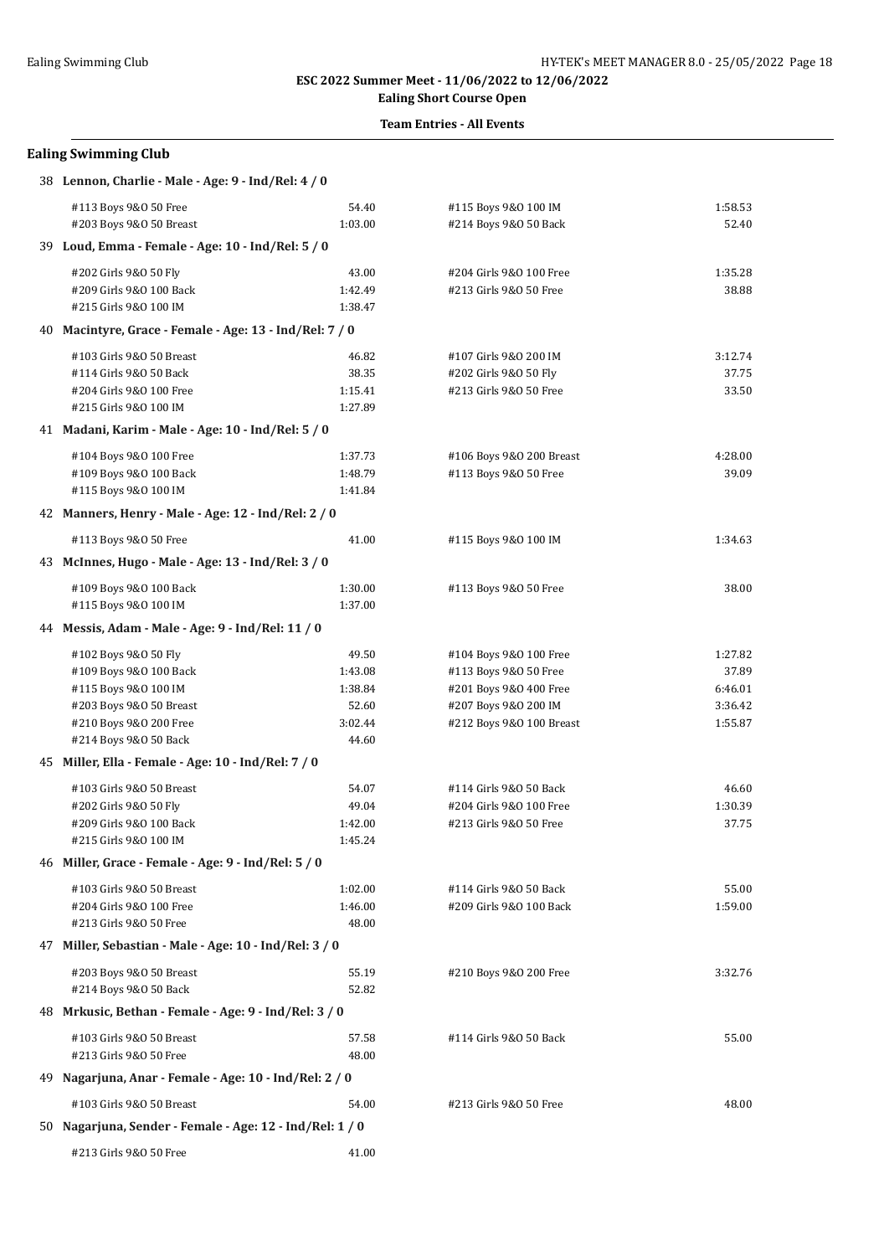# **Ealing Short Course Open**

## **Team Entries - All Events**

| 38 Lennon, Charlie - Male - Age: 9 - Ind/Rel: 4 / 0      |         |                          |         |
|----------------------------------------------------------|---------|--------------------------|---------|
| #113 Boys 9&0 50 Free                                    | 54.40   | #115 Boys 9&0 100 IM     | 1:58.53 |
| #203 Boys 9&0 50 Breast                                  | 1:03.00 | #214 Boys 9&0 50 Back    | 52.40   |
| 39 Loud, Emma - Female - Age: 10 - Ind/Rel: 5 / 0        |         |                          |         |
| #202 Girls 9&0 50 Fly                                    | 43.00   | #204 Girls 9&0 100 Free  | 1:35.28 |
| #209 Girls 9&0 100 Back                                  | 1:42.49 | #213 Girls 9&0 50 Free   | 38.88   |
| #215 Girls 9&0 100 IM                                    | 1:38.47 |                          |         |
| 40 Macintyre, Grace - Female - Age: 13 - Ind/Rel: 7 / 0  |         |                          |         |
| #103 Girls 9&0 50 Breast                                 | 46.82   | #107 Girls 9&0 200 IM    | 3:12.74 |
| #114 Girls 9&0 50 Back                                   | 38.35   | #202 Girls 9&0 50 Fly    | 37.75   |
| #204 Girls 9&0 100 Free                                  | 1:15.41 | #213 Girls 9&0 50 Free   | 33.50   |
| #215 Girls 9&0 100 IM                                    | 1:27.89 |                          |         |
| 41 Madani, Karim - Male - Age: 10 - Ind/Rel: 5 / 0       |         |                          |         |
| #104 Boys 9&0 100 Free                                   | 1:37.73 | #106 Boys 9&0 200 Breast | 4:28.00 |
| #109 Boys 9&0 100 Back                                   | 1:48.79 | #113 Boys 9&0 50 Free    | 39.09   |
| #115 Boys 9&0 100 IM                                     | 1:41.84 |                          |         |
| 42 Manners, Henry - Male - Age: 12 - Ind/Rel: 2 / 0      |         |                          |         |
| #113 Boys 9&0 50 Free                                    | 41.00   | #115 Boys 9&0 100 IM     | 1:34.63 |
| 43 McInnes, Hugo - Male - Age: 13 - Ind/Rel: 3 / 0       |         |                          |         |
| #109 Boys 9&0 100 Back                                   | 1:30.00 | #113 Boys 9&0 50 Free    | 38.00   |
| #115 Boys 9&0 100 IM                                     | 1:37.00 |                          |         |
| 44 Messis, Adam - Male - Age: 9 - Ind/Rel: 11 / 0        |         |                          |         |
| #102 Boys 9&0 50 Fly                                     | 49.50   | #104 Boys 9&0 100 Free   | 1:27.82 |
| #109 Boys 9&0 100 Back                                   | 1:43.08 | #113 Boys 9&0 50 Free    | 37.89   |
| #115 Boys 9&0 100 IM                                     | 1:38.84 | #201 Boys 9&0 400 Free   | 6:46.01 |
| #203 Boys 9&0 50 Breast                                  | 52.60   | #207 Boys 9&0 200 IM     | 3:36.42 |
| #210 Boys 9&0 200 Free                                   | 3:02.44 | #212 Boys 9&0 100 Breast | 1:55.87 |
| #214 Boys 9&0 50 Back                                    | 44.60   |                          |         |
| 45 Miller, Ella - Female - Age: 10 - Ind/Rel: 7 / 0      |         |                          |         |
| #103 Girls 9&0 50 Breast                                 | 54.07   | #114 Girls 9&0 50 Back   | 46.60   |
| #202 Girls 9&0 50 Fly                                    | 49.04   | #204 Girls 9&0 100 Free  | 1:30.39 |
| #209 Girls 9&0 100 Back                                  | 1:42.00 | #213 Girls 9&0 50 Free   | 37.75   |
| #215 Girls 9&0 100 IM                                    | 1:45.24 |                          |         |
| 46 Miller, Grace - Female - Age: 9 - Ind/Rel: 5 / 0      |         |                          |         |
| #103 Girls 9&0 50 Breast                                 | 1:02.00 | #114 Girls 9&0 50 Back   | 55.00   |
| #204 Girls 9&0 100 Free                                  | 1:46.00 | #209 Girls 9&0 100 Back  | 1:59.00 |
| #213 Girls 9&0 50 Free                                   | 48.00   |                          |         |
| 47 Miller, Sebastian - Male - Age: 10 - Ind/Rel: 3 / 0   |         |                          |         |
| #203 Boys 9&0 50 Breast                                  | 55.19   | #210 Boys 9&0 200 Free   | 3:32.76 |
| #214 Boys 9&0 50 Back                                    | 52.82   |                          |         |
| 48 Mrkusic, Bethan - Female - Age: 9 - Ind/Rel: 3 / 0    |         |                          |         |
| #103 Girls 9&0 50 Breast                                 | 57.58   | #114 Girls 9&0 50 Back   | 55.00   |
| #213 Girls 9&0 50 Free                                   | 48.00   |                          |         |
| 49 Nagarjuna, Anar - Female - Age: 10 - Ind/Rel: 2 / 0   |         |                          |         |
| #103 Girls 9&0 50 Breast                                 | 54.00   | #213 Girls 9&0 50 Free   | 48.00   |
| 50 Nagarjuna, Sender - Female - Age: 12 - Ind/Rel: 1 / 0 |         |                          |         |
| #213 Girls 9&0 50 Free                                   | 41.00   |                          |         |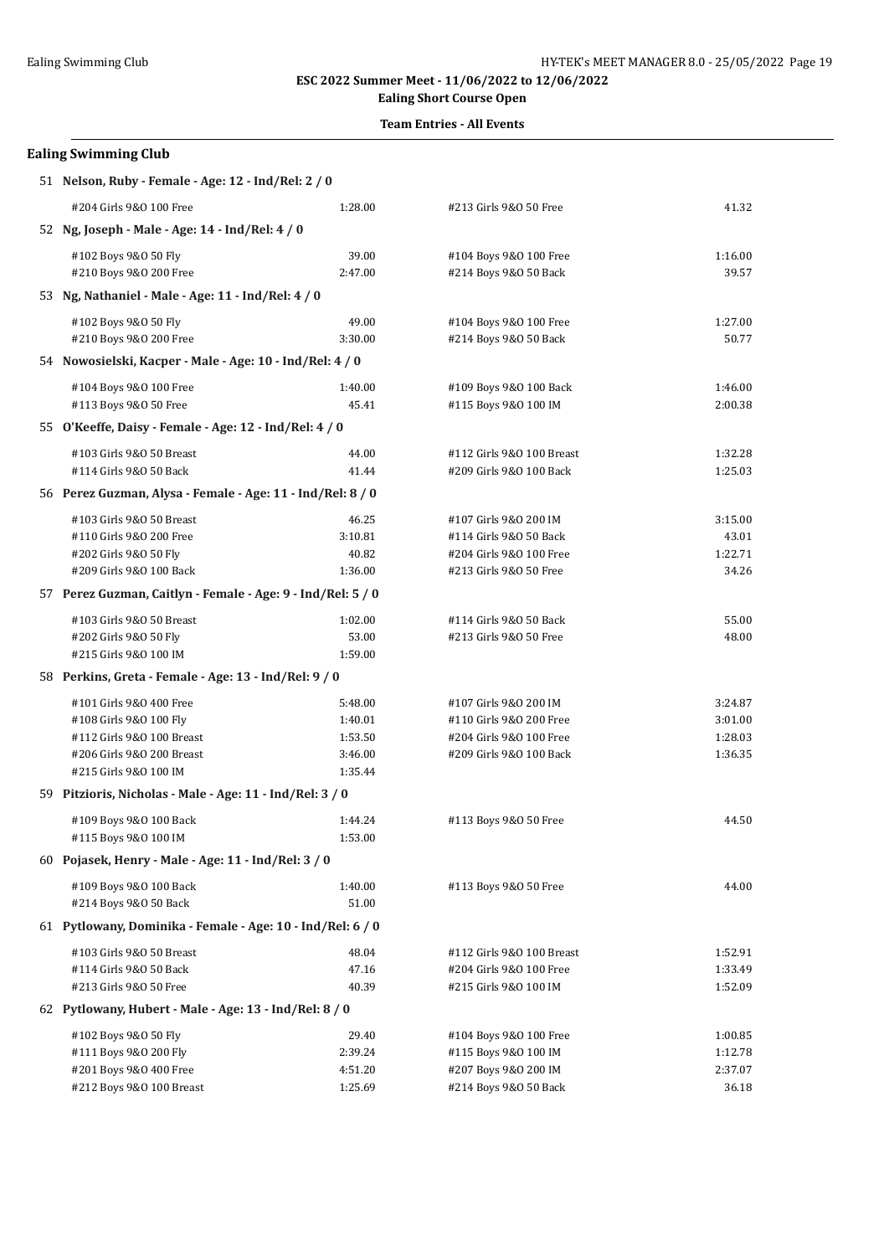# **Ealing Short Course Open**

## **Team Entries - All Events**

| 51 Nelson, Ruby - Female - Age: 12 - Ind/Rel: 2 / 0         |         |                           |         |
|-------------------------------------------------------------|---------|---------------------------|---------|
| #204 Girls 9&0 100 Free                                     | 1:28.00 | #213 Girls 9&0 50 Free    | 41.32   |
| 52 Ng, Joseph - Male - Age: 14 - Ind/Rel: 4 / 0             |         |                           |         |
| #102 Boys 9&0 50 Fly                                        | 39.00   | #104 Boys 9&0 100 Free    | 1:16.00 |
| #210 Boys 9&0 200 Free                                      | 2:47.00 | #214 Boys 9&0 50 Back     | 39.57   |
| 53 Ng, Nathaniel - Male - Age: 11 - Ind/Rel: 4 / 0          |         |                           |         |
| #102 Boys 9&0 50 Fly                                        | 49.00   | #104 Boys 9&0 100 Free    | 1:27.00 |
| #210 Boys 9&0 200 Free                                      | 3:30.00 | #214 Boys 9&0 50 Back     | 50.77   |
| 54 Nowosielski, Kacper - Male - Age: 10 - Ind/Rel: 4 / 0    |         |                           |         |
| #104 Boys 9&0 100 Free                                      | 1:40.00 | #109 Boys 9&0 100 Back    | 1:46.00 |
| #113 Boys 9&0 50 Free                                       | 45.41   | #115 Boys 9&0 100 IM      | 2:00.38 |
| 55 O'Keeffe, Daisy - Female - Age: 12 - Ind/Rel: 4 / 0      |         |                           |         |
| #103 Girls 9&0 50 Breast                                    | 44.00   | #112 Girls 9&0 100 Breast | 1:32.28 |
| #114 Girls 9&0 50 Back                                      | 41.44   | #209 Girls 9&0 100 Back   | 1:25.03 |
| 56 Perez Guzman, Alysa - Female - Age: 11 - Ind/Rel: 8 / 0  |         |                           |         |
| #103 Girls 9&0 50 Breast                                    | 46.25   | #107 Girls 9&0 200 IM     | 3:15.00 |
| #110 Girls 9&0 200 Free                                     | 3:10.81 | #114 Girls 9&0 50 Back    | 43.01   |
| #202 Girls 9&0 50 Fly                                       | 40.82   | #204 Girls 9&0 100 Free   | 1:22.71 |
| #209 Girls 9&0 100 Back                                     | 1:36.00 | #213 Girls 9&0 50 Free    | 34.26   |
| 57 Perez Guzman, Caitlyn - Female - Age: 9 - Ind/Rel: 5 / 0 |         |                           |         |
| #103 Girls 9&0 50 Breast                                    | 1:02.00 | #114 Girls 9&0 50 Back    | 55.00   |
| #202 Girls 9&0 50 Fly                                       | 53.00   | #213 Girls 9&0 50 Free    | 48.00   |
| #215 Girls 9&0 100 IM                                       | 1:59.00 |                           |         |
| 58 Perkins, Greta - Female - Age: 13 - Ind/Rel: 9 / 0       |         |                           |         |
| #101 Girls 9&0 400 Free                                     | 5:48.00 | #107 Girls 9&0 200 IM     | 3:24.87 |
| #108 Girls 9&0 100 Fly                                      | 1:40.01 | #110 Girls 9&0 200 Free   | 3:01.00 |
| #112 Girls 9&0 100 Breast                                   | 1:53.50 | #204 Girls 9&0 100 Free   | 1:28.03 |
| #206 Girls 9&0 200 Breast                                   | 3:46.00 | #209 Girls 9&0 100 Back   | 1:36.35 |
| #215 Girls 9&0 100 IM                                       | 1:35.44 |                           |         |
| 59 Pitzioris, Nicholas - Male - Age: 11 - Ind/Rel: 3 / 0    |         |                           |         |
| #109 Boys 9&0 100 Back                                      | 1:44.24 | #113 Boys 9&0 50 Free     | 44.50   |
| #115 Boys 9&0 100 IM                                        | 1:53.00 |                           |         |
| 60 Pojasek, Henry - Male - Age: 11 - Ind/Rel: 3 / 0         |         |                           |         |
| #109 Boys 9&0 100 Back                                      | 1:40.00 | #113 Boys 9&0 50 Free     | 44.00   |
| #214 Boys 9&0 50 Back                                       | 51.00   |                           |         |
| 61 Pytlowany, Dominika - Female - Age: 10 - Ind/Rel: 6 / 0  |         |                           |         |
| #103 Girls 9&0 50 Breast                                    | 48.04   | #112 Girls 9&0 100 Breast | 1:52.91 |
| #114 Girls 9&0 50 Back                                      | 47.16   | #204 Girls 9&0 100 Free   | 1:33.49 |
| #213 Girls 9&0 50 Free                                      | 40.39   | #215 Girls 9&0 100 IM     | 1:52.09 |
| 62 Pytlowany, Hubert - Male - Age: 13 - Ind/Rel: 8 / 0      |         |                           |         |
| #102 Boys 9&0 50 Fly                                        | 29.40   | #104 Boys 9&0 100 Free    | 1:00.85 |
| #111 Boys 9&0 200 Fly                                       | 2:39.24 | #115 Boys 9&0 100 IM      | 1:12.78 |
| #201 Boys 9&0 400 Free                                      | 4:51.20 | #207 Boys 9&0 200 IM      | 2:37.07 |
| #212 Boys 9&0 100 Breast                                    | 1:25.69 | #214 Boys 9&0 50 Back     | 36.18   |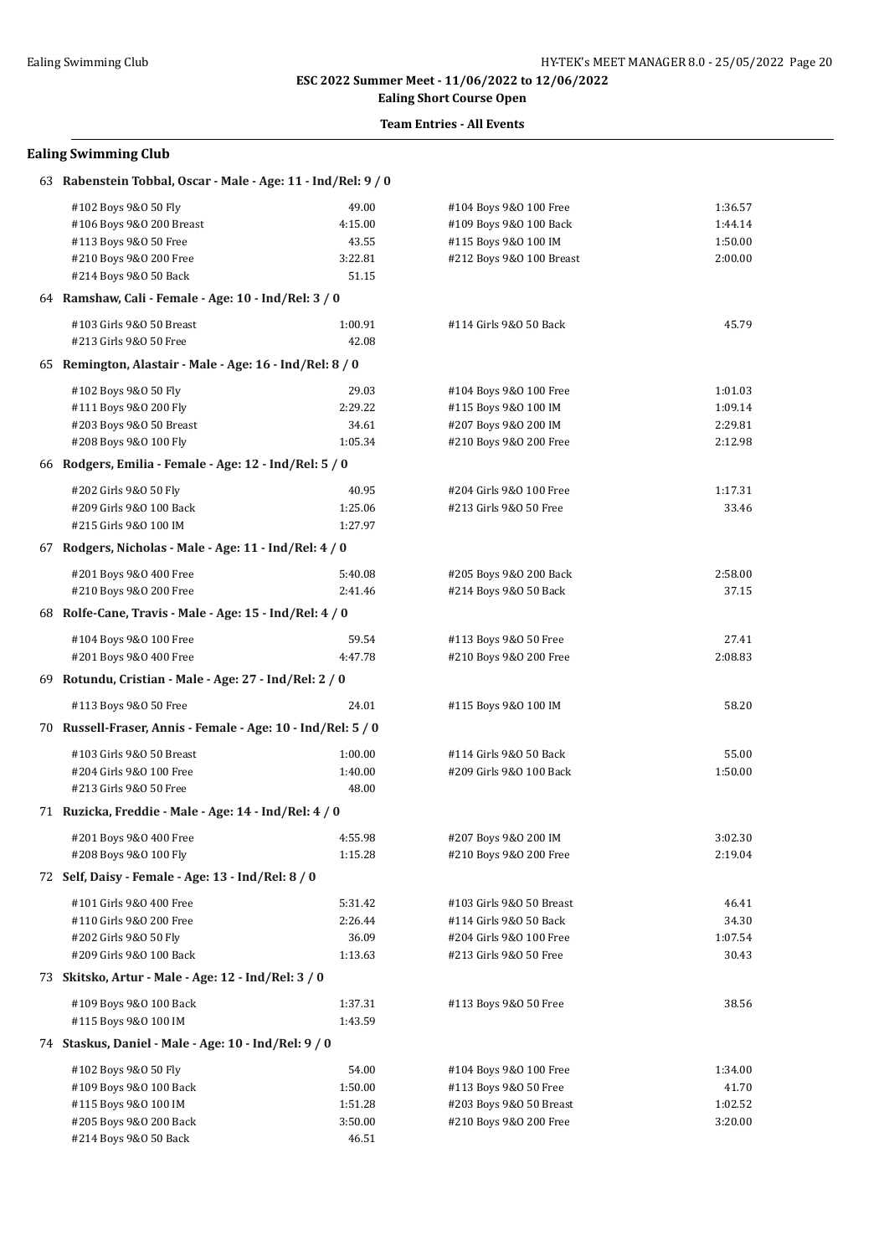**Ealing Short Course Open**

#### **Team Entries - All Events**

| 63 Rabenstein Tobbal, Oscar - Male - Age: 11 - Ind/Rel: 9 / 0 |         |                          |         |  |  |
|---------------------------------------------------------------|---------|--------------------------|---------|--|--|
| #102 Boys 9&0 50 Fly                                          | 49.00   | #104 Boys 9&0 100 Free   | 1:36.57 |  |  |
| #106 Boys 9&0 200 Breast                                      | 4:15.00 | #109 Boys 9&0 100 Back   | 1:44.14 |  |  |
| #113 Boys 9&0 50 Free                                         | 43.55   | #115 Boys 9&0 100 IM     | 1:50.00 |  |  |
| #210 Boys 9&0 200 Free                                        | 3:22.81 | #212 Boys 9&0 100 Breast | 2:00.00 |  |  |
| #214 Boys 9&0 50 Back                                         | 51.15   |                          |         |  |  |
| 64 Ramshaw, Cali - Female - Age: 10 - Ind/Rel: 3 / 0          |         |                          |         |  |  |
| #103 Girls 9&0 50 Breast                                      | 1:00.91 | #114 Girls 9&0 50 Back   | 45.79   |  |  |
| #213 Girls 9&0 50 Free                                        | 42.08   |                          |         |  |  |
| 65 Remington, Alastair - Male - Age: 16 - Ind/Rel: 8 / 0      |         |                          |         |  |  |
| #102 Boys 9&0 50 Fly                                          | 29.03   | #104 Boys 9&0 100 Free   | 1:01.03 |  |  |
| #111 Boys 9&0 200 Fly                                         | 2:29.22 | #115 Boys 9&0 100 IM     | 1:09.14 |  |  |
| #203 Boys 9&0 50 Breast                                       | 34.61   | #207 Boys 9&0 200 IM     | 2:29.81 |  |  |
| #208 Boys 9&0 100 Fly                                         | 1:05.34 | #210 Boys 9&0 200 Free   | 2:12.98 |  |  |
| 66 Rodgers, Emilia - Female - Age: 12 - Ind/Rel: 5 / 0        |         |                          |         |  |  |
| #202 Girls 9&0 50 Fly                                         | 40.95   | #204 Girls 9&0 100 Free  | 1:17.31 |  |  |
| #209 Girls 9&0 100 Back                                       | 1:25.06 | #213 Girls 9&0 50 Free   | 33.46   |  |  |
| #215 Girls 9&0 100 IM                                         | 1:27.97 |                          |         |  |  |
| 67 Rodgers, Nicholas - Male - Age: 11 - Ind/Rel: 4 / 0        |         |                          |         |  |  |
| #201 Boys 9&0 400 Free                                        | 5:40.08 | #205 Boys 9&0 200 Back   | 2:58.00 |  |  |
| #210 Boys 9&0 200 Free                                        | 2:41.46 | #214 Boys 9&0 50 Back    | 37.15   |  |  |
| 68 Rolfe-Cane, Travis - Male - Age: 15 - Ind/Rel: 4 / 0       |         |                          |         |  |  |
|                                                               |         |                          |         |  |  |
| #104 Boys 9&0 100 Free                                        | 59.54   | #113 Boys 9&0 50 Free    | 27.41   |  |  |
| #201 Boys 9&0 400 Free                                        | 4:47.78 | #210 Boys 9&0 200 Free   | 2:08.83 |  |  |
| 69 Rotundu, Cristian - Male - Age: 27 - Ind/Rel: 2 / 0        |         |                          |         |  |  |
| #113 Boys 9&0 50 Free                                         | 24.01   | #115 Boys 9&0 100 IM     | 58.20   |  |  |
| 70 Russell-Fraser, Annis - Female - Age: 10 - Ind/Rel: 5 / 0  |         |                          |         |  |  |
| #103 Girls 9&0 50 Breast                                      | 1:00.00 | #114 Girls 9&0 50 Back   | 55.00   |  |  |
| #204 Girls 9&0 100 Free                                       | 1:40.00 | #209 Girls 9&0 100 Back  | 1:50.00 |  |  |
| #213 Girls 9&0 50 Free                                        | 48.00   |                          |         |  |  |
| 71 Ruzicka, Freddie - Male - Age: 14 - Ind/Rel: 4 / 0         |         |                          |         |  |  |
| #201 Boys 9&0 400 Free                                        | 4:55.98 | #207 Boys 9&0 200 IM     | 3:02.30 |  |  |
| #208 Boys 9&0 100 Fly                                         | 1:15.28 | #210 Boys 9&0 200 Free   | 2:19.04 |  |  |
| 72 Self, Daisy - Female - Age: 13 - Ind/Rel: 8 / 0            |         |                          |         |  |  |
| #101 Girls 9&0 400 Free                                       | 5:31.42 | #103 Girls 9&0 50 Breast | 46.41   |  |  |
| #110 Girls 9&0 200 Free                                       | 2:26.44 | #114 Girls 9&0 50 Back   | 34.30   |  |  |
| #202 Girls 9&0 50 Fly                                         | 36.09   | #204 Girls 9&0 100 Free  | 1:07.54 |  |  |
| #209 Girls 9&0 100 Back                                       | 1:13.63 | #213 Girls 9&0 50 Free   | 30.43   |  |  |
| 73 Skitsko, Artur - Male - Age: 12 - Ind/Rel: 3 / 0           |         |                          |         |  |  |
| #109 Boys 9&0 100 Back                                        | 1:37.31 | #113 Boys 9&0 50 Free    | 38.56   |  |  |
| #115 Boys 9&0 100 IM                                          | 1:43.59 |                          |         |  |  |
| 74 Staskus, Daniel - Male - Age: 10 - Ind/Rel: 9 / 0          |         |                          |         |  |  |
| #102 Boys 9&0 50 Fly                                          | 54.00   | #104 Boys 9&0 100 Free   | 1:34.00 |  |  |
| #109 Boys 9&0 100 Back                                        | 1:50.00 | #113 Boys 9&0 50 Free    | 41.70   |  |  |
| #115 Boys 9&0 100 IM                                          | 1:51.28 | #203 Boys 9&0 50 Breast  | 1:02.52 |  |  |
| #205 Boys 9&0 200 Back                                        | 3:50.00 | #210 Boys 9&0 200 Free   | 3:20.00 |  |  |
| #214 Boys 9&0 50 Back                                         | 46.51   |                          |         |  |  |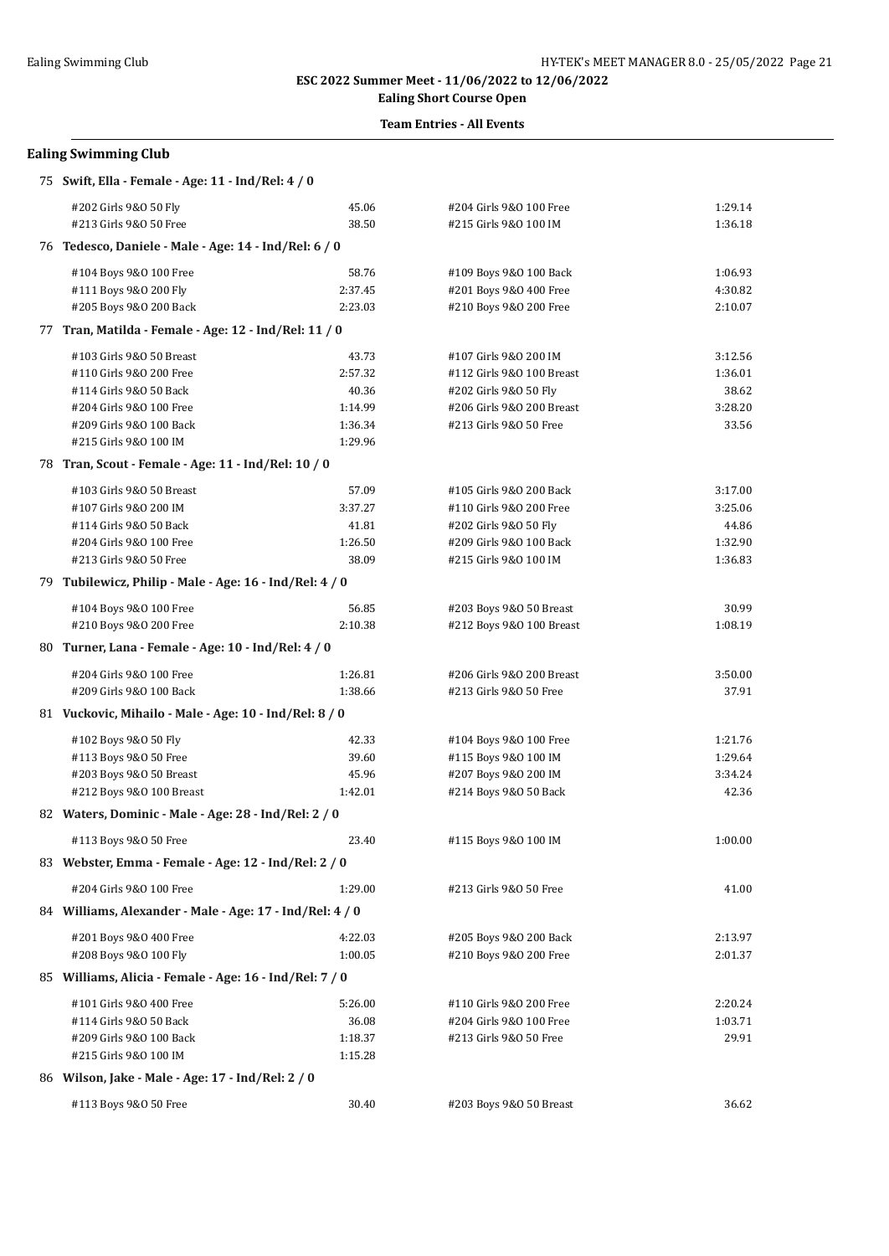## **Ealing Short Course Open Team Entries - All Events**

| 75 Swift, Ella - Female - Age: 11 - Ind/Rel: 4 / 0       |         |                           |         |  |  |
|----------------------------------------------------------|---------|---------------------------|---------|--|--|
| #202 Girls 9&0 50 Fly                                    | 45.06   | #204 Girls 9&0 100 Free   | 1:29.14 |  |  |
| #213 Girls 9&0 50 Free                                   | 38.50   | #215 Girls 9&0 100 IM     | 1:36.18 |  |  |
| 76 Tedesco, Daniele - Male - Age: 14 - Ind/Rel: 6 / 0    |         |                           |         |  |  |
| #104 Boys 9&0 100 Free                                   | 58.76   | #109 Boys 9&0 100 Back    | 1:06.93 |  |  |
| #111 Boys 9&0 200 Fly                                    | 2:37.45 | #201 Boys 9&0 400 Free    | 4:30.82 |  |  |
| #205 Boys 9&0 200 Back                                   | 2:23.03 | #210 Boys 9&0 200 Free    | 2:10.07 |  |  |
| 77 Tran, Matilda - Female - Age: 12 - Ind/Rel: 11 / 0    |         |                           |         |  |  |
| #103 Girls 9&0 50 Breast                                 | 43.73   | #107 Girls 9&0 200 IM     | 3:12.56 |  |  |
| #110 Girls 9&0 200 Free                                  | 2:57.32 | #112 Girls 9&0 100 Breast | 1:36.01 |  |  |
| #114 Girls 9&0 50 Back                                   | 40.36   | #202 Girls 9&0 50 Fly     | 38.62   |  |  |
| #204 Girls 9&0 100 Free                                  | 1:14.99 | #206 Girls 9&0 200 Breast | 3:28.20 |  |  |
| #209 Girls 9&0 100 Back                                  | 1:36.34 | #213 Girls 9&0 50 Free    | 33.56   |  |  |
| #215 Girls 9&0 100 IM                                    | 1:29.96 |                           |         |  |  |
| 78 Tran, Scout - Female - Age: 11 - Ind/Rel: 10 / 0      |         |                           |         |  |  |
| #103 Girls 9&0 50 Breast                                 | 57.09   | #105 Girls 9&0 200 Back   | 3:17.00 |  |  |
| #107 Girls 9&0 200 IM                                    | 3:37.27 | #110 Girls 9&0 200 Free   | 3:25.06 |  |  |
| #114 Girls 9&0 50 Back                                   | 41.81   | #202 Girls 9&0 50 Fly     | 44.86   |  |  |
| #204 Girls 9&0 100 Free                                  | 1:26.50 | #209 Girls 9&0 100 Back   | 1:32.90 |  |  |
| #213 Girls 9&0 50 Free                                   | 38.09   | #215 Girls 9&0 100 IM     | 1:36.83 |  |  |
| 79 Tubilewicz, Philip - Male - Age: 16 - Ind/Rel: 4 / 0  |         |                           |         |  |  |
| #104 Boys 9&0 100 Free                                   | 56.85   | #203 Boys 9&0 50 Breast   | 30.99   |  |  |
| #210 Boys 9&0 200 Free                                   | 2:10.38 | #212 Boys 9&0 100 Breast  | 1:08.19 |  |  |
| 80 Turner, Lana - Female - Age: 10 - Ind/Rel: 4 / 0      |         |                           |         |  |  |
| #204 Girls 9&0 100 Free                                  | 1:26.81 | #206 Girls 9&0 200 Breast | 3:50.00 |  |  |
| #209 Girls 9&0 100 Back                                  | 1:38.66 | #213 Girls 9&0 50 Free    | 37.91   |  |  |
| 81 Vuckovic, Mihailo - Male - Age: 10 - Ind/Rel: 8 / 0   |         |                           |         |  |  |
| #102 Boys 9&0 50 Fly                                     | 42.33   | #104 Boys 9&0 100 Free    | 1:21.76 |  |  |
| #113 Boys 9&0 50 Free                                    | 39.60   | #115 Boys 9&0 100 IM      | 1:29.64 |  |  |
| #203 Boys 9&0 50 Breast                                  | 45.96   | #207 Boys 9&0 200 IM      | 3:34.24 |  |  |
| #212 Boys 9&0 100 Breast                                 | 1:42.01 | #214 Boys 9&0 50 Back     | 42.36   |  |  |
| 82 Waters, Dominic - Male - Age: 28 - Ind/Rel: 2 / 0     |         |                           |         |  |  |
| #113 Boys 9&0 50 Free                                    | 23.40   | #115 Boys 9&0 100 IM      | 1:00.00 |  |  |
| 83 Webster, Emma - Female - Age: 12 - Ind/Rel: 2 / 0     |         |                           |         |  |  |
| #204 Girls 9&0 100 Free                                  | 1:29.00 | #213 Girls 9&0 50 Free    | 41.00   |  |  |
| 84 Williams, Alexander - Male - Age: 17 - Ind/Rel: 4 / 0 |         |                           |         |  |  |
| #201 Boys 9&0 400 Free                                   | 4:22.03 | #205 Boys 9&0 200 Back    | 2:13.97 |  |  |
| #208 Boys 9&0 100 Fly                                    | 1:00.05 | #210 Boys 9&0 200 Free    | 2:01.37 |  |  |
| 85 Williams, Alicia - Female - Age: 16 - Ind/Rel: 7 / 0  |         |                           |         |  |  |
| #101 Girls 9&0 400 Free                                  | 5:26.00 | #110 Girls 9&0 200 Free   | 2:20.24 |  |  |
| #114 Girls 9&0 50 Back                                   | 36.08   | #204 Girls 9&0 100 Free   | 1:03.71 |  |  |
| #209 Girls 9&0 100 Back                                  | 1:18.37 | #213 Girls 9&0 50 Free    | 29.91   |  |  |
| #215 Girls 9&0 100 IM                                    | 1:15.28 |                           |         |  |  |
| 86 Wilson, Jake - Male - Age: 17 - Ind/Rel: 2 / 0        |         |                           |         |  |  |
| #113 Boys 9&0 50 Free                                    | 30.40   | #203 Boys 9&0 50 Breast   | 36.62   |  |  |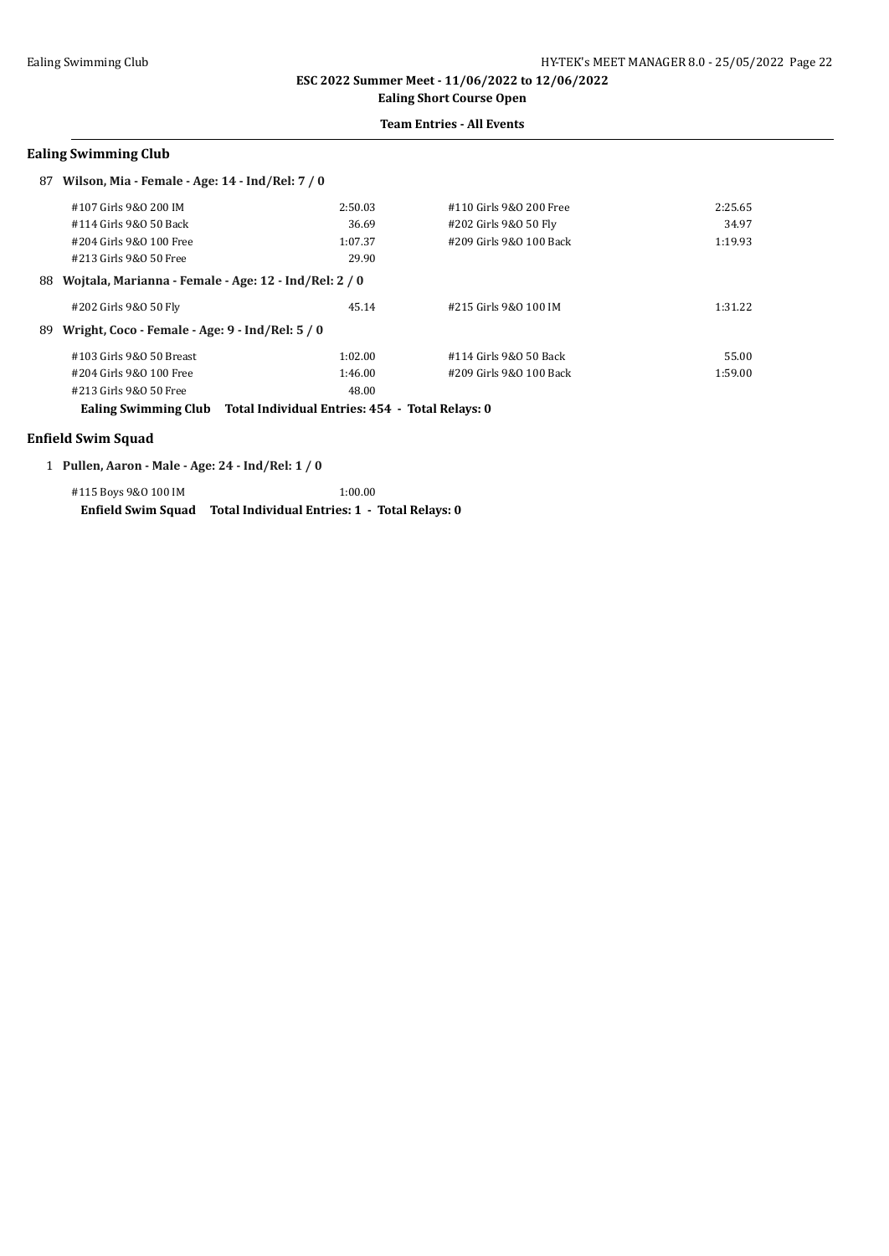## **Ealing Short Course Open**

## **Team Entries - All Events**

#### **Ealing Swimming Club**

| 87                                                           | Wilson, Mia - Female - Age: 14 - Ind/Rel: 7 / 0 |         |                         |         |
|--------------------------------------------------------------|-------------------------------------------------|---------|-------------------------|---------|
|                                                              | #107 Girls 9&0 200 IM                           | 2:50.03 | #110 Girls 9&0 200 Free | 2:25.65 |
|                                                              | #114 Girls 9&0 50 Back                          | 36.69   | #202 Girls 9&0 50 Fly   | 34.97   |
|                                                              | #204 Girls 9&0 100 Free                         | 1:07.37 | #209 Girls 9&0 100 Back | 1:19.93 |
|                                                              | #213 Girls 9&0 50 Free                          | 29.90   |                         |         |
| Wojtala, Marianna - Female - Age: 12 - Ind/Rel: 2 / 0<br>88. |                                                 |         |                         |         |
|                                                              | #202 Girls 9&0 50 Fly                           | 45.14   | #215 Girls 9&0 100 IM   | 1:31.22 |
| 89.                                                          | Wright, Coco - Female - Age: 9 - Ind/Rel: 5 / 0 |         |                         |         |
|                                                              | #103 Girls 9&0 50 Breast                        | 1:02.00 | #114 Girls 9&0 50 Back  | 55.00   |
|                                                              | #204 Girls 9&0 100 Free                         | 1:46.00 | #209 Girls 9&0 100 Back | 1:59.00 |
|                                                              | #213 Girls 9&0 50 Free                          | 48.00   |                         |         |

**Ealing Swimming Club Total Individual Entries: 454 - Total Relays: 0**

#### **Enfield Swim Squad**

1 **Pullen, Aaron - Male - Age: 24 - Ind/Rel: 1 / 0**

#115 Boys 9&O 100 IM 1:00.00 **Enfield Swim Squad Total Individual Entries: 1 - Total Relays: 0**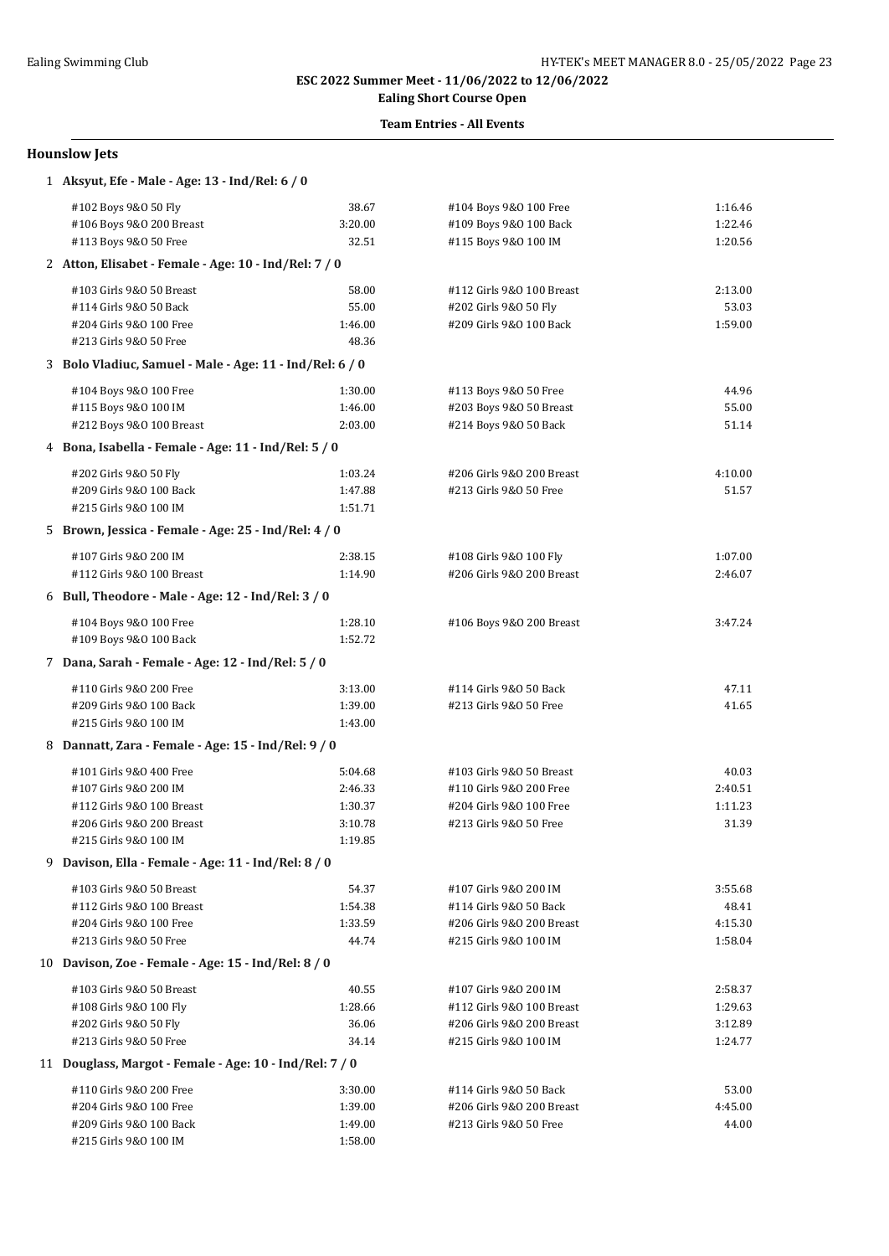## **Ealing Short Course Open Team Entries - All Events**

#### **Hounslow Jets**

| 1 Aksyut, Efe - Male - Age: 13 - Ind/Rel: 6 / 0          |                    |                                                   |                  |
|----------------------------------------------------------|--------------------|---------------------------------------------------|------------------|
| #102 Boys 9&0 50 Fly                                     | 38.67              | #104 Boys 9&0 100 Free                            | 1:16.46          |
| #106 Boys 9&0 200 Breast                                 | 3:20.00            | #109 Boys 9&0 100 Back                            | 1:22.46          |
| #113 Boys 9&0 50 Free                                    | 32.51              | #115 Boys 9&0 100 IM                              | 1:20.56          |
| 2 Atton, Elisabet - Female - Age: 10 - Ind/Rel: 7 / 0    |                    |                                                   |                  |
| #103 Girls 9&0 50 Breast                                 | 58.00              | #112 Girls 9&0 100 Breast                         | 2:13.00          |
| #114 Girls 9&0 50 Back                                   | 55.00              | #202 Girls 9&0 50 Fly                             | 53.03            |
| #204 Girls 9&0 100 Free                                  | 1:46.00            | #209 Girls 9&0 100 Back                           | 1:59.00          |
| #213 Girls 9&0 50 Free                                   | 48.36              |                                                   |                  |
| 3 Bolo Vladiuc, Samuel - Male - Age: 11 - Ind/Rel: 6 / 0 |                    |                                                   |                  |
| #104 Boys 9&0 100 Free                                   | 1:30.00            | #113 Boys 9&0 50 Free                             | 44.96            |
| #115 Boys 9&0 100 IM                                     | 1:46.00            | #203 Boys 9&0 50 Breast                           | 55.00            |
| #212 Boys 9&0 100 Breast                                 | 2:03.00            | #214 Boys 9&0 50 Back                             | 51.14            |
| 4 Bona, Isabella - Female - Age: 11 - Ind/Rel: 5 / 0     |                    |                                                   |                  |
| #202 Girls 9&0 50 Fly                                    | 1:03.24            | #206 Girls 9&0 200 Breast                         | 4:10.00          |
| #209 Girls 9&0 100 Back                                  | 1:47.88            | #213 Girls 9&0 50 Free                            | 51.57            |
| #215 Girls 9&0 100 IM                                    | 1:51.71            |                                                   |                  |
| 5 Brown, Jessica - Female - Age: 25 - Ind/Rel: 4 / 0     |                    |                                                   |                  |
| #107 Girls 9&0 200 IM                                    | 2:38.15            | #108 Girls 9&0 100 Fly                            | 1:07.00          |
| #112 Girls 9&0 100 Breast                                | 1:14.90            | #206 Girls 9&0 200 Breast                         | 2:46.07          |
| 6 Bull, Theodore - Male - Age: 12 - Ind/Rel: 3 / 0       |                    |                                                   |                  |
|                                                          |                    |                                                   |                  |
| #104 Boys 9&0 100 Free<br>#109 Boys 9&0 100 Back         | 1:28.10<br>1:52.72 | #106 Boys 9&0 200 Breast                          | 3:47.24          |
| 7 Dana, Sarah - Female - Age: 12 - Ind/Rel: 5 / 0        |                    |                                                   |                  |
|                                                          |                    |                                                   |                  |
| #110 Girls 9&0 200 Free                                  | 3:13.00            | #114 Girls 9&0 50 Back                            | 47.11            |
| #209 Girls 9&0 100 Back<br>#215 Girls 9&0 100 IM         | 1:39.00<br>1:43.00 | #213 Girls 9&0 50 Free                            | 41.65            |
| 8 Dannatt, Zara - Female - Age: 15 - Ind/Rel: 9 / 0      |                    |                                                   |                  |
|                                                          |                    |                                                   |                  |
| #101 Girls 9&0 400 Free                                  | 5:04.68            | #103 Girls 9&0 50 Breast                          | 40.03            |
| #107 Girls 9&0 200 IM                                    | 2:46.33            | #110 Girls 9&0 200 Free                           | 2:40.51          |
| #112 Girls 9&0 100 Breast<br>#206 Girls 9&0 200 Breast   | 1:30.37<br>3:10.78 | #204 Girls 9&0 100 Free<br>#213 Girls 9&0 50 Free | 1:11.23<br>31.39 |
| #215 Girls 9&0 100 IM                                    | 1:19.85            |                                                   |                  |
| 9 Davison, Ella - Female - Age: 11 - Ind/Rel: 8 / 0      |                    |                                                   |                  |
| #103 Girls 9&0 50 Breast                                 |                    | #107 Girls 9&0 200 IM                             | 3:55.68          |
| #112 Girls 9&0 100 Breast                                | 54.37<br>1:54.38   | #114 Girls 9&0 50 Back                            | 48.41            |
| #204 Girls 9&0 100 Free                                  | 1:33.59            | #206 Girls 9&0 200 Breast                         | 4:15.30          |
| #213 Girls 9&0 50 Free                                   | 44.74              | #215 Girls 9&0 100 IM                             | 1:58.04          |
| 10 Davison, Zoe - Female - Age: 15 - Ind/Rel: 8 / 0      |                    |                                                   |                  |
| #103 Girls 9&0 50 Breast                                 | 40.55              | #107 Girls 9&0 200 IM                             | 2:58.37          |
| #108 Girls 9&0 100 Fly                                   | 1:28.66            | #112 Girls 9&0 100 Breast                         | 1:29.63          |
| #202 Girls 9&0 50 Fly                                    | 36.06              | #206 Girls 9&0 200 Breast                         | 3:12.89          |
| #213 Girls 9&0 50 Free                                   | 34.14              | #215 Girls 9&0 100 IM                             | 1:24.77          |
| 11 Douglass, Margot - Female - Age: 10 - Ind/Rel: 7 / 0  |                    |                                                   |                  |
| #110 Girls 9&0 200 Free                                  | 3:30.00            | #114 Girls 9&0 50 Back                            | 53.00            |
| #204 Girls 9&0 100 Free                                  | 1:39.00            | #206 Girls 9&0 200 Breast                         | 4:45.00          |
| #209 Girls 9&0 100 Back                                  | 1:49.00            | #213 Girls 9&0 50 Free                            | 44.00            |
| #215 Girls 9&0 100 IM                                    | 1:58.00            |                                                   |                  |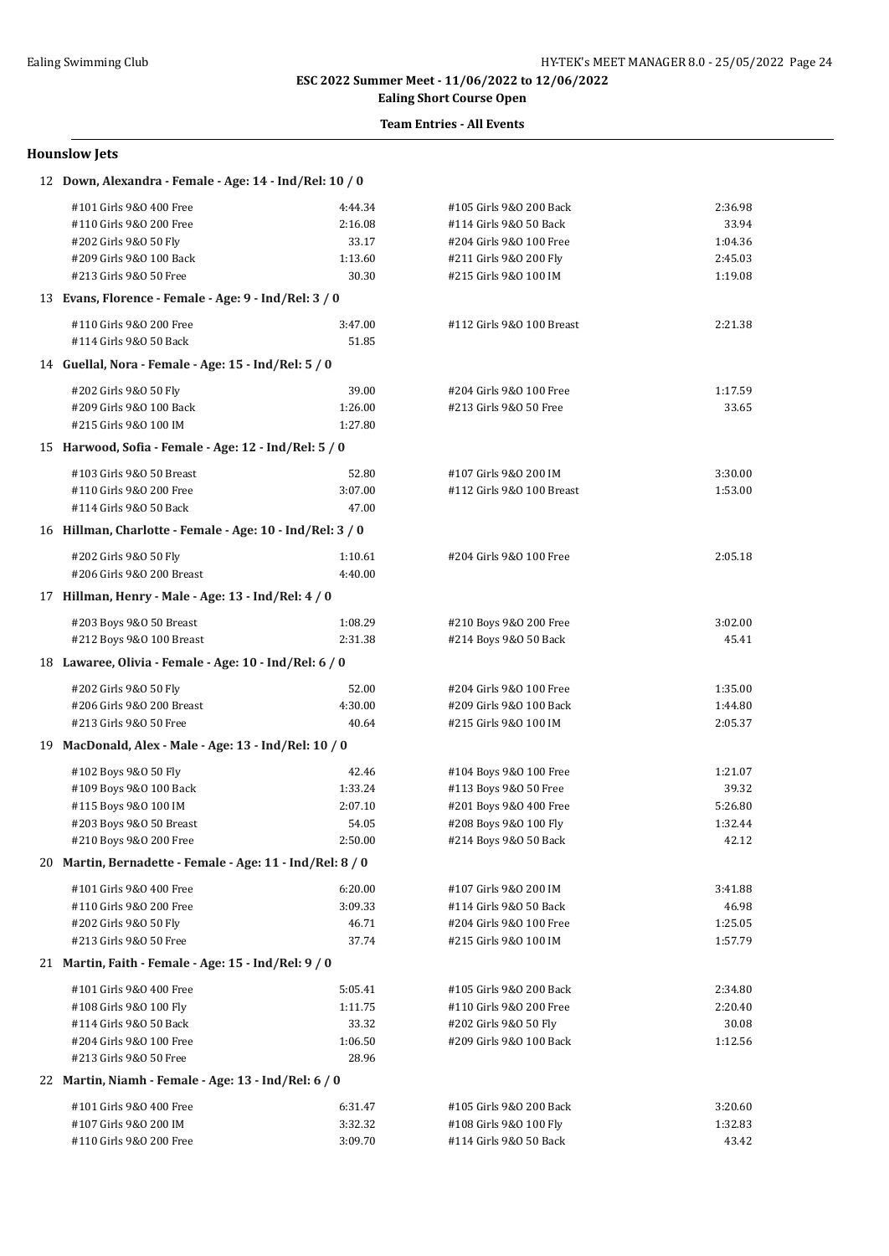## **Ealing Short Course Open**

### **Team Entries - All Events**

#### **Hounslow Jets**

| 12 Down, Alexandra - Female - Age: 14 - Ind/Rel: 10 / 0   |                    |                                                  |                  |  |
|-----------------------------------------------------------|--------------------|--------------------------------------------------|------------------|--|
| #101 Girls 9&0 400 Free                                   | 4:44.34            | #105 Girls 9&0 200 Back                          | 2:36.98          |  |
| #110 Girls 9&0 200 Free                                   | 2:16.08            | #114 Girls 9&0 50 Back                           | 33.94            |  |
| #202 Girls 9&0 50 Fly                                     | 33.17              | #204 Girls 9&0 100 Free                          | 1:04.36          |  |
| #209 Girls 9&0 100 Back                                   | 1:13.60            | #211 Girls 9&0 200 Fly                           | 2:45.03          |  |
| #213 Girls 9&0 50 Free                                    | 30.30              | #215 Girls 9&0 100 IM                            | 1:19.08          |  |
| 13 Evans, Florence - Female - Age: 9 - Ind/Rel: 3 / 0     |                    |                                                  |                  |  |
| #110 Girls 9&0 200 Free                                   | 3:47.00            | #112 Girls 9&0 100 Breast                        | 2:21.38          |  |
| #114 Girls 9&0 50 Back                                    | 51.85              |                                                  |                  |  |
| 14 Guellal, Nora - Female - Age: 15 - Ind/Rel: 5 / 0      |                    |                                                  |                  |  |
| #202 Girls 9&0 50 Fly                                     | 39.00              | #204 Girls 9&0 100 Free                          | 1:17.59          |  |
| #209 Girls 9&0 100 Back                                   | 1:26.00            | #213 Girls 9&0 50 Free                           | 33.65            |  |
| #215 Girls 9&0 100 IM                                     | 1:27.80            |                                                  |                  |  |
| 15 Harwood, Sofia - Female - Age: 12 - Ind/Rel: 5 / 0     |                    |                                                  |                  |  |
|                                                           |                    |                                                  |                  |  |
| #103 Girls 9&0 50 Breast                                  | 52.80              | #107 Girls 9&0 200 IM                            | 3:30.00          |  |
| #110 Girls 9&0 200 Free                                   | 3:07.00<br>47.00   | #112 Girls 9&0 100 Breast                        | 1:53.00          |  |
| #114 Girls 9&0 50 Back                                    |                    |                                                  |                  |  |
| 16 Hillman, Charlotte - Female - Age: 10 - Ind/Rel: 3 / 0 |                    |                                                  |                  |  |
| #202 Girls 9&0 50 Fly                                     | 1:10.61            | #204 Girls 9&0 100 Free                          | 2:05.18          |  |
| #206 Girls 9&0 200 Breast                                 | 4:40.00            |                                                  |                  |  |
| 17 Hillman, Henry - Male - Age: 13 - Ind/Rel: 4 / 0       |                    |                                                  |                  |  |
| #203 Boys 9&0 50 Breast                                   | 1:08.29            | #210 Boys 9&0 200 Free                           | 3:02.00          |  |
| #212 Boys 9&0 100 Breast                                  | 2:31.38            | #214 Boys 9&0 50 Back                            | 45.41            |  |
| 18 Lawaree, Olivia - Female - Age: 10 - Ind/Rel: 6 / 0    |                    |                                                  |                  |  |
| #202 Girls 9&0 50 Fly                                     | 52.00              | #204 Girls 9&0 100 Free                          | 1:35.00          |  |
| #206 Girls 9&0 200 Breast                                 | 4:30.00            | #209 Girls 9&0 100 Back                          | 1:44.80          |  |
| #213 Girls 9&0 50 Free                                    | 40.64              | #215 Girls 9&0 100 IM                            | 2:05.37          |  |
| 19 MacDonald, Alex - Male - Age: 13 - Ind/Rel: 10 / 0     |                    |                                                  |                  |  |
| #102 Boys 9&0 50 Fly                                      | 42.46              | #104 Boys 9&0 100 Free                           | 1:21.07          |  |
| #109 Boys 9&0 100 Back                                    | 1:33.24            | #113 Boys 9&0 50 Free                            | 39.32            |  |
| #115 Boys 9&0 100 IM                                      | 2:07.10            | #201 Boys 9&0 400 Free                           | 5:26.80          |  |
| #203 Boys 9&0 50 Breast                                   | 54.05              | #208 Boys 9&0 100 Fly                            | 1:32.44          |  |
| #210 Boys 9&0 200 Free                                    | 2:50.00            | #214 Boys 9&0 50 Back                            | 42.12            |  |
| 20 Martin, Bernadette - Female - Age: 11 - Ind/Rel: 8 / 0 |                    |                                                  |                  |  |
| #101 Girls 9&0 400 Free                                   | 6:20.00            | #107 Girls 9&0 200 IM                            | 3:41.88          |  |
| #110 Girls 9&0 200 Free                                   | 3:09.33            | #114 Girls 9&0 50 Back                           | 46.98            |  |
| #202 Girls 9&0 50 Fly                                     | 46.71              | #204 Girls 9&0 100 Free                          | 1:25.05          |  |
| #213 Girls 9&0 50 Free                                    | 37.74              | #215 Girls 9&0 100 IM                            | 1:57.79          |  |
| 21 Martin, Faith - Female - Age: 15 - Ind/Rel: 9 / 0      |                    |                                                  |                  |  |
| #101 Girls 9&0 400 Free                                   | 5:05.41            | #105 Girls 9&0 200 Back                          | 2:34.80          |  |
| #108 Girls 9&0 100 Fly                                    | 1:11.75            | #110 Girls 9&0 200 Free                          | 2:20.40          |  |
| #114 Girls 9&0 50 Back                                    | 33.32              | #202 Girls 9&0 50 Fly                            | 30.08            |  |
| #204 Girls 9&0 100 Free                                   | 1:06.50            | #209 Girls 9&0 100 Back                          | 1:12.56          |  |
| #213 Girls 9&0 50 Free                                    | 28.96              |                                                  |                  |  |
| 22 Martin, Niamh - Female - Age: 13 - Ind/Rel: 6 / 0      |                    |                                                  |                  |  |
|                                                           |                    |                                                  |                  |  |
| #101 Girls 9&0 400 Free                                   | 6:31.47            | #105 Girls 9&0 200 Back                          | 3:20.60          |  |
| #107 Girls 9&0 200 IM<br>#110 Girls 9&O 200 Free          | 3:32.32<br>3:09.70 | #108 Girls 9&0 100 Fly<br>#114 Girls 9&0 50 Back | 1:32.83<br>43.42 |  |
|                                                           |                    |                                                  |                  |  |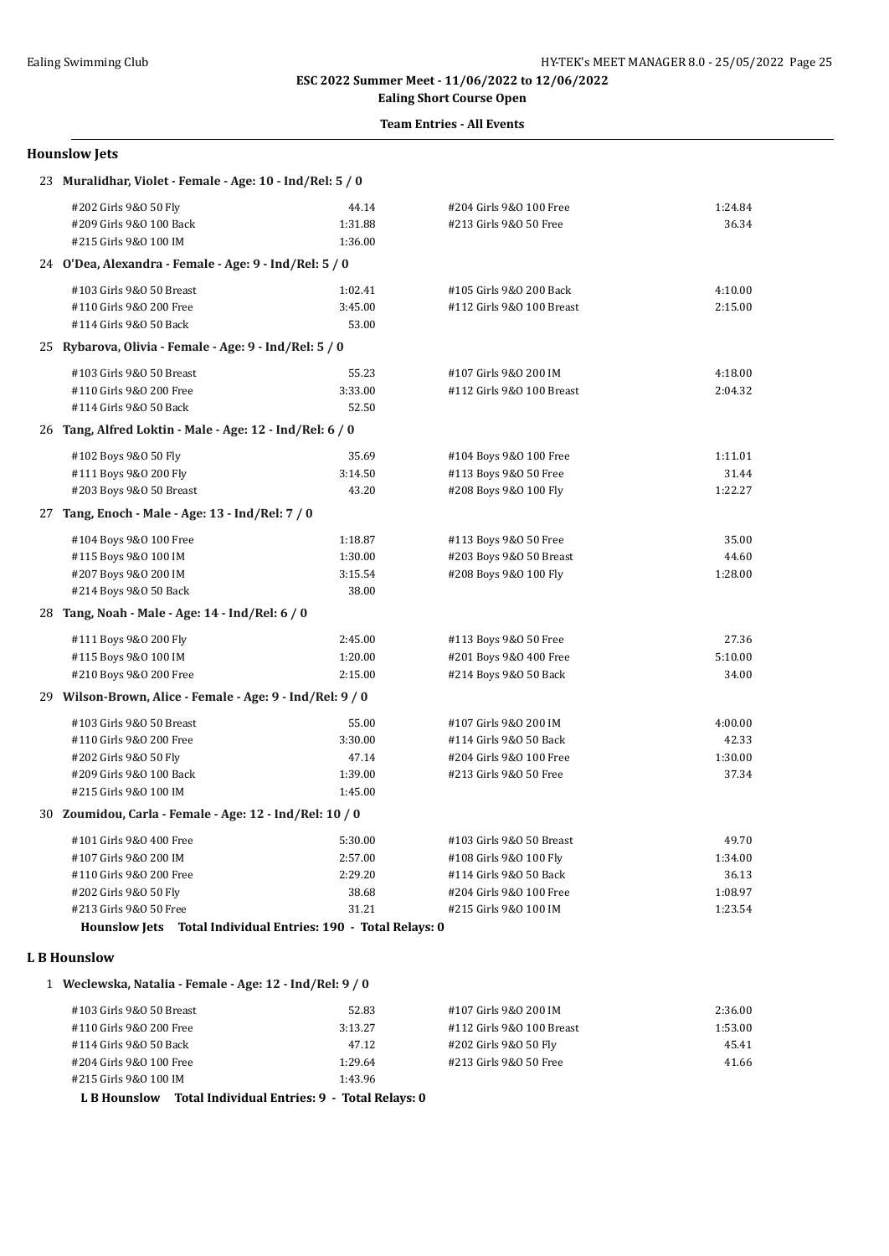## **Ealing Short Course Open**

### **Team Entries - All Events**

#### **Hounslow Jets**

| 23 Muralidhar, Violet - Female - Age: 10 - Ind/Rel: 5 / 0     |         |                           |         |  |
|---------------------------------------------------------------|---------|---------------------------|---------|--|
| #202 Girls 9&0 50 Fly                                         | 44.14   | #204 Girls 9&0 100 Free   | 1:24.84 |  |
| #209 Girls 9&0 100 Back                                       | 1:31.88 | #213 Girls 9&0 50 Free    | 36.34   |  |
| #215 Girls 9&0 100 IM                                         | 1:36.00 |                           |         |  |
| 24 O'Dea, Alexandra - Female - Age: 9 - Ind/Rel: 5 / 0        |         |                           |         |  |
| #103 Girls 9&0 50 Breast                                      | 1:02.41 | #105 Girls 9&0 200 Back   | 4:10.00 |  |
| #110 Girls 9&0 200 Free                                       | 3:45.00 | #112 Girls 9&0 100 Breast | 2:15.00 |  |
| #114 Girls 9&0 50 Back                                        | 53.00   |                           |         |  |
| 25 Rybarova, Olivia - Female - Age: 9 - Ind/Rel: 5 / 0        |         |                           |         |  |
| #103 Girls 9&0 50 Breast                                      | 55.23   | #107 Girls 9&0 200 IM     | 4:18.00 |  |
| #110 Girls 9&0 200 Free                                       | 3:33.00 | #112 Girls 9&0 100 Breast | 2:04.32 |  |
| #114 Girls 9&0 50 Back                                        | 52.50   |                           |         |  |
| 26 Tang, Alfred Loktin - Male - Age: 12 - Ind/Rel: 6 / 0      |         |                           |         |  |
| #102 Boys 9&0 50 Fly                                          | 35.69   | #104 Boys 9&0 100 Free    | 1:11.01 |  |
| #111 Boys 9&0 200 Fly                                         | 3:14.50 | #113 Boys 9&0 50 Free     | 31.44   |  |
| #203 Boys 9&0 50 Breast                                       | 43.20   | #208 Boys 9&0 100 Fly     | 1:22.27 |  |
| 27 Tang, Enoch - Male - Age: 13 - Ind/Rel: 7 / 0              |         |                           |         |  |
| #104 Boys 9&0 100 Free                                        | 1:18.87 | #113 Boys 9&0 50 Free     | 35.00   |  |
| #115 Boys 9&0 100 IM                                          | 1:30.00 | #203 Boys 9&0 50 Breast   | 44.60   |  |
| #207 Boys 9&0 200 IM                                          | 3:15.54 | #208 Boys 9&0 100 Fly     | 1:28.00 |  |
| #214 Boys 9&0 50 Back                                         | 38.00   |                           |         |  |
| 28 Tang, Noah - Male - Age: 14 - Ind/Rel: 6 / 0               |         |                           |         |  |
| #111 Boys 9&0 200 Fly                                         | 2:45.00 | #113 Boys 9&0 50 Free     | 27.36   |  |
| #115 Boys 9&0 100 IM                                          | 1:20.00 | #201 Boys 9&0 400 Free    | 5:10.00 |  |
| #210 Boys 9&0 200 Free                                        | 2:15.00 | #214 Boys 9&0 50 Back     | 34.00   |  |
| 29 Wilson-Brown, Alice - Female - Age: 9 - Ind/Rel: 9 / 0     |         |                           |         |  |
| #103 Girls 9&0 50 Breast                                      | 55.00   | #107 Girls 9&0 200 IM     | 4:00.00 |  |
| #110 Girls 9&0 200 Free                                       | 3:30.00 | #114 Girls 9&0 50 Back    | 42.33   |  |
| #202 Girls 9&0 50 Fly                                         | 47.14   | #204 Girls 9&0 100 Free   | 1:30.00 |  |
| #209 Girls 9&0 100 Back                                       | 1:39.00 | #213 Girls 9&0 50 Free    | 37.34   |  |
| #215 Girls 9&0 100 IM                                         | 1:45.00 |                           |         |  |
| 30 Zoumidou, Carla - Female - Age: 12 - Ind/Rel: 10 / 0       |         |                           |         |  |
| #101 Girls 9&0 400 Free                                       | 5:30.00 | #103 Girls 9&0 50 Breast  | 49.70   |  |
| #107 Girls 9&0 200 IM                                         | 2:57.00 | #108 Girls 9&0 100 Fly    | 1:34.00 |  |
| #110 Girls 9&0 200 Free                                       | 2:29.20 | #114 Girls 9&0 50 Back    | 36.13   |  |
| #202 Girls 9&0 50 Fly                                         | 38.68   | #204 Girls 9&0 100 Free   | 1:08.97 |  |
| #213 Girls 9&0 50 Free                                        | 31.21   | #215 Girls 9&0 100 IM     | 1:23.54 |  |
| Hounslow Jets Total Individual Entries: 190 - Total Relays: 0 |         |                           |         |  |
| <b>LB</b> Hounslow                                            |         |                           |         |  |

1 **Weclewska, Natalia - Female - Age: 12 - Ind/Rel: 9 / 0**

| #103 Girls 9&0 50 Breast | 52.83   | #107 Girls 9&0 200 IM     | 2:36.00 |
|--------------------------|---------|---------------------------|---------|
| #110 Girls 9&0 200 Free  | 3:13.27 | #112 Girls 9&0 100 Breast | 1:53.00 |
| #114 Girls 9&0 50 Back   | 47.12   | #202 Girls 9&0 50 Fly     | 45.41   |
| #204 Girls 9&0 100 Free  | 1:29.64 | #213 Girls 9&0 50 Free    | 41.66   |
| #215 Girls 9&0 100 IM    | 1:43.96 |                           |         |

**L B Hounslow Total Individual Entries: 9 - Total Relays: 0**